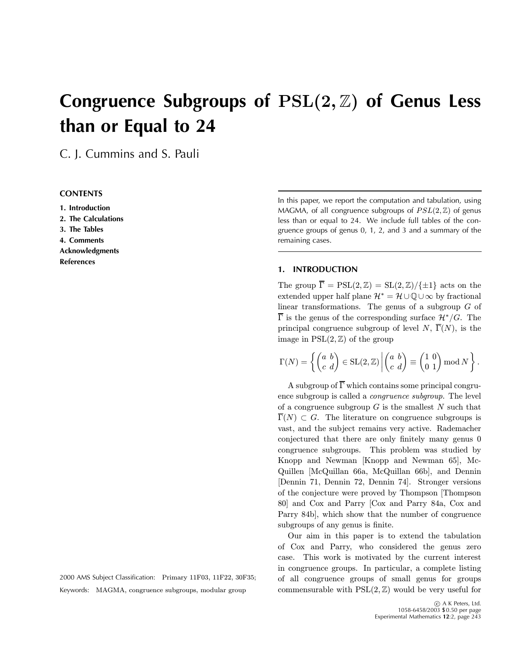# **Congruence Subgroups of** PSL(2, Z) **of Genus Less than or Equal to 24**

C. J. Cummins and S. Pauli

# **CONTENTS**

**1. Introduction 2. The Calculations 3. The Tables 4. Comments Acknowledgments References**

2000 AMS Subject Classification: Primary 11F03, 11F22, 30F35; Keywords: MAGMA, congruence subgroups, modular group

In this paper, we report the computation and tabulation, using MAGMA, of all congruence subgroups of  $PSL(2, \mathbb{Z})$  of genus less than or equal to 24. We include full tables of the congruence groups of genus 0, 1, 2, and 3 and a summary of the remaining cases.

## **1. INTRODUCTION**

The group  $\overline{\Gamma} = \text{PSL}(2, \mathbb{Z}) = \text{SL}(2, \mathbb{Z}) / \{\pm 1\}$  acts on the extended upper half plane  $\mathcal{H}^* = \mathcal{H} \cup \mathbb{Q} \cup \infty$  by fractional linear transformations. The genus of a subgroup  $G$  of  $\overline{\Gamma}$  is the genus of the corresponding surface  $\mathcal{H}^*/G$ . The principal congruence subgroup of level N,  $\overline{\Gamma}(N)$ , is the image in  $PSL(2, \mathbb{Z})$  of the group

$$
\Gamma(N) = \left\{ \begin{pmatrix} a & b \\ c & d \end{pmatrix} \in \operatorname{SL}(2, \mathbb{Z}) \, \middle| \begin{pmatrix} a & b \\ c & d \end{pmatrix} \equiv \begin{pmatrix} 1 & 0 \\ 0 & 1 \end{pmatrix} \operatorname{mod} N \right\}.
$$

A subgroup of  $\overline{\Gamma}$  which contains some principal congruence subgroup is called a congruence subgroup. The level of a congruence subgroup  $G$  is the smallest  $N$  such that  $\Gamma(N) \subset G$ . The literature on congruence subgroups is vast, and the subject remains very active. Rademacher conjectured that there are only finitely many genus 0 congruence subgroups. This problem was studied by Knopp and Newman [Knopp and Newman 65], Mc-Quillen [McQuillan 66a, McQuillan 66b], and Dennin [Dennin 71, Dennin 72, Dennin 74]. Stronger versions of the conjecture were proved by Thompson [Thompson 80] and Cox and Parry [Cox and Parry 84a, Cox and Parry 84b], which show that the number of congruence subgroups of any genus is finite.

Our aim in this paper is to extend the tabulation of Cox and Parry, who considered the genus zero case. This work is motivated by the current interest in congruence groups. In particular, a complete listing of all congruence groups of small genus for groups commensurable with  $PSL(2, \mathbb{Z})$  would be very useful for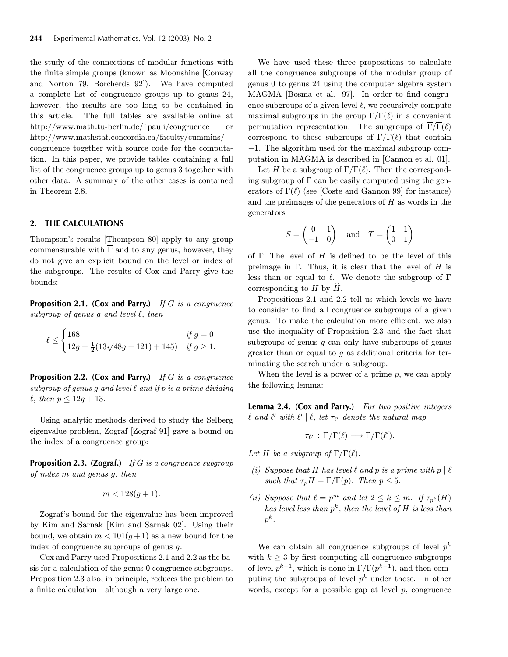the study of the connections of modular functions with the finite simple groups (known as Moonshine [Conway and Norton 79, Borcherds 92]). We have computed a complete list of congruence groups up to genus 24, however, the results are too long to be contained in this article. The full tables are available online at http://www.math.tu-berlin.de/˜pauli/congruence or http://www.mathstat.concordia.ca/faculty/cummins/

congruence together with source code for the computation. In this paper, we provide tables containing a full list of the congruence groups up to genus 3 together with other data. A summary of the other cases is contained in Theorem 2.8.

#### **2. THE CALCULATIONS**

Thompson's results [Thompson 80] apply to any group commensurable with  $\overline{\Gamma}$  and to any genus, however, they do not give an explicit bound on the level or index of the subgroups. The results of Cox and Parry give the bounds:

**Proposition 2.1. (Cox and Parry.)** If G is a congruence subgroup of genus  $g$  and level  $\ell$ , then

$$
\ell \le \begin{cases} 168 & \text{if } g = 0 \\ 12g + \frac{1}{2}(13\sqrt{48g + 121}) + 145) & \text{if } g \ge 1. \end{cases}
$$

**Proposition 2.2. (Cox and Parry.)** If G is a congruence subgroup of genus  $g$  and level  $\ell$  and if  $p$  is a prime dividing  $\ell$ , then  $p \leq 12g + 13$ .

Using analytic methods derived to study the Selberg eigenvalue problem, Zograf [Zograf 91] gave a bound on the index of a congruence group:

**Proposition 2.3. (Zograf.)** If G is a congruence subgroup of index m and genus g, then

$$
m < 128(g+1).
$$

Zograf's bound for the eigenvalue has been improved by Kim and Sarnak [Kim and Sarnak 02]. Using their bound, we obtain  $m < 101(g+1)$  as a new bound for the index of congruence subgroups of genus g.

Cox and Parry used Propositions 2.1 and 2.2 as the basis for a calculation of the genus 0 congruence subgroups. Proposition 2.3 also, in principle, reduces the problem to a finite calculation–although a very large one.

We have used these three propositions to calculate all the congruence subgroups of the modular group of genus 0 to genus 24 using the computer algebra system MAGMA [Bosma et al. 97]. In order to find congruence subgroups of a given level  $\ell$ , we recursively compute maximal subgroups in the group  $\Gamma/\Gamma(\ell)$  in a convenient permutation representation. The subgroups of  $\overline{\Gamma}/\overline{\Gamma}(\ell)$ correspond to those subgroups of  $\Gamma/\Gamma(\ell)$  that contain −1. The algorithm used for the maximal subgroup computation in MAGMA is described in [Cannon et al. 01].

Let H be a subgroup of  $\Gamma/\Gamma(\ell)$ . Then the corresponding subgroup of  $\Gamma$  can be easily computed using the generators of  $\Gamma(\ell)$  (see [Coste and Gannon 99] for instance) and the preimages of the generators of  $H$  as words in the generators

$$
S = \begin{pmatrix} 0 & 1 \\ -1 & 0 \end{pmatrix} \quad \text{and} \quad T = \begin{pmatrix} 1 & 1 \\ 0 & 1 \end{pmatrix}
$$

of  $\Gamma$ . The level of  $H$  is defined to be the level of this preimage in  $\Gamma$ . Thus, it is clear that the level of H is less than or equal to  $\ell$ . We denote the subgroup of  $\Gamma$ corresponding to  $H$  by  $H$ .

Propositions 2.1 and 2.2 tell us which levels we have to consider to find all congruence subgroups of a given genus. To make the calculation more efficient, we also use the inequality of Proposition 2.3 and the fact that subgroups of genus  $g$  can only have subgroups of genus greater than or equal to  $g$  as additional criteria for terminating the search under a subgroup.

When the level is a power of a prime  $p$ , we can apply the following lemma:

**Lemma 2.4. (Cox and Parry.)** For two positive integers  $\ell$  and  $\ell'$  with  $\ell' \mid \ell$ , let  $\tau_{\ell'}$  denote the natural map

$$
\tau_{\ell'}\,:\,\Gamma/\Gamma(\ell)\longrightarrow\Gamma/\Gamma(\ell').
$$

Let H be a subgroup of  $\Gamma/\Gamma(\ell)$ .

- (i) Suppose that H has level  $\ell$  and p is a prime with  $p \mid \ell$ such that  $\tau_p H = \Gamma/\Gamma(p)$ . Then  $p \leq 5$ .
- (ii) Suppose that  $\ell = p^m$  and let  $2 \leq k \leq m$ . If  $\tau_{n^k}(H)$ has level less than  $p^k$ , then the level of H is less than  $p^k$ .

We can obtain all congruence subgroups of level  $p^k$ with  $k \geq 3$  by first computing all congruence subgroups of level  $p^{k-1}$ , which is done in  $\Gamma/\Gamma(p^{k-1})$ , and then computing the subgroups of level  $p^k$  under those. In other words, except for a possible gap at level  $p$ , congruence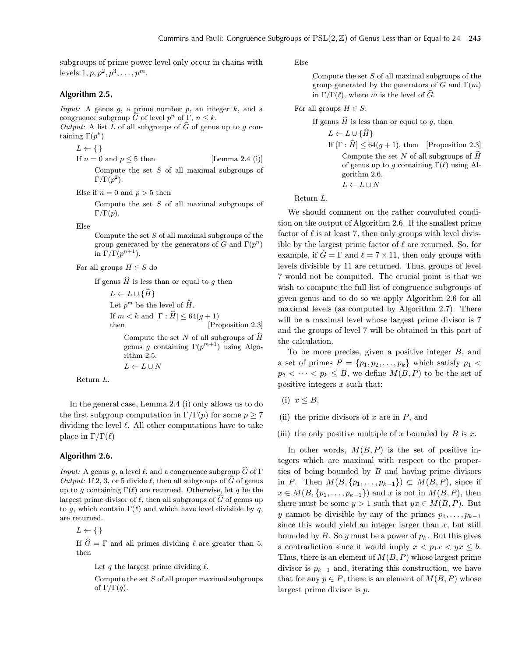subgroups of prime power level only occur in chains with levels  $1, p, p^2, p^3, \ldots, p^m$ .

## **Algorithm 2.5.**

*Input:* A genus  $g$ , a prime number  $p$ , an integer  $k$ , and a congruence subgroup  $\widehat{G}$  of level  $p^n$  of  $\Gamma$ ,  $n \leq k$ .

Output: A list L of all subgroups of  $\widehat{G}$  of genus up to q containing  $\Gamma(p^k)$ 

 $L \leftarrow \{\}$ 

If  $n = 0$  and  $p \leq 5$  then [Lemma 2.4 (i)] Compute the set  $S$  of all maximal subgroups of  $\Gamma/\Gamma(p^2)$ .

Else if  $n = 0$  and  $p > 5$  then

Compute the set  $S$  of all maximal subgroups of  $\Gamma/\Gamma(p)$ .

Else

Compute the set  $S$  of all maximal subgroups of the group generated by the generators of G and  $\Gamma(p^n)$ in  $\Gamma/\Gamma(p^{n+1})$ .

For all groups  $H \in S$  do

If genus  $\widehat{H}$  is less than or equal to g then

 $L \leftarrow L \cup {\hat{H}}$ Let  $p^m$  be the level of  $\widehat{H}$ . If  $m < k$  and  $[\Gamma : \widehat{H}] \leq 64(g + 1)$ <br>then [Pro [Proposition 2.3] Compute the set N of all subgroups of  $\widehat{H}$ genus g containing  $\Gamma(p^{m+1})$  using Algorithm 2.5.  $L \leftarrow L \cup N$ 

Return L.

In the general case, Lemma 2.4 (i) only allows us to do the first subgroup computation in  $\Gamma/\Gamma(p)$  for some  $p \geq 7$ dividing the level  $\ell$ . All other computations have to take place in  $\Gamma/\Gamma(\ell)$ 

## **Algorithm 2.6.**

*Input:* A genus g, a level  $\ell$ , and a congruence subgroup  $\widehat{G}$  of  $\Gamma$ Output: If 2, 3, or 5 divide  $\ell$ , then all subgroups of  $\widehat{G}$  of genus up to g containing  $\Gamma(\ell)$  are returned. Otherwise, let q be the largest prime divisor of  $\ell$ , then all subgroups of  $\widehat{G}$  of genus up to g, which contain  $\Gamma(\ell)$  and which have level divisible by q, are returned.

 $L \leftarrow \{\}$ 

If  $\hat{G} = \Gamma$  and all primes dividing  $\ell$  are greater than 5, then

Let q the largest prime dividing  $\ell$ .

Compute the set  $S$  of all proper maximal subgroups of  $\Gamma/\Gamma(q)$ .

Else

Compute the set  $S$  of all maximal subgroups of the group generated by the generators of G and  $\Gamma(m)$ in  $\Gamma/\Gamma(\ell)$ , where m is the level of  $\tilde{G}$ .

For all groups  $H\in S:$ 

If genus  $\widehat{H}$  is less than or equal to g, then

- $L \leftarrow L \cup {\{\widehat{H}\}}$
- If  $[\Gamma : \hat{H}] \leq 64(g+1)$ , then [Proposition 2.3] Compute the set N of all subgroups of  $\widehat{H}$ of genus up to g containing  $\Gamma(\ell)$  using Algorithm 2.6.  $L \leftarrow L \cup N$

Return L.

We should comment on the rather convoluted condition on the output of Algorithm 2.6. If the smallest prime factor of  $\ell$  is at least 7, then only groups with level divisible by the largest prime factor of  $\ell$  are returned. So, for example, if  $\hat{G} = \Gamma$  and  $\ell = 7 \times 11$ , then only groups with levels divisible by 11 are returned. Thus, groups of level 7 would not be computed. The crucial point is that we wish to compute the full list of congruence subgroups of given genus and to do so we apply Algorithm 2.6 for all maximal levels (as computed by Algorithm 2.7). There will be a maximal level whose largest prime divisor is 7 and the groups of level 7 will be obtained in this part of the calculation.

To be more precise, given a positive integer B, and a set of primes  $P = \{p_1, p_2, \ldots, p_k\}$  which satisfy  $p_1$  <  $p_2 < \cdots < p_k \leq B$ , we define  $M(B, P)$  to be the set of positive integers  $x$  such that:

- (i)  $x \leq B$ ,
- (ii) the prime divisors of  $x$  are in  $P$ , and
- (iii) the only positive multiple of x bounded by  $B$  is x.

In other words,  $M(B, P)$  is the set of positive integers which are maximal with respect to the properties of being bounded by  $B$  and having prime divisors in P. Then  $M(B, \{p_1, \ldots, p_{k-1}\}) \subset M(B, P)$ , since if  $x \in M(B, \{p_1, \ldots, p_{k-1}\})$  and x is not in  $M(B, P)$ , then there must be some  $y > 1$  such that  $yx \in M(B, P)$ . But y cannot be divisible by any of the primes  $p_1, \ldots, p_{k-1}$ since this would yield an integer larger than  $x$ , but still bounded by B. So y must be a power of  $p_k$ . But this gives a contradiction since it would imply  $x < p_1x < yx \leq b$ . Thus, there is an element of  $M(B, P)$  whose largest prime divisor is  $p_{k-1}$  and, iterating this construction, we have that for any  $p \in P$ , there is an element of  $M(B, P)$  whose largest prime divisor is p.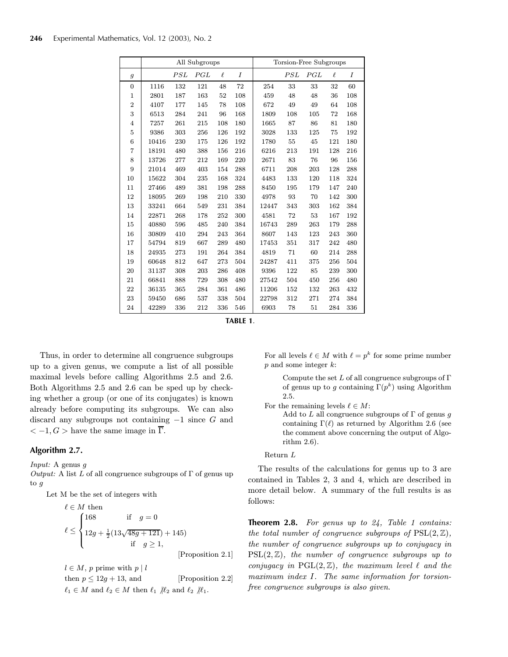|                |       |     | All Subgroups |        |     | Torsion-Free Subgroups |     |     |        |     |  |  |
|----------------|-------|-----|---------------|--------|-----|------------------------|-----|-----|--------|-----|--|--|
| $\mathfrak{g}$ |       | PSL | PGL           | $\ell$ | I   |                        | PSL | PGL | $\ell$ | Ι   |  |  |
| $\overline{0}$ | 1116  | 132 | 121           | 48     | 72  | 254                    | 33  | 33  | 32     | 60  |  |  |
| $\mathbf{1}$   | 2801  | 187 | 163           | 52     | 108 | 459                    | 48  | 48  | 36     | 108 |  |  |
| $\overline{2}$ | 4107  | 177 | 145           | 78     | 108 | 672                    | 49  | 49  | 64     | 108 |  |  |
| 3              | 6513  | 284 | 241           | 96     | 168 | 1809                   | 108 | 105 | 72     | 168 |  |  |
| $\overline{4}$ | 7257  | 261 | 215           | 108    | 180 | 1665                   | 87  | 86  | 81     | 180 |  |  |
| 5              | 9386  | 303 | 256           | 126    | 192 | 3028                   | 133 | 125 | 75     | 192 |  |  |
| 6              | 10416 | 230 | 175           | 126    | 192 | 1780                   | 55  | 45  | 121    | 180 |  |  |
| $\overline{7}$ | 18191 | 480 | 388           | 156    | 216 | 6216                   | 213 | 191 | 128    | 216 |  |  |
| 8              | 13726 | 277 | 212           | 169    | 220 | 2671                   | 83  | 76  | 96     | 156 |  |  |
| 9              | 21014 | 469 | 403           | 154    | 288 | 6711                   | 208 | 203 | 128    | 288 |  |  |
| 10             | 15622 | 304 | 235           | 168    | 324 | 4483                   | 133 | 120 | 118    | 324 |  |  |
| 11             | 27466 | 489 | 381           | 198    | 288 | 8450                   | 195 | 179 | 147    | 240 |  |  |
| 12             | 18095 | 269 | 198           | 210    | 330 | 4978                   | 93  | 70  | 142    | 300 |  |  |
| 13             | 33241 | 664 | 549           | 231    | 384 | 12447                  | 343 | 303 | 162    | 384 |  |  |
| 14             | 22871 | 268 | 178           | 252    | 300 | 4581                   | 72  | 53  | 167    | 192 |  |  |
| 15             | 40880 | 596 | 485           | 240    | 384 | 16743                  | 289 | 263 | 179    | 288 |  |  |
| 16             | 30809 | 410 | 294           | 243    | 364 | 8607                   | 143 | 123 | 243    | 360 |  |  |
| 17             | 54794 | 819 | 667           | 289    | 480 | 17453                  | 351 | 317 | 242    | 480 |  |  |
| 18             | 24935 | 273 | 191           | 264    | 384 | 4819                   | 71  | 60  | 214    | 288 |  |  |
| 19             | 60648 | 812 | 647           | 273    | 504 | 24287                  | 411 | 375 | 256    | 504 |  |  |
| 20             | 31137 | 308 | 203           | 286    | 408 | 9396                   | 122 | 85  | 239    | 300 |  |  |
| 21             | 66841 | 888 | 729           | 308    | 480 | 27542                  | 504 | 450 | 256    | 480 |  |  |
| 22             | 36135 | 365 | 284           | 361    | 486 | 11206                  | 152 | 132 | 263    | 432 |  |  |
| 23             | 59450 | 686 | 537           | 338    | 504 | 22798                  | 312 | 271 | 274    | 384 |  |  |
| 24             | 42289 | 336 | 212           | 336    | 546 | 6903                   | 78  | 51  | 284    | 336 |  |  |

**TABLE 1**.

Thus, in order to determine all congruence subgroups up to a given genus, we compute a list of all possible maximal levels before calling Algorithms 2.5 and 2.6. Both Algorithms 2.5 and 2.6 can be sped up by checking whether a group (or one of its conjugates) is known already before computing its subgroups. We can also discard any subgroups not containing  $-1$  since G and  $<-1, G>$  have the same image in  $\overline{\Gamma}$ .

### **Algorithm 2.7.**

Input: A genus g

Output: A list L of all congruence subgroups of  $\Gamma$  of genus up to g

Let M be the set of integers with

$$
\ell \in M \text{ then}
$$
\n
$$
\ell \leq \begin{cases}\n168 & \text{if } g = 0 \\
12g + \frac{1}{2}(13\sqrt{48g + 121}) + 145) \\
\text{if } g \geq 1,\n\end{cases}
$$
\n[Proposition 2.1]

 $l \in M$ , p prime with  $p \mid l$ 

then  $p \le 12g + 13$ , and [Proposition 2.2]  $\ell_1 \in M$  and  $\ell_2 \in M$  then  $\ell_1$  / $\ell_2$  and  $\ell_2$  / $\ell_1$ .

For all levels  $\ell \in M$  with  $\ell = p^k$  for some prime number  $p$  and some integer  $k$ :

Compute the set  $L$  of all congruence subgroups of  $\Gamma$ of genus up to g containing  $\Gamma(p^k)$  using Algorithm 2.5.

For the remaining levels  $\ell \in M$ :

Add to L all congruence subgroups of  $\Gamma$  of genus g containing  $\Gamma(\ell)$  as returned by Algorithm 2.6 (see the comment above concerning the output of Algorithm 2.6).

#### Return L

The results of the calculations for genus up to 3 are contained in Tables 2, 3 and 4, which are described in more detail below. A summary of the full results is as follows:

**Theorem 2.8.** For genus up to 24, Table 1 contains: the total number of congruence subgroups of  $PSL(2, \mathbb{Z}),$ the number of congruence subgroups up to conjugacy in  $PSL(2, \mathbb{Z})$ , the number of congruence subgroups up to conjugacy in  $PGL(2, \mathbb{Z})$ , the maximum level  $\ell$  and the maximum index I. The same information for torsionfree congruence subgroups is also given.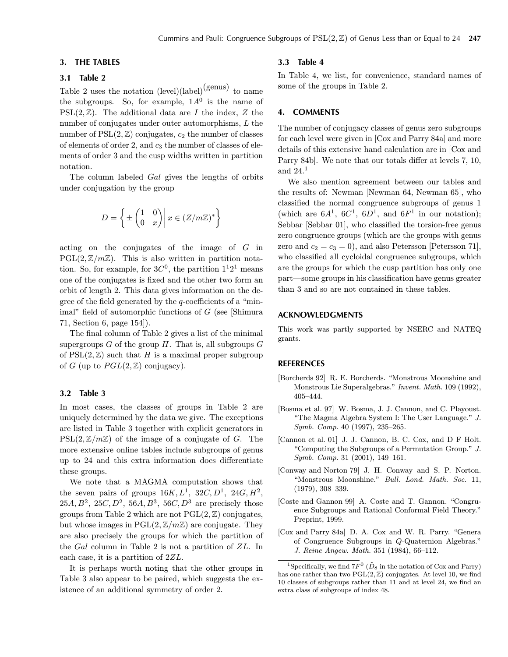### **3. THE TABLES**

# **3.1 Table 2**

Table 2 uses the notation  $(level)(label)(genus)$  to name the subgroups. So, for example,  $1A^0$  is the name of  $PSL(2, \mathbb{Z})$ . The additional data are I the index, Z the number of conjugates under outer automorphisms, L the number of  $PSL(2, \mathbb{Z})$  conjugates,  $c_2$  the number of classes of elements of order 2, and  $c_3$  the number of classes of elements of order 3 and the cusp widths written in partition notation.

The column labeled Gal gives the lengths of orbits under conjugation by the group

$$
D = \left\{ \pm \begin{pmatrix} 1 & 0 \\ 0 & x \end{pmatrix} \middle| \, x \in (Z/m\mathbb{Z})^* \right\}
$$

acting on the conjugates of the image of G in  $PGL(2, \mathbb{Z}/m\mathbb{Z})$ . This is also written in partition notation. So, for example, for  $3C^0$ , the partition  $1^12^1$  means one of the conjugates is fixed and the other two form an orbit of length 2. This data gives information on the degree of the field generated by the  $q$ -coefficients of a "minimal" field of automorphic functions of  $G$  (see [Shimura 71, Section 6, page 154]).

The final column of Table 2 gives a list of the minimal supergroups  $G$  of the group  $H$ . That is, all subgroups  $G$ of  $PSL(2,\mathbb{Z})$  such that H is a maximal proper subgroup of G (up to  $PGL(2,\mathbb{Z})$  conjugacy).

#### **3.2 Table 3**

In most cases, the classes of groups in Table 2 are uniquely determined by the data we give. The exceptions are listed in Table 3 together with explicit generators in  $PSL(2, \mathbb{Z}/m\mathbb{Z})$  of the image of a conjugate of G. The more extensive online tables include subgroups of genus up to 24 and this extra information does differentiate these groups.

We note that a MAGMA computation shows that the seven pairs of groups  $16K, L^1$ ,  $32C, D^1$ ,  $24G, H^2$ , 25A,  $B^2$ , 25C,  $D^2$ , 56A,  $B^3$ , 56C,  $D^3$  are precisely those groups from Table 2 which are not  $PGL(2, \mathbb{Z})$  conjugates, but whose images in  $PGL(2, \mathbb{Z}/m\mathbb{Z})$  are conjugate. They are also precisely the groups for which the partition of the Gal column in Table 2 is not a partition of ZL. In each case, it is a partition of 2ZL.

It is perhaps worth noting that the other groups in Table 3 also appear to be paired, which suggests the existence of an additional symmetry of order 2.

## **3.3 Table 4**

In Table 4, we list, for convenience, standard names of some of the groups in Table 2.

#### **4. COMMENTS**

The number of conjugacy classes of genus zero subgroups for each level were given in [Cox and Parry 84a] and more details of this extensive hand calculation are in [Cox and Parry 84b]. We note that our totals differ at levels 7, 10, and  $24.<sup>1</sup>$ 

We also mention agreement between our tables and the results of: Newman [Newman 64, Newman 65], who classified the normal congruence subgroups of genus 1 (which are  $6A^1$ ,  $6C^1$ ,  $6D^1$ , and  $6F^1$  in our notation); Sebbar [Sebbar 01], who classified the torsion-free genus zero congruence groups (which are the groups with genus zero and  $c_2 = c_3 = 0$ , and also Petersson [Petersson 71], who classified all cycloidal congruence subgroups, which are the groups for which the cusp partition has only one part–some groups in his classification have genus greater than 3 and so are not contained in these tables.

#### **ACKNOWLEDGMENTS**

This work was partly supported by NSERC and NATEQ grants.

#### **REFERENCES**

- [Borcherds 92] R. E. Borcherds. "Monstrous Moonshine and Monstrous Lie Superalgebras." Invent. Math. 109 (1992), 405—444.
- [Bosma et al. 97] W. Bosma, J. J. Cannon, and C. Playoust. "The Magma Algebra System I: The User Language." J. Symb. Comp. 40 (1997), 235—265.
- [Cannon et al. 01] J. J. Cannon, B. C. Cox, and D F Holt. "Computing the Subgroups of a Permutation Group." J. Symb. Comp. 31 (2001), 149—161.
- [Conway and Norton 79] J. H. Conway and S. P. Norton. "Monstrous Moonshine." Bull. Lond. Math. Soc. 11, (1979), 308—339.
- [Coste and Gannon 99] A. Coste and T. Gannon. "Congruence Subgroups and Rational Conformal Field Theory." Preprint, 1999.
- [Cox and Parry 84a] D. A. Cox and W. R. Parry. "Genera of Congruence Subgroups in Q-Quaternion Algebras." J. Reine Angew. Math. 351 (1984), 66—112.

<sup>&</sup>lt;sup>1</sup>Specifically, we find  $7F^0$  ( $\tilde{D}_8$  in the notation of Cox and Parry) has one rather than two  $PGL(2, \mathbb{Z})$  conjugates. At level 10, we find 10 classes of subgroups rather than 11 and at level 24, we find an extra class of subgroups of index 48.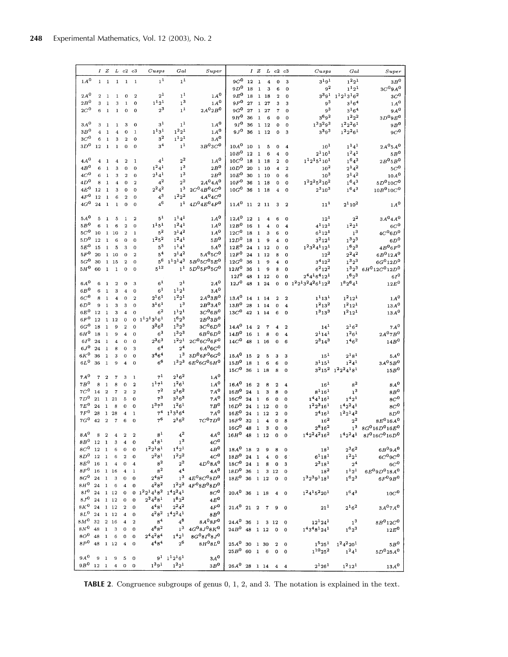|                                               |                | IZ                           |                         | $L$ $c2$ $c3$              |                            | $C$ usps                        | Gal                               | Super                              |                               |          |                              | IZLc2c3             |                         |                                       | $C$ usps                       | Gal                                               | Super                                     |
|-----------------------------------------------|----------------|------------------------------|-------------------------|----------------------------|----------------------------|---------------------------------|-----------------------------------|------------------------------------|-------------------------------|----------|------------------------------|---------------------|-------------------------|---------------------------------------|--------------------------------|---------------------------------------------------|-------------------------------------------|
| 1A <sup>0</sup>                               | $\mathbf{1}$   | $\mathbf{1}$                 | $\mathbf{1}$            | $\mathbf{1}$               | $\mathbf{I}$               | 1 <sup>1</sup>                  | 1 <sup>1</sup>                    |                                    | $9C^0$                        | 12       | $\mathbf{1}$                 | $\overline{\bf 4}$  | $\Omega$                | 3                                     | $3^{1}9^{1}$                   | $1^22^1$                                          | 3B <sup>0</sup>                           |
|                                               |                |                              |                         |                            |                            |                                 |                                   |                                    | $9D^0$                        | 18       | $\mathbf{1}$                 | 3                   | 6                       | 0                                     | 9 <sup>2</sup>                 | $1^{1}2^{1}$                                      | 3C <sup>0</sup> 9A <sup>0</sup>           |
| $2A^0$                                        | $\overline{2}$ | 1                            | 1                       | $\mathbf 0$                | $\boldsymbol{2}$           | $2^1$                           | 1 <sup>1</sup>                    | $1A^0$                             | $9E^0$                        | 18       |                              | 118                 | $\overline{2}$          | 0                                     | $3^{3}9^{1}$                   | $1^12^13^16^2$                                    | 3C <sup>0</sup>                           |
| $2B^0$                                        | 3              | $\mathbf{1}$                 | 3                       | $\mathbf 1$                | $\bf{0}$                   | $1^{1}2^{1}$                    | $\mathbf{1}^3$                    | $1\,A^0$                           | $9F^0$                        | 27       |                              | 1 27                | 3                       | 3                                     | $\mathfrak{g}^3$               | $3^{1}6^{4}$                                      | $1\,A^0$                                  |
| $2C^{\hspace{0.05cm}0}$                       | 6              | $\mathbf{1}$                 | $\mathbf{1}$            | $\Omega$                   | $\bf{0}$                   | $2^3$                           | $\mathbf{1}^1$                    | $2A^02B^0$                         | $9G^0$                        | 27       |                              | 1 27                | $\overline{7}$          | 0                                     | $9^3$                          | $3^{1}6^{4}$                                      | $9A^0$                                    |
|                                               |                |                              |                         |                            |                            |                                 |                                   |                                    | $9H^0$                        | 36       | $\mathbf{1}$                 | 6                   | $\bf{0}$                | $\Omega$                              | $3^{6}9^{2}$                   | $\begin{smallmatrix} 1 & 2 & 2 \end{smallmatrix}$ | 3D <sup>0</sup> 9E <sup>0</sup>           |
| 3A <sup>0</sup>                               | 3              | 1                            | $\mathbf{1}$            | 3                          | $\bf{0}$                   | 3 <sup>1</sup>                  | 1 <sup>1</sup><br>$1^22^1$        | $1A^0$                             | $9I^0$                        | 36       |                              | 1 12                | $\mathbf 0$             | 0                                     | $1^33^29^3$                    | $1^2 2^2 6^1$                                     | 9B <sup>0</sup>                           |
| 3B <sup>0</sup><br>$3\mathbb{C}^{\mathbb{O}}$ | $\overline{4}$ | $\mathbf 1$                  | $\bf{4}$                | $\mathbf 0$                | 1                          | $1^{1}3^{1}$<br>3 <sup>2</sup>  | $1^{1}2^{1}$                      | 1A <sup>0</sup><br>$3A^0$          | $9J^0$                        | 36       |                              | 1 12                | $\bf{0}$                | 3                                     | $3^{3}9^{3}$                   | $1^2 2^2 6^1$                                     | $9C^0$                                    |
| $3D^0$                                        | 6<br>12        | $\mathbf{1}$<br>$\mathbf{1}$ | 3<br>$\mathbf{1}$       | $\overline{2}$<br>$\bf{0}$ | $\mathbf 0$<br>$\mathbf 0$ | 3 <sup>4</sup>                  | 1 <sup>1</sup>                    | $3B^03C^0$                         | $10A^0$                       | 10       |                              | 5                   | 0                       |                                       | $10^{1}$                       | $1^{1}4^{1}$                                      | 2A <sup>0</sup> 5A <sup>0</sup>           |
|                                               |                |                              |                         |                            |                            |                                 |                                   |                                    | $10B^0$                       | 12       | $\mathbf{1}$<br>$\mathbf{1}$ | 6                   | $\overline{\bf{4}}$     | 4<br>0                                | $2^{1}10^{1}$                  | $1^24^1$                                          | $5B^0$                                    |
| $4A^0$                                        | 4              | 1                            | 4                       | $\overline{2}$             | $\mathbf{1}$               | $4^1$                           | $2^2$                             | 1A <sup>0</sup>                    | $10C^0$                       | 18       |                              | 1 18                | $\mathbf{2}$            | $\Omega$                              | $112151101$                    | $1^{6}4^{3}$                                      | $2B^05B^0$                                |
| $4B^0$                                        | 6              | 1                            | 3                       | $\mathbf 0$                | $\mathbf{O}$               | $1^24^1$                        | 1 <sup>3</sup>                    | $2B^0$                             | $10D^0$                       | 20       |                              | 1 10                | $\overline{\bf{4}}$     | $\overline{2}$                        | $10^2\,$                       | $2^{1}4^{2}$                                      | 5C <sup>0</sup>                           |
| $4C^0$                                        | 6              | $\mathbf{1}$                 | 3                       | $\overline{a}$             | $\bf{0}$                   | $2^{1}4^{1}$                    | $\boldsymbol{1^3}$                | 2B <sup>0</sup>                    | $10E^0$                       | 30       |                              | 1 10                | 0                       | 6                                     | 10 <sup>3</sup>                | $2^{1}4^{2}$                                      | 10A <sup>0</sup>                          |
| $4D^0$                                        | 8              | $\mathbf{1}$                 | $\overline{4}$          | $\mathbf 0$                | $\overline{2}$             | $4^2$                           | $\rm 2^2$                         | $2A^0 4A^0$                        | $10F^0$                       | 36       |                              | 1 18                | 0                       | 0                                     | $1^2 2^2 5^2 10^2$             | $1^{6}4^{3}$                                      | $5D^{0}10C^{0}$                           |
| $4E^0$                                        | 12             | $\mathbf{1}$                 | 3                       | $\Omega$                   | $\bf{0}$                   | $2^24^2$                        | 1 <sup>3</sup>                    | $2C^{0}4B^{0}4C^{0}$               | $10G^{\mathbf{0}}$            | 36       |                              | 1 18                | $\overline{\bf{4}}$     | 0                                     | $2^3 10^3$                     | $1^64^3$                                          | $10B^010C^0$                              |
| $4F^0$                                        | 12             | $\mathbf{1}$                 | 6                       | $\overline{2}$             | $\bf{0}$                   | $4^3$                           | $1^22^2$                          | $4A^04C^0$                         |                               |          |                              |                     |                         |                                       |                                |                                                   |                                           |
| $4G^0$                                        | 24             | $\mathbf{1}$                 | $\mathbf{1}$            | $\bf{0}$                   | $\bf{o}$                   | $4^6$                           |                                   | $1^1$ $4D^0 4E^0 4F^0$             | $11A^0$ 11                    |          |                              | 2 1 1               | 3                       | $\overline{2}$                        | $11^{1}$                       | $2^1 10^2$                                        | $1\text{\AA}^0$                           |
|                                               |                |                              |                         |                            |                            |                                 |                                   |                                    |                               |          |                              |                     |                         |                                       |                                |                                                   |                                           |
| $5A^0$                                        | 5              | $\mathbf{1}$                 | 5                       | $\mathbf{1}$               | $\overline{2}$             | $5^{1}$                         | $1^{141}$                         | $1A^0$                             | $12A^{\mathbf{0}}$            | 12       | $\mathbf{1}$                 | $\overline{\bf 4}$  | 6                       | 0                                     | $12^{1}$                       | $\rm 2^2$                                         | 3A <sup>0</sup> 4A <sup>0</sup>           |
| 5B <sup>0</sup>                               | 6              | $\mathbf{1}$                 | 6                       | $\overline{2}$             | $\bf{0}$                   | $1^{1}5^{1}$                    | $1^24^1$                          | 1A <sup>0</sup>                    | 12B <sup>0</sup>              | 16       | $\mathbf{1}$                 | 4                   | 0                       | $\overline{\bf{4}}$                   | $4^{1}12^{1}$                  | $1^22^1$                                          | 6C <sup>0</sup>                           |
| $5C^0$                                        | 10             | $\mathbf{1}$                 | 10                      | $\overline{2}$             | 1                          | $\rm 5^2$                       | $2^{1}4^{2}$                      | $1\,A^0$                           | 12C <sup>0</sup>              | 18       | $\mathbf{1}$                 | 3                   | 6                       | 0                                     | $6^{1}12^{1}$                  | 1 <sup>3</sup>                                    | $4C^06D^0$                                |
| $5D^0$                                        | 12             | $\mathbf{1}$                 | 6                       | $\bf{0}$                   | $\bf{0}$                   | $1^{2}5^{2}$                    | $1^24^1$                          | 5B <sup>0</sup>                    | $12D^0$                       | 18       | $\mathbf{1}$                 | 9                   | $\overline{\bf 4}$      | 0                                     | $3^2 12^1$                     | $1^3 2^3$                                         | $6D^0$                                    |
| $5E^0$                                        | 15             | $\mathbf{1}$                 | 5                       | 3                          | $\mathbf 0$                | $\rm 5^3$                       | $1^{1}4^{1}$                      | $5A^0$<br>$5A^05C^0$               | $12E^0$                       | 24       |                              | 1 1 2               | $\mathbf 0$             | 0                                     | $1^23^24^112^1$                | $1^6 2^3$                                         | $4B^06F^0$                                |
| $5F^0$                                        | 20             |                              | 110                     | $\mathbf 0$                | $\overline{2}$             | $5^{4}$<br>$\rm 5^6$            | $2^{1}4^{2}$<br>$1^{1}2^{1}4^{3}$ | $5B^05C^05E^0$                     | $12F^0$                       | 24       |                              | 1 12                | 8                       | 0                                     | $12^{2}$                       | $2^24^2$                                          | $6B^012A^0$                               |
| $5G^0$<br>$5H^0$                              | 30<br>60       | $\mathbf{1}$<br>$\mathbf{1}$ | 15<br>$\mathbf{1}$      | $\overline{2}$             | 0                          | $5^{12}$                        |                                   | $1^1 5D^0 5F^0 5G^0$               | $12G^0$<br>$12H^0$            | 36<br>36 | $\mathbf{1}$<br>$\mathbf{1}$ | 9                   | $\overline{\bf 4}$      | 0                                     | $3^{4}12^{2}$<br>$6^2 12^2$    | $1^32^3$<br>$1^3 2^3$                             | $6G^{0}12D^{0}$<br>$6H^{0}12C^{0}12D^{0}$ |
|                                               |                |                              |                         | $\mathbf 0$                | $\bf{0}$                   |                                 |                                   |                                    | $12I^{\mathbf{0}}$            | 48       |                              | 9<br>$1\quad12$     | 8<br>$\bf{0}$           | $\Omega$<br>$\Omega$                  | $244164121$                    | $1^6 2^3$                                         | $6I^0$                                    |
| $6A^0$                                        | 6              | $\mathbf{1}$                 | $\overline{\mathbf{2}}$ | $\mathbf{0}$               | 3                          | 6 <sup>1</sup>                  | $2^{1}$                           | $2A^0$                             | $12J^0$                       | 48       |                              | 1 24                | $\mathbf 0$             |                                       | 0 $1^2 2^1 3^2 4^2 6^1 1 2^2$  | $1^8 2^6 4^1$                                     | $12E^0$                                   |
| $6B^0$                                        | 6              | $\mathbf 1$                  | 3                       | 4                          | 0                          | 6 <sup>1</sup>                  | $1^{1}2^{1}$                      | $3A^0$                             |                               |          |                              |                     |                         |                                       |                                |                                                   |                                           |
| $6C\rm ^0$                                    | 8              | $\mathbf{1}$                 | $\boldsymbol{4}$        | $\bf{0}$                   | $\overline{2}$             | $2^{1}6^{1}$                    | $1^{2}2^{1}$                      | 2A <sup>0</sup> 3B <sup>0</sup>    | $_{13A}$ $\,$                 | 14       |                              | 1 14                | $\overline{2}$          | $\mathbf{2}$                          | $1^1 13^1$                     | $1^2 12^1$                                        | $1\text{\AA}^0$                           |
| $6D^0$                                        | 9              | $\mathbf{1}$                 | 3                       | 3                          | $\theta$                   | $3^{1}6^{1}$                    | 1 <sup>3</sup>                    | $2B^03A^0$                         | $_{13B}^{\rm 0}$              | 28       |                              | 1 14                | 0                       | $\overline{\bf 4}$                    | 1 <sup>2</sup> 13 <sup>2</sup> | $1^2 12^1$                                        | $13A^0$                                   |
| $6E^0$                                        | 12             | 1                            | 3                       | 4                          | 0                          | 6 <sup>2</sup>                  | $1^{1}2^{1}$                      | 3C <sup>0</sup> 6B <sup>0</sup>    | $_{13C}\mbox{^o}$             | 42       |                              | 1 14                | $6\phantom{1}6$         | $\mathbf 0$                           | $1^3$ 13 <sup>3</sup>          | $1^2 12^1$                                        | $13A^0$                                   |
| $6F^0$                                        | 12             |                              | 1 12                    | $\mathbf 0$                | $\mathbf{O}$               | $1^{1}2^{1}3^{1}6^{1}$          | $1^{6}2^{3}$                      | $2B^03B^0$                         |                               |          |                              |                     |                         |                                       |                                |                                                   |                                           |
| $6G^0$                                        | 18             | 1                            | 9                       | $\overline{2}$             | $\theta$                   | $3^26^2$                        | $1^32^3$                          | 3C <sup>0</sup> 6D <sup>0</sup>    | $14A^0$                       | 14       | $\overline{a}$               | $\overline{7}$      | 4                       | $\overline{2}$                        | $14^{1}$                       | $2^{1}6^{2}$                                      | $7A^0$                                    |
| $6H^0$                                        | 18             | $\mathbf{1}$                 | 9                       | $\overline{\bf 4}$         | 0                          | $6^3$                           | $1^32^3$                          | $6B^06D^0$                         | 14B <sup>0</sup>              | 16       | $\mathbf 1$                  | 8                   | $\Omega$                | $\overline{\bf{4}}$                   | $2^{1}14^{1}$                  | $1^26^1$                                          | $2A^{0}7B^{0}$                            |
| $6I^0$                                        | 24             | $\mathbf 1$                  | $\overline{\bf 4}$      | $\mathbf 0$                | 0                          | $2^36^3$                        | $1^22^1$                          | $2C^{0}6C^{0}6F^{0}$               | $14C^0$                       | 48       |                              | 1 16                | $\bf{0}$                | 6                                     | $2^3$ 14 <sup>3</sup>          | $1^{4}6^{2}$                                      | 14B <sup>0</sup>                          |
| $6J^{\mathbf{0}}$                             | 24             | $\mathbf{1}$                 | 8                       | 0                          | 3                          | $\rm 6^4$                       | 2 <sup>4</sup>                    | $6A^{0}6C^{0}$                     |                               |          |                              |                     |                         |                                       |                                |                                                   |                                           |
| $6K^0$                                        | 36             | $\mathbf{1}$                 | 3                       | $\mathbf 0$                | $\bf{0}$                   | $3^{4}6^{4}$                    |                                   | $1^3$ $3D^06F^06G^0$               | $15A^0$                       | 15       | $\overline{2}$               | 5                   | $\bf{3}$                | 3                                     | $15^{1}$                       | $2^{18}$                                          | $5\mathcal{A}^0$                          |
| $6L^0$                                        | 36             | $\mathbf{1}$                 | 9                       | 4                          | $\Omega$                   | $6^6$                           |                                   | $1^32^3$ 6 $E^0$ 6 $G^0$ 6 $H^0$   | $15B^0$                       | 18       | $\mathbf 1$                  | 6                   | 6                       | $\mathbf 0$                           | $3^{1}15^{1}$                  | $1^24^1$                                          | $3A^05B^0$                                |
|                                               |                |                              |                         |                            |                            |                                 |                                   |                                    | $15C^0$ 36                    |          |                              | 1 18                | 8                       | $\Omega$                              |                                | $3^2 15^2$ $1^2 2^2 4^1 8^1$                      | $15B^0$                                   |
| $7A^0$                                        | $\overline{7}$ | $\overline{2}$               | $\overline{7}$          | 3                          | 1                          | $7^{1}$                         | $2^{1}6^{2}$                      | $1\,A^0$                           |                               |          |                              |                     |                         |                                       |                                |                                                   |                                           |
| 7B <sup>0</sup><br>$7C^0$                     | 8              | $\mathbf{1}$                 | 8                       | $\mathbf 0$                | $\overline{2}$             | $1^{171}$<br>$7^2$              | $1^{2}6^{1}$<br>$2^{1}6^{2}$      | 1A <sup>0</sup><br>$7A^0$          | $16A^0$                       | 16       | $\boldsymbol{2}$             | 8                   | $\overline{2}$          | 4                                     | $16^1$                         | $8^2$                                             | $8\,A^0$                                  |
| $7D^0$                                        | 14<br>21       | $\bf{2}$<br>$\mathbf{1}$     | $\overline{7}$          | $\overline{2}$<br>5        | $\overline{c}$             | $7^3$                           | $3^{1}6^{3}$                      | $7A^0$                             | $16B^0$<br>$16C^{\mathbf{0}}$ | 24       | $\mathbf{1}$                 | 3                   | 8                       | $\mathbf 0$                           | $8^{1}16^{1}$<br>$1^44^116^1$  | $\boldsymbol{1^3}$                                | $8B^0$                                    |
| $7E^0$                                        | 24             | $\mathbf{1}$                 | 21<br>8                 | $\mathbf{0}$               | 0<br>0                     | $1^37^3$                        | $1^{2}6^{1}$                      | $7B^0$                             | $16D^0$                       | 24<br>24 | $\mathbf{1}$<br>$\mathbf{1}$ | 6<br>12             | 0<br>0                  | $\mathbf 0$<br>$\bf{0}$               | $1^2 2^3 16^1$                 | $1^{4}2^{1}$<br>$142241$                          | $\rm{8} \mathbb{C}^0$<br>$\rm 8C^{0}$     |
| $7F^0$                                        | 28             | $\mathbf{1}$                 | 28                      | 4                          | $\mathbf{1}$               | 7 <sup>4</sup>                  | $1^{1}3^{1}6^{4}$                 | $7A^0$                             | $16E^0$                       | 24       | $\mathbf{1}$                 | 12                  | $\overline{2}$          | 0                                     | $2^{4}16^{1}$                  | $1^2 2^1 4^2$                                     | $8D^0$                                    |
| $7G^0$                                        | 42             | $\overline{2}$               | $\overline{7}$          | 6                          | $\Omega$                   | 7 <sup>6</sup>                  | $2^{1}6^{2}$                      | $7C^{0}$ $7D^{0}$                  | $16F^0$                       | 32       | $\mathbf{1}$                 | $\ddot{\textbf{4}}$ | 0                       | 8                                     | $16^2$                         | $2^2$                                             | $8E^{0}16A^{0}$                           |
|                                               |                |                              |                         |                            |                            |                                 |                                   |                                    | $16G^0$                       | 48       | $\mathbf{1}$                 | 3                   | $\mathbf 0$             | $\mathbf 0$                           | $2^8 16^2$                     | $1^3$                                             | $8G^016D^016E^0$                          |
| $8\,A^0$                                      |                | $8\quad 2$                   | 4                       | $\bf 2$                    | $\overline{a}$             | $s^1$                           | $\mathbf{4}^{\mathbf{2}}$         | $4A^0$                             | $16H^0$                       | 48       |                              | 1 12                | 0                       | $\mathbf 0$                           | $142242162$                    | $1^42^24^1$                                       | $8I^0$ 16 $C^0$ 16 $D^0$                  |
| $8B^0$ 12                                     |                | $\mathbf{1}$                 | 3                       | 4                          | $\mathbf 0$                | $4^{181}$                       | 1 <sup>3</sup>                    | 4C <sup>0</sup>                    |                               |          |                              |                     |                         |                                       |                                |                                                   |                                           |
| $8C^0$                                        | 12             | $\mathbf 1$                  | 6                       | $\theta$                   | $\mathbf 0$                | $1^2 2^1 8^1$                   | $1^{4}2^{1}$                      | 4B <sup>0</sup>                    | $18A^0$                       | 18       | $\boldsymbol{2}$             | 9                   | 8                       | $^{\circ}$                            | $18^{1}$                       | $2^36^2$                                          | $6B^09A^0$                                |
| $\sqrt{s}D^0$                                 | 12             | $\mathbf{1}$                 | 6                       | $\overline{2}$             | $\mathbf 0$                | $2^28^1$                        | $1^22^2$                          | $4C^0$                             | $_{18B}$ 0 $\,$               | 24       | $\mathbf{1}$                 | $\overline{\bf 4}$  | $\Omega$                | 6                                     | $6^{1}18^{1}$                  | $1^22^1$                                          | $6C^{0}9C^{0}$                            |
| $8E^0$                                        | 16             | $\mathbf{1}$                 | $\overline{\bf 4}$      | $\Omega$                   | $\overline{4}$             | $\rm 8^2$                       | $2^2$                             | $4D^{0}8A^{0}$                     | $_{18C}\mbox{0}$              | 24 1     |                              | 8                   | $\bf{0}$                | 3                                     | $2^3 18^1$                     | 2 <sup>4</sup>                                    | $6C^0$                                    |
| $8F^0$                                        | 16             | $\mathbf{1}$                 | <sup>16</sup>           | 4                          | 1                          | $8^2$                           | 4 <sup>4</sup>                    | 4A <sup>0</sup>                    | $18D^0$                       | 36       | $\mathbf{1}$                 |                     | 3 1 2                   | $\mathbf 0$                           | $18^{2}$                       | $1^{1}2^{1}$                                      | $6E^{0}9D^{0}18A^{0}$                     |
| $8G^0$                                        | 24             | $\mathbf{1}$                 | 3                       | $\overline{0}$             | $\bf{0}$                   | $2^{4}8^{2}$                    | $1^3$                             | $4E^{0}8C^{0}8D^{0}$               | $18E^0$ 36                    |          |                              | 1 12                | $\mathbf{0}$            | $\Omega$                              | $1^3 2^3 9^1 18^1$             | $1^62^3$                                          | $6F^09B^0$                                |
| $8 H^0$                                       | 24             | $\mathbf{1}$                 | 6                       | $\overline{\mathbf{4}}$    | $\bf{0}$                   | $4^{2}8^{2}$                    | $1^2 2^2$                         | $4F^{0}8B^{0}8D^{0}$               |                               |          |                              |                     |                         |                                       |                                |                                                   |                                           |
| $8I^0$ 24                                     |                |                              | 1 12                    | $\bf{0}$                   | $\Omega$                   | $1^2 2^1 4^1 8^2$ $1^4 2^2 4^1$ |                                   | $\rm 8C^0$                         | $20A^0$ 36 1 18               |          |                              |                     | $\overline{\mathbf{4}}$ | $\overline{\mathbf{0}}$               | $1^2 4^1 5^2 20^1$             | $1^64^3$                                          | $10C^0$                                   |
| $8J^0$                                        | 24             |                              | 112                     | 0                          | $\Omega$                   | $2^2 4^3 8^1$                   | $1^82^2$                          | $4E^0$                             |                               |          |                              |                     |                         |                                       |                                |                                                   |                                           |
| $8K^0$ 24                                     |                |                              | 1 12                    | $\overline{2}$             | $\mathbf 0$                | $4^{4}8^{1}$                    | $2^2 4^2$                         | $4F^0$                             | $21A^0$ 21 2                  |          |                              | $\overline{7}$      | 9                       | $\overline{0}$                        | $21^{1}$                       | $2^{16^2}$                                        | 3A <sup>0</sup> 7A <sup>0</sup>           |
| $8L^{\mathrm{O}}$<br>$8\,M^0$                 | 24             |                              | 1 12                    | $\overline{\bf{4}}$        | $\mathbf{0}$               | 8 <sup>4</sup>                  | $4^28^2$ $1^42^24^1$              | $8B^0$                             |                               |          |                              |                     |                         |                                       |                                |                                                   |                                           |
| $8{\cal N}^0$                                 | 32             |                              | 2 16                    | $\overline{\bf{4}}$        | $\overline{2}$             | $4^{8}8^{2}$                    | $4^8$                             | $8A^08F^0$<br>$4G^{0}8J^{0}8K^{0}$ | $24A^0$ 36 1 3 12             |          |                              |                     |                         | $\overline{\mathbf{0}}$               | $12^{1}24^{1}$                 | 1 <sup>3</sup>                                    | $8B^012C^0$                               |
| $\rm 8O^0$                                    | 48<br>48       | $\mathbf{1}$<br>$\mathbf{1}$ | 3<br>6                  | 0<br>$\overline{0}$        | $\mathbf 0$<br>$\mathbf 0$ | $2^44^28^4$                     | 1 <sup>3</sup><br>$1^{4}2^{1}$    | $8G^{0}8I^{0}8J^{0}$               | $24B^0$ 48 1 12               |          |                              |                     | $\overline{0}$          | $\overline{\mathbf{0}}$               | $1^43^48^124^1$                | $1^6 2^3$                                         | 12E <sup>0</sup>                          |
| $8\mathbb{P}^0$                               | 48             |                              | 1 12                    | $\overline{\bf{4}}$        | $\Omega$                   | $4^{4}8^{4}$                    | $2^{6}$                           | $8H^08L^0$                         | $25A^0$ 30 1 30               |          |                              |                     |                         |                                       | $1^5 25^1$                     | $1^2 4^2 20^1$                                    |                                           |
|                                               |                |                              |                         |                            |                            |                                 |                                   |                                    | $25B^0$ 60 1 6                |          |                              |                     | $\bf{2}$                | $\overline{\mathbf{0}}$<br>$0\quad 0$ | $1^{10}25^2$                   | $1^24^1$                                          | $5B^0$<br>$5D^0 25A^0$                    |
| $9A^0$                                        | 9              | $\mathbf{1}$                 | 9                       | 5                          | $\Omega$                   |                                 | $9^1$ $1^12^16^1$                 | $3A^0$                             |                               |          |                              |                     |                         |                                       |                                |                                                   |                                           |
| $9B^0$ 12 1                                   |                |                              | $\overline{4}$          | $\mathbf 0$                | $\bf{0}$                   | $1^{3}9^{1}$                    | $1^22^1$                          | 3B <sup>0</sup>                    | $26A^0$ 28 1 14 4 4           |          |                              |                     |                         |                                       | $2^1 26^1$                     | $1^2 12^1$                                        | $13A^0$                                   |
|                                               |                |                              |                         |                            |                            |                                 |                                   |                                    |                               |          |                              |                     |                         |                                       |                                |                                                   |                                           |

**TABLE 2**. Congruence subgroups of genus 0, 1, 2, and 3. The notation is explained in the text.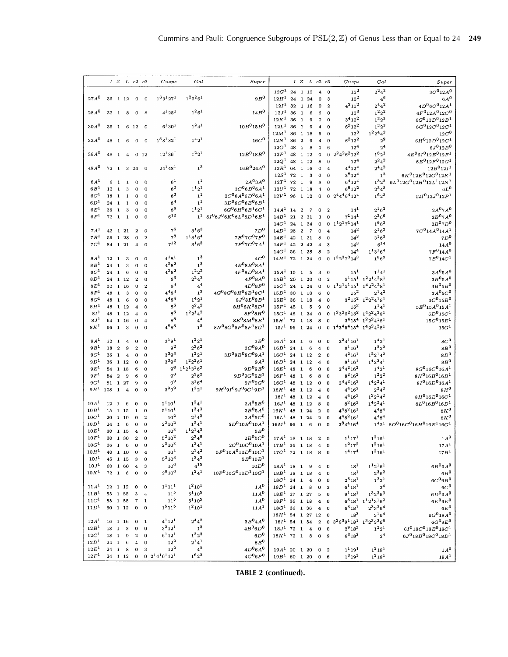|                                      |                                |                | $IZ$ $L$ $c2$ $c3$ |                          |                                  | Cusps                                      | Gal                            | Super                                             |                                      |          |                         | IZLc2c3                 |                                             |                             | Cusps                              | Gal                                                                               | Super                                      |
|--------------------------------------|--------------------------------|----------------|--------------------|--------------------------|----------------------------------|--------------------------------------------|--------------------------------|---------------------------------------------------|--------------------------------------|----------|-------------------------|-------------------------|---------------------------------------------|-----------------------------|------------------------------------|-----------------------------------------------------------------------------------|--------------------------------------------|
|                                      |                                |                |                    |                          |                                  |                                            |                                |                                                   | $12G^1$ 24 1 12                      |          |                         |                         | $\overline{\bf{4}}$                         | $\Omega$                    | $12^{2}$                           | $2^24^2$                                                                          | $3C^{0}12A^{0}$                            |
| $27A^0$                              |                                |                | 36 1 12            | $\mathbf 0$              | $\mathbf 0$                      | $1^63^127^1$                               | $1^2 2^2 6^1$                  | $9B^0$                                            | $12H^1$ 24 1 24                      |          |                         |                         | $\mathbf 0$                                 | 3                           | $12^{2}$                           | $4^6$                                                                             | $6A^0$                                     |
|                                      |                                |                |                    |                          |                                  |                                            |                                |                                                   | 12I <sup>1</sup>                     |          |                         | 32 1 16                 | $\Omega$                                    | $\overline{2}$              | $4^{2}12^{2}$                      | $2^{4}4^{2}$                                                                      | $4D^06C^012A^1$                            |
| $28A^0$                              | 32 1                           |                | - 8                | $\mathbf{0}$             | - 8                              | $4^{1}28^{1}$                              | $1^26^1$                       | 14B <sup>0</sup>                                  | 12J <sup>1</sup>                     | 36       | $\mathbf{1}$            | 6                       | 6                                           | $\mathbf 0$                 | $12^{3}$                           | $1^2 2^2$                                                                         | $4F^012A^012C^0$                           |
|                                      |                                |                |                    |                          |                                  |                                            |                                |                                                   | $12K^{1}$ 36                         |          | $\mathbf{1}$            | 9                       | $\mathbf 0$                                 | $\mathbf 0$                 | $3^4 12^2$                         | $1^3 2^3$                                                                         | $6G^012D^012B^1$                           |
| 30A <sup>0</sup>                     |                                |                | 36 1 6 12 0        |                          |                                  | $6^{1}30^{1}$                              | $1^24^1$                       | $10B^015B^0$                                      | 12L <sup>1</sup>                     | 36       | $\mathbf{1}$            | $\mathbf{9}$            | $\overline{\bf{4}}$                         | $\Omega$                    | $6^2 12^2$                         | $1^3 2^3$                                                                         | $6G^012C^012C^1$                           |
|                                      |                                |                |                    |                          |                                  |                                            |                                |                                                   | 12M <sup>1</sup>                     | 36       |                         | 1 18                    | 6                                           | $\Omega$                    | $12^{3}$                           | $1^2 2^4 4^2$                                                                     | 12C <sup>0</sup>                           |
| 32A <sup>0</sup>                     | 48 1                           |                | - 6                | $\overline{0}$           | $\overline{0}$                   | $1^88^132^1$                               | $1^{4}2^{1}$                   | $16C^{\rm 0}$                                     | 12N <sup>1</sup>                     | 36       | $\overline{2}$          | $\mathbf{9}$            | $\boldsymbol{4}$                            | $\Omega$                    | $6^2 12^2$                         | $2^9$                                                                             | $6H^012D^012C^1$                           |
|                                      |                                |                |                    |                          |                                  | $12^{1}36^{1}$                             | $1^{2}2^{1}$                   | $12B^018B^0$                                      | 12O <sup>1</sup><br>12P <sup>1</sup> | 48<br>48 | $\mathbf{1}$            | 8<br>1 12               | $\mathbf 0$<br>$\mathbf 0$                  | 6                           | $12^{4}$<br>$2^2 4^2 6^2 12^2$     | $\mathbf{2^4}$<br>$1^{6}2^{3}$                                                    | $6J^012B^0$<br>$4E^06I^012E^012F^1$        |
| 36A <sup>0</sup>                     | 48 1                           |                | $\boldsymbol{4}$   | $0\quad12$               |                                  |                                            |                                |                                                   | $12Q^1$                              | 48       |                         | 1 12                    | 8                                           | $\mathbf{0}$<br>$\mathbf 0$ | 12 <sup>4</sup>                    | $2^24^2$                                                                          | $6E^{0}12F^{0}12G^{1}$                     |
| $48A^0$                              |                                |                | 72 1 3 24 0        |                          |                                  | $24^{1}48^{1}$                             | 1 <sup>3</sup>                 | $16B^0 24A^0$                                     | $12R^1$ 64 1 16                      |          |                         |                         | $\Omega$                                    | $\overline{\bf 4}$          | $4^{4}12^{4}$                      | $2^{4}4^{2}$                                                                      | $12B^012I^1$                               |
|                                      |                                |                |                    |                          |                                  |                                            |                                |                                                   | 12S <sup>1</sup>                     | 72       | $\mathbf{1}$            | 3                       | $\Omega$                                    | $\Omega$                    | $3^{8}12^{4}$                      | 1 <sup>3</sup>                                                                    | $6K^012E^012G^012K^1$                      |
| 6A <sup>1</sup>                      | 6                              | $\mathbf{1}$   | $\mathbf{1}$       | $\Omega$                 | $\mathbf 0$                      | $^{61}$                                    | 1 <sup>1</sup>                 | $2A^03A^0$                                        | 12T <sup>1</sup>                     | 72       | $\mathbf{1}$            | $\overline{9}$          | 8                                           | $\Omega$                    | $6^{4}12^{4}$                      | $1^3 2^3$                                                                         | $6L^0$ 12 $G^0$ 12 $H^0$ 12 $L^1$ 12 $N^1$ |
| 6B <sup>1</sup>                      | 12 1                           |                | 3                  | $\overline{0}$           | $\Omega$                         | $\rm 6^2$                                  | $1^{1}2^{1}$                   | $3C^{0}6B^{0}6A^{1}$                              | $12U^1$ 72 1 18                      |          |                         |                         | $\overline{4}$                              | $\mathbf 0$                 | $6^{8}12^{2}$                      | $2^34^3$                                                                          | $6L^0$                                     |
| $6C^{1}$                             | 18 <sub>1</sub>                |                | $\mathbf{1}$       | 0                        | $\overline{0}$                   | $6^3$                                      | 1 <sup>1</sup>                 | $2C^{0}6A^{0}6D^{0}6A^{1}$                        | $12V^1$ 96 1 12                      |          |                         |                         | $\overline{0}$                              |                             | $0.2^44^46^412^4$                  | $1^{6}2^{3}$                                                                      | $12I012J012P1$                             |
| $6D^1$                               | 24                             | $\mathbf{1}$   | $\mathbf{1}$       | $\mathbf 0$              | $\mathbf 0$                      | 6 <sup>4</sup>                             | 1 <sup>1</sup>                 | $3D^06C^06E^06B^1$                                |                                      |          |                         |                         |                                             |                             |                                    |                                                                                   |                                            |
| $6E^1$                               | 36                             | <sup>1</sup>   | $\bf 3$            | $\mathbf 0$              | $\mathbf 0$                      | $6^6$                                      | $1^{1}2^{1}$                   | $6G^06H^06B^16C^1$                                | $14A^1$ 14                           |          | $\overline{\mathbf{2}}$ | $\overline{7}$          | $\theta$                                    | $\overline{2}$              | $14^{1}$                           | $2^{1}6^{2}$                                                                      | $2A^07A^0$                                 |
| 6F <sup>1</sup>                      | 72 1                           |                | $\mathbf{1}$       | $\mathbf{o}$             | $\bf{0}$                         | $6^{12}$                                   | 1 <sup>1</sup>                 | $6I^06J^06K^06L^06D^16E^1$                        | 14B <sup>1</sup>                     | 21 2 21  |                         |                         | 3                                           | $\Omega$                    | $7^114^1$                          | $2^36^6$                                                                          | $2B^07A^0$                                 |
|                                      |                                |                |                    |                          |                                  |                                            |                                |                                                   | $14C^1$ 24 1 24                      |          |                         |                         | $\mathbf 0$                                 |                             | $0 \t1^1 2^1 7^1 14^1$             | $1^{6}6^{3}$                                                                      | $2B^{0}7B^{0}$                             |
| 7A <sup>1</sup>                      | 42 1 21                        |                |                    | $\mathbf 2$              | $\mathbf 0$                      | 7 <sup>6</sup>                             | $3^{1}6^{3}$                   | 7D <sup>0</sup>                                   | 14D <sup>1</sup>                     | 28       | $\overline{2}$          | $\overline{7}$          | $\mathbf 0$                                 | $\overline{\bf{4}}$         | $14^{2}$                           | $2^{1}6^{2}$                                                                      | $7C^014A^014A^1$                           |
| 7B <sup>1</sup>                      | 56                             |                | 1 28               | 0                        | $\overline{2}$                   | $7^8$                                      | $1^{1}3^{1}6^{4}$              | $7B^{0}7C^{0}7F^{0}$                              | 14E <sup>1</sup>                     | 42       |                         | 1 21                    | 8                                           | $\Omega$                    | $14^3$                             | $3^{1}6^{3}$                                                                      | 7D <sup>0</sup>                            |
| $7\mathbb{C}^1$                      | 84                             |                | 1 21               | $\overline{\bf{4}}$      | $\Omega$                         | $7^{12}$                                   | $3^{1}6^{3}$                   | $7F^07G^07A^1$                                    | 14F <sup>1</sup>                     | 42       |                         | 2 4 2                   | $\overline{4}$                              | 3                           | $14^{3}$                           | $6^{14}$                                                                          | $14A^0$                                    |
|                                      |                                |                |                    |                          |                                  |                                            |                                |                                                   | 14G <sup>1</sup>                     | 56       |                         | 1 28                    | 8                                           | $\overline{2}$              | $14^{4}$                           | $1^{1}3^{1}6^{4}$                                                                 | $7F^014A^0$                                |
| 8A <sup>1</sup>                      | 12                             | $\overline{1}$ | 3                  | 0                        | $\mathbf{o}$                     | $4^{181}$                                  | 1 <sup>3</sup>                 | $4C^0$                                            | $14H^1$ 72 1 24                      |          |                         |                         | $\mathbf{O}$                                |                             | $0 \t1^3 2^3 7^3 14^3$             | $1^{6}6^{3}$                                                                      | $7E^{0}14C^{1}$                            |
| 8B <sup>1</sup>                      | 24 1                           |                | 3                  | $\mathbf{O}$             | $\Omega$                         | $4^{2}8^{2}$                               | $\mathbf{1}^3$                 | $4E^{0}8B^{0}8A^{1}$                              |                                      |          |                         |                         |                                             |                             |                                    |                                                                                   |                                            |
| $8C^1$                               | 24                             | $\mathbf{1}$   | 6                  | $\mathbf 0$              | $\mathbf 0$                      | $4^{2}8^{2}$                               | $1^2 2^2$                      | $4F^{0}8D^{0}8A^{1}$                              | 15A <sup>1</sup>                     | 15       | $\mathbf{1}$            | 5                       | 3                                           | $\Omega$                    | 15 <sup>1</sup>                    | $1^{1}4^{1}$                                                                      | 3A <sup>0</sup> 5A <sup>0</sup>            |
| $8D^1$<br>$8E^1$                     | 32 1 16                        |                | 24 1 12            | $\overline{a}$           | $\Omega$                         | $8^3$<br>8 <sup>4</sup>                    | $2^24^2$<br>$\mathbf{4}^4$     | $4F^{0}8A^{0}$<br>$4D^08F^0$                      | $15B^1$ 20<br>$15C^1$ 24             |          |                         | 1 20                    | $\mathbf 0$                                 | $\overline{a}$              | $0 \t1^13^15^115^1$                | $5^1 15^1 1^2 2^1 4^2 8^1$<br>$1^42^24^28^1$                                      | $3B^05A^0$<br>$3B^05B^0$                   |
| $8F^1$                               | 48                             | $\mathbf{1}$   | 3                  | $\Omega$<br>$\mathbf{o}$ | $\overline{2}$<br>$\mathbf 0$    | $4^{4}8^{4}$                               | 1 <sup>3</sup>                 | $4G08G08H08B18C1$                                 | 15D <sup>1</sup>                     |          |                         | 1 24<br>30 1 10         | $\mathbf 0$<br>6                            | 0                           | $15^{2}$                           | $2^{1}4^{2}$                                                                      | 3A <sup>0</sup> 5C <sup>0</sup>            |
| $8G^1$                               | 48                             | $\mathbf{1}$   | 6                  | 0                        | $\Omega$                         | $4^{4}8^{4}$                               | $1^{4}2^{1}$                   | $8J^{0}8L^{0}8B^{1}$                              | $15E^1$                              | 36       |                         | 1 18                    | $\overline{\bf{4}}$                         | $\Omega$                    | $3^2 15^2$                         | $1^2 2^2 4^1 8^1$                                                                 | 3C <sup>0</sup> 15B <sup>0</sup>           |
| $8H^1$                               | 48                             |                | 1 12               | 4                        | 0                                | $8^6$                                      | $2^2 4^2$                      | $8H^{0}8K^{0}8D^{1}$                              | 15F <sup>1</sup>                     | 45       | $\mathbf{1}$            | 5                       | 9                                           | $\Omega$                    | $15^{3}$                           | $1^{1}4^{1}$                                                                      | $5E^{0}15A^{0}15A^{1}$                     |
| 8I <sup>1</sup>                      | 48                             |                | 1 12               | $\overline{\mathbf{4}}$  | $\Omega$                         | $8^6$                                      | $1^2 2^1 4^2$                  | $8F^{0}8H^{0}$                                    | $15G^1$ 48 1 24                      |          |                         |                         | $\mathbf 0$                                 |                             | $0 \t1^23^25^215^2 \t1^42^24^28^1$ |                                                                                   | $5D^0 15C^1$                               |
| $8J^1$                               | 64                             |                | 1 16               | $\mathbf 0$              | $\overline{\mathbf{4}}$          | $\rm8^8$                                   | 4 <sup>4</sup>                 | $8E^{0}8M^{0}8E^{1}$                              | $15H^1$ 72 1 18                      |          |                         |                         | 8                                           | $\mathbf 0$                 |                                    | $3^4 15^4$ $1^2 2^2 4^1 8^1$                                                      | $15C^{0}15E^{1}$                           |
| $8K^1$                               | 96                             | $\mathbf{I}$   | 3                  | $\mathbf 0$              | $\Omega$                         | $4^{8}8^{8}$                               | 1 <sup>3</sup>                 | $8N^08O^08P^08F^18G^1$                            | $15I^1$ 96 1 24                      |          |                         |                         | $\mathbf 0$                                 |                             | 0 $1^43^45^415^4$ $1^42^24^28^1$   |                                                                                   | 15G <sup>1</sup>                           |
|                                      |                                |                |                    |                          |                                  |                                            |                                |                                                   |                                      |          |                         |                         |                                             |                             |                                    |                                                                                   |                                            |
| 9A <sup>1</sup>                      | 12 <sub>1</sub>                |                | 4                  | $\mathbf 0$              | $\mathbf 0$                      | $3^{19}$ <sup>1</sup>                      | $1^2 2^1$                      | 3B <sup>0</sup>                                   | $16A^1$ 24 1 6                       |          |                         |                         | $\mathbf 0$                                 | $\Omega$                    | $2^24^116^1$                       | $1^{4}2^{1}$                                                                      | $8C^0$                                     |
| 9B <sup>1</sup>                      | 18                             | $\overline{2}$ | 9                  | $\overline{a}$           | $\mathbf{o}$                     | 9 <sup>2</sup>                             | $2^3 6^2$                      | 3C <sup>0</sup> 9A <sup>0</sup>                   | $16B^1$ 24                           |          | $\mathbf{1}$            | 6                       | $\overline{\bf{4}}$                         | $\Omega$                    | $8^{1}16^{1}$                      | $\begin{smallmatrix} 1 & 2 & 2 \end{smallmatrix}$                                 | $8B^0$                                     |
| 9C <sup>1</sup>                      | 36 1                           |                | $\overline{4}$     | $\mathbf{0}$             | $\theta$                         | $3^{3}9^{3}$                               | $1^22^1$                       | $3D^{0}9B^{0}9C^{0}9A^{1}$                        | 16C <sup>1</sup>                     |          |                         | 24 1 12                 | $\overline{2}$                              | $\Omega$                    | $4^{2}16^{1}$                      | $1^2 2^1 4^2$                                                                     | $8\,D^0$                                   |
| $9D^1$                               | 36                             |                | 1 12               | $\bf{0}$                 | $\Omega$                         | $3^{3}9^{3}$                               | $1^22^26^1$                    | 9A <sup>1</sup>                                   | 16D <sup>1</sup>                     |          |                         | 24 1 12                 | $\overline{\bf 4}$                          | $\Omega$                    | $8^1 16^1$                         | $1^42^24^1$                                                                       | 8B <sup>0</sup>                            |
| 9E <sup>1</sup>                      | 54                             |                | 1 18               | 6                        | $\mathbf 0$                      | $9^6$<br>9 <sup>6</sup>                    | $11213162$<br>$2^36^2$         | 9D <sup>0</sup> 9E <sup>0</sup><br>$9D^09G^09B^1$ | 16E <sup>1</sup>                     | 48       | $\overline{1}$          | 6                       | $\mathbf 0$                                 | $\mathbf 0$                 | $2^44^216^2$                       | $1^{4}2^{1}$                                                                      | $8G^{0}16C^{0}16A^{1}$                     |
| 9F <sup>1</sup><br>9G <sup>1</sup>   | 54<br>81 1 27                  | $\overline{a}$ | 9                  | 6                        | $\Omega$                         | $9^9\,$                                    | $3^{1}6^{4}$                   | $9F^09G^0$                                        | 16F <sup>1</sup><br>$16G^1$ 48 1 12  | 48       | $\mathbf{1}$            | 6                       | 8                                           | $\Omega$                    | $8^2 16^2$<br>$2^44^216^2$         | $1^2 2^2$<br>$1^42^24^1$                                                          | $8H^0 16B^0 16B^1$<br>$8I^016D^016A^1$     |
| 9H <sup>1</sup>                      | 108                            |                | $1 \quad 4$        | 9<br>$\mathbf 0$         | $\Omega$<br>$\Omega$             | $3^{9}9^{9}$                               | $1^2 2^1$                      | $9H^09I^09J^09C^19D^1$                            | $16H^1$ 48 1 12                      |          |                         |                         | $\mathbf 0$<br>$\overline{\bf{4}}$          | $\Omega$<br>$\bf{0}$        | $4^4 16^2$                         | $2^24^2$                                                                          | $8H^0$                                     |
|                                      |                                |                |                    |                          |                                  |                                            |                                |                                                   | 16I <sup>1</sup>                     | 48       |                         | 1 12                    | $\overline{\bf 4}$                          | $\Omega$                    | $4^{4}16^{2}$                      | $1^2 2^1 4^2$                                                                     | $8H^{0}16E^{0}16C^{1}$                     |
| 10A <sup>1</sup>                     | 12 <sub>1</sub>                |                | 6                  | $\bf o$                  | $\mathbf 0$                      | $2^{1}10^{1}$                              | $1^24^1$                       | $2A^05B^0$                                        | 16J <sup>1</sup>                     | 48       |                         | 1 12                    | 8                                           | $\Omega$                    | $8^2 16^2$                         | $1^42^24^1$                                                                       | $8L^{0}$ 16B <sup>0</sup> 16D <sup>1</sup> |
| 10B <sup>1</sup>                     | 15 1 15                        |                |                    | $\mathbf{1}$             | $\Omega$                         | $5^{1}10^{1}$                              | $1^34^3$                       | 2B <sup>0</sup> 5A <sup>0</sup>                   | $16K^1$ 48                           |          |                         | 1 24                    | $\overline{2}$                              | $\Omega$                    | $4^{4}8^{2}16^{1}$                 | $4^{4}8^{4}$                                                                      | $8K^0$                                     |
| 10C <sup>1</sup>                     | $20 \quad 1 \quad 10$          |                |                    | $\mathbf 0$              | $\overline{2}$                   | $10^{2}$                                   | $2^{1}4^{2}$                   | $2A^05C^0$                                        | $16L^1$ 48 1 24                      |          |                         |                         | $\boldsymbol{2}$                            | 0                           | $4^48^216^1$                       | $4^{4}8^{4}$                                                                      | $8K^0$                                     |
| 10D <sup>1</sup>                     | 24                             | $\mathbf{1}$   | $-6$               | $\mathbf 0$              | $\Omega$                         | $2^2$ 10 $^2$                              | $1^24^1$                       | $5D^010B^010A^1$                                  | $16M^1$ 96 1                         |          |                         | $6\overline{6}$         | $\mathbf{0}$                                | $\Omega$                    | $2^84^416^4$                       |                                                                                   | $1421 8O016G016H016E116G1$                 |
| 10E <sup>1</sup>                     | 30                             |                | 1 15               | $\overline{\bf 4}$       | $\mathbf 0$                      | $10^{3}$                                   | $1^{1}2^{1}4^{3}$              | $5E^0$                                            |                                      |          |                         |                         |                                             |                             |                                    |                                                                                   |                                            |
| 10F <sup>1</sup>                     | 30 1 30                        |                |                    | $\overline{2}$           | $\Omega$                         | $5^2 10^2$                                 | $2^3 4^6$                      | $2B^05C^0$                                        | $17A^1$ 18 1 18                      |          |                         |                         | 2 0                                         |                             | $1^{1}17^{1}$                      | $1^2 16^1$                                                                        | $1A^0$                                     |
| 10G <sup>1</sup>                     | 36                             | $\mathbf{1}$   | 6                  | 0                        | $\mathbf 0$                      | $2^3$ 10 $^3$                              | $1^24^1$                       | $2C^010C^010A^1$                                  | $17B^1$ 36 1 18                      |          |                         |                         | $\blacktriangleleft$                        | $\bf{0}$                    | $1^2 17^2$                         | $1^2 16^1$                                                                        | 17A <sup>1</sup>                           |
| 10H <sup>1</sup>                     |                                |                | 40 1 10            | $\mathbf 0$              | $\boldsymbol{4}$                 | $10^{4}$                                   | $2^{1}4^{2}$                   | $5F^010A^010D^010C^1$                             | $17C^1$ 72 1 18 8 0                  |          |                         |                         |                                             |                             | 1 <sup>4</sup> 17 <sup>4</sup>     | $1^2 16^1$                                                                        | $17B^1$                                    |
| 10I <sup>1</sup>                     | 45 1 15                        |                |                    | 3                        | $\overline{0}$                   | $5^3 10^3$                                 | $1^34^3$                       | $5E^{0}10B^{1}$                                   |                                      |          |                         |                         |                                             |                             |                                    |                                                                                   |                                            |
| 10J <sup>1</sup>                     | 60 1 60                        |                |                    | $\bf{4}$                 | 3                                | $10^{6}$                                   | $4^{15}$                       | 10D <sup>0</sup>                                  | $18A^1$ 18 1 9                       |          |                         |                         | $\overline{\mathbf{4}}$                     | $\Omega$                    | $18^{1}$                           | $1^{1}2^{1}6^{1}$                                                                 | $6B^{0}9A^{0}$                             |
| $10K^1$                              | $72 \quad 1 \quad 6$           |                |                    | $\overline{0}$           | $\overline{0}$                   | $2^6 10^6$                                 | $1^24^1$                       | $10F010G010D110G1$                                | $18B^1$ 18 1 18                      |          |                         |                         | $\bf{4}$                                    | $\Omega$                    | $18^{1}$                           | $2^36^2$                                                                          | $6B^0$                                     |
|                                      |                                |                |                    |                          |                                  |                                            |                                |                                                   | $18C^1$ 24 1                         |          |                         | $\overline{\mathbf{4}}$ | $\bf o$                                     | $\mathbf 0$                 | $2^3 18^1$                         | $1^22^1$                                                                          | 6C <sup>0</sup> 9B <sup>0</sup>            |
| 11A <sup>1</sup><br>11B <sup>1</sup> | $12 \quad 1 \quad 12$          |                |                    | $\bf{0}$                 | $\overline{0}$<br>$\overline{4}$ | 1 <sup>1</sup> 11 <sup>1</sup><br>$11^{5}$ | $1^{2}10^{1}$<br>$5^{1}10^{5}$ | 1A <sup>0</sup>                                   | $18D^1$ 24 1<br>$18E^1$ 27 1 27      |          |                         | $^{\circ}$ 8            | $\mathbf 0$                                 |                             | $6^{1}18^{1}$                      | 2 <sup>4</sup><br>$1^32^36^3$                                                     | $6C^0$                                     |
| 11C <sup>1</sup>                     | $55\quad 1\quad 55$<br>55 1 55 |                |                    | 3<br>$\boldsymbol{7}$    | $\mathbf{1}$                     | $11^{5}$                                   | $5^{1}10^{5}$                  | 11A <sup>0</sup><br>$1A^0$                        | $18F^1$ 36 1 18                      |          |                         |                         | 5                                           | $\Omega$                    | $9^{1}18^{1}$                      | $6^3$ 18 <sup>1</sup> 1 <sup>1</sup> 2 <sup>1</sup> 3 <sup>1</sup> 6 <sup>2</sup> | $6D^09A^0$<br>$6E^09E^0$                   |
| 11D <sup>1</sup>                     |                                |                | 60 1 12 0          |                          | $\overline{0}$                   | 1 <sup>5</sup> 11 <sup>5</sup>             | $1^{2}10^{1}$                  | 11A <sup>1</sup>                                  | $18G^1$ 36 1 36                      |          |                         |                         | $\boldsymbol{4}$<br>$\overline{\mathbf{4}}$ |                             | $6^3 18^1$                         | $2^33^26^4$                                                                       | $6E^0$                                     |
|                                      |                                |                |                    |                          |                                  |                                            |                                |                                                   | $18H^1$ 54 1 27 12                   |          |                         |                         |                                             | $\mathbf 0$                 | $18^3$                             | $3^{1}6^{4}$                                                                      | $9G^{0}18A^{0}$                            |
| 12A <sup>1</sup>                     | 16                             |                | 1 16               | $\mathbf 0$              | $\mathbf{1}$                     | $4^{1}12^{1}$                              | $2^44^2$                       | $3B^0 4A^0$                                       | $18I^1$ 54 1 54                      |          |                         |                         | $\overline{2}$                              | $\mathbf{0}$                | $3^36^39^118^1$ $1^32^33^36^6$     |                                                                                   | $6G^{0}9E^{0}$                             |
| 12B <sup>1</sup>                     | 18                             | $\mathbf{1}$   | 3                  | $\mathbf{O}$             | $\bf{0}$                         | $3^2 12^1$                                 | 1 <sup>3</sup>                 | $4B^{0}6D^{0}$                                    | $18J^1$ 72 1                         |          |                         | $\overline{\mathbf{4}}$ | $\mathbf 0$                                 | $\mathbf 0$                 | $2^9 18^3$                         | $1^22^1$                                                                          | $6I018C018E018C1$                          |
| 12C <sup>1</sup>                     | 18                             | $\mathbf{1}$   | $9$                | $\boldsymbol{2}$         | $\mathbf 0$                      | $6^{1}12^{1}$                              | $1^32^3$                       | $6D^0$                                            | $18K^1$ 72 1                         |          |                         | $\boldsymbol{8}$        | $\bf{0}$                                    | 9                           | $6^318^3$                          | 2 <sup>4</sup>                                                                    | $6J^0$ 18 $B^0$ 18 $C^0$ 18 $D^1$          |
| 12D <sup>1</sup>                     | 24                             | $\mathbf{1}$   | 6                  | $\overline{4}$           | $\Omega$                         | $12^{2}$                                   | $2^{1}4^{1}$                   | $6E^0$                                            |                                      |          |                         |                         |                                             |                             |                                    |                                                                                   |                                            |
| 12E <sup>1</sup>                     | 24 1                           |                | 8                  | $\mathbf 0$              | 3                                | $12^2\,$                                   | $4^2$                          | $4D^06A^0$                                        | $19A^1$ 20 1 20                      |          |                         |                         | $\mathbf{0}$                                | $\overline{2}$              | $1^{1}19^{1}$                      | $1^2 18^1$                                                                        | $1A^0$                                     |
| 12F <sup>1</sup>                     | 24 1 12                        |                |                    | $\mathbf 0$              |                                  | $0\quad 2^14^16^112^1$                     | $1^62^3$                       | $4C^{0}6F^{0}$                                    | $19B^1$ 60 1 20                      |          |                         |                         |                                             | $0\quad 6$                  | $1^3 19^3$                         | $1^2 18^1$                                                                        | 19A <sup>1</sup>                           |
|                                      |                                |                |                    |                          |                                  |                                            |                                |                                                   |                                      |          |                         |                         |                                             |                             |                                    |                                                                                   |                                            |

**TABLE 2 (continued).**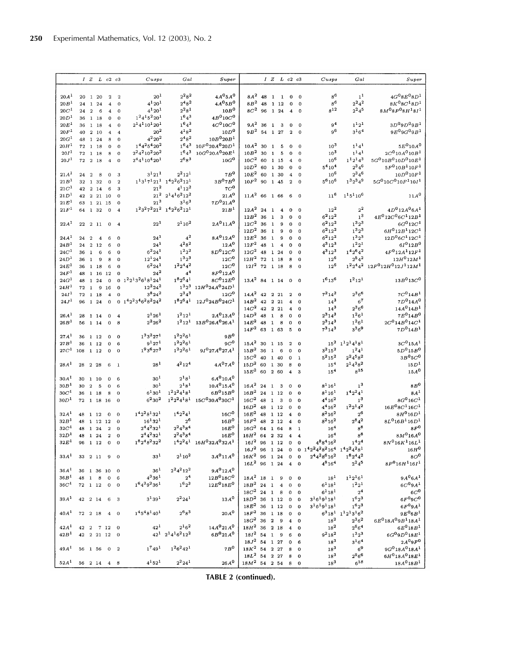|                  |          |                |                                     | IZLc2c3                 |                     | Cusps                                                | Gal                                  | Super                                                                  |                                 |               |                | IZLc2c3            |                         |                         | Cusps                                               | Gal                                                                               | Super                                                      |
|------------------|----------|----------------|-------------------------------------|-------------------------|---------------------|------------------------------------------------------|--------------------------------------|------------------------------------------------------------------------|---------------------------------|---------------|----------------|--------------------|-------------------------|-------------------------|-----------------------------------------------------|-----------------------------------------------------------------------------------|------------------------------------------------------------|
| 20A <sup>1</sup> |          |                | 20 1 20                             | $\overline{a}$          | $\mathcal{D}$       | $20^{1}$                                             | $2^28^2$                             | $4A^05A^0$                                                             | $8A^2$ 48                       |               | $\mathbf{1}$   | $\mathbf{1}$       | $\mathbf 0$             | $\Omega$                | $8^6$                                               | 1 <sup>1</sup>                                                                    | $4G^{0}8E^{0}8D^{1}$                                       |
| 20B <sup>1</sup> |          |                | 24 1 24                             | $\overline{\bf{4}}$     | $\mathbf 0$         | $4^{1}20^{1}$                                        | $2^{4}8^{2}$                         | $4A^05B^0$                                                             | $8B^2$ 48                       |               |                | 1 1 2              | $\mathbf 0$             | $\bf{0}$                | $\rm8^6$                                            | $2^2 4^2$                                                                         | $8K^{0}8C^{1}8D^{1}$                                       |
| 20C <sup>1</sup> | 24       | $\overline{2}$ | - 6                                 | $\overline{\bf 4}$      | $\overline{0}$      | $4^{1}20^{1}$                                        | $2^28^1$                             | 10B <sup>0</sup>                                                       | $8C^2$ 96 1 24                  |               |                |                    | $\overline{\mathbf{4}}$ | $\mathbf 0$             | $\rm8^{12}$                                         | $2^2 4^5$                                                                         | $8M^08P^08H^18I^1$                                         |
| 20D <sup>1</sup> |          |                | 36 1 18                             | $\Omega$                | $\mathbf{0}$        | $1^24^15^220^1$                                      | $1^{6}4^{3}$                         | $4B^{0}10C^{0}$                                                        |                                 |               |                |                    |                         |                         |                                                     |                                                                                   |                                                            |
| 20E <sup>1</sup> |          |                | 36 1 18                             | $\overline{\bf{4}}$     | 0                   | $2^14^110^120^1$                                     | $1^64^3$                             | $4C^{0}10C^{0}$                                                        | $9A^2$ 36                       |               | <sup>1</sup>   | $_{3}$             | $\mathbf 0$             | $\mathbf 0$             | 9 <sup>4</sup>                                      | $1^{1}2^{1}$                                                                      | $3D^{0}9D^{0}9B^{1}$                                       |
| 20F <sup>1</sup> |          |                | 40 2 10                             | $\overline{\mathbf{4}}$ |                     | $20^{2}$                                             | $4^{1}8^{2}$                         | 10D <sup>0</sup>                                                       | $9B^2$ 54 1 27                  |               |                |                    | $\overline{2}$          | $\mathbf 0$             | $9^6$                                               | $3^{1}6^{4}$                                                                      | $9E^{0}9G^{0}9B^{1}$                                       |
| 20G <sup>1</sup> |          |                | 48 1 24                             | 8                       | $\Omega$            | $4^{2}20^{2}$                                        | $2^{4}8^{2}$                         | $10B^{0}20B^{1}$                                                       |                                 |               |                |                    |                         |                         |                                                     |                                                                                   |                                                            |
| 20H <sup>1</sup> |          |                | 72 1 18                             | $\Omega$                | $\Omega$            | $144254202$                                          |                                      | $1^64^3$ $10F^0$ 20A $^0$ 20D <sup>1</sup>                             | $10A^2$ 30                      |               | $\mathbf{1}$   | - 5                | $\mathbf 0$             | $\Omega$                | 10 <sup>3</sup>                                     | $1^{1}4^{1}$                                                                      | $5E^{0}10A^{0}$                                            |
| 20I <sup>1</sup> |          |                | 72 1 18                             | 8                       | $\mathbf 0$         | $2^2$ 4 <sup>2</sup> 10 <sup>2</sup> 20 <sup>2</sup> | 1643                                 | $10G^{0}20A^{0}20E^{1}$                                                | $10B^2$ 30                      |               | $\mathbf{1}$   | $-5$               | $\mathbf 0$             | $\mathbf 0$             | $10^{3}$                                            | $1^{1}4^{1}$                                                                      | $2C^{0}10A^{0}10B^{1}$                                     |
| 20J <sup>1</sup> |          |                | 72 2 18                             | $\boldsymbol{A}$        | $\Omega$            | $2^4$ 4 <sup>1</sup> 10 <sup>4</sup> 20 <sup>1</sup> | $2^{6}8^{3}$                         | $10G^0$                                                                | $10C^2$                         | 60 1 15       |                |                    | $\overline{\mathbf{4}}$ | $\mathbf 0$             | $10^{6}$                                            | $1^1 2^1 4^3$                                                                     | $5G^010B^010D^010E^1$                                      |
|                  |          |                |                                     |                         |                     |                                                      |                                      |                                                                        | $10D^2$ 60                      |               |                | 1 30               | $\mathbf 0$             | $\bf{0}$                | $5^{4}10^{4}$                                       | $2^3 4^6$                                                                         | $5F^{0}10B^{1}10F^{1}$                                     |
| 21A <sup>1</sup> | 24 2     |                | 8                                   | $\Omega$                | 3                   | $3^{1}21^{1}$                                        | $2^2 12^1$                           | 7B <sup>0</sup>                                                        | $10E^2$ 60                      |               |                | 1 30               | $\overline{\mathbf{4}}$ | $\mathbf 0$             | $10^{6}$                                            | $2^3 4^6$                                                                         | $10D^{0}10F^{1}$                                           |
| 21B <sup>1</sup> |          |                | 32 1 32                             | $\mathbf 0$             | $\overline{a}$      |                                                      | $113171211$ $142262121$              | $3B^{0}7B^{0}$                                                         | $10F^2$ 90 1 45                 |               |                |                    | $\overline{a}$          | $\mathbf 0$             | $5^{6}10^{6}$                                       | $1^3 2^3 4^9$                                                                     | $5G^{0}10C^{0}10F^{1}10I^{1}$                              |
| 21C <sup>1</sup> |          |                | 42 2 14                             | 6                       | 3                   | $21^2$                                               | $4^{1}12^{2}$                        | 7C <sup>0</sup>                                                        |                                 |               |                |                    |                         |                         |                                                     |                                                                                   |                                                            |
| 21D <sup>1</sup> |          |                | 42 2 21 10                          |                         | 0                   |                                                      | $21^2$ $2^14^16^212^2$               | $21A^0$                                                                | $11A^2$ 66 1 66                 |               |                |                    | - 6                     | $\bf{0}$                | $11^{6}$                                            | $1151106$                                                                         | 11A <sup>0</sup>                                           |
| $21E^1$          |          |                | 63 1 21 15                          |                         | $\Omega$            | $21^3$                                               | $3^{1}6^{3}$                         | $7D^021A^0$                                                            |                                 |               |                |                    |                         |                         |                                                     |                                                                                   |                                                            |
| $21F^1$          |          |                | 64 1 32                             | $\Omega$                | $\overline{\bf{4}}$ |                                                      | $1^23^27^221^2$ $1^42^26^212^1$      | 21B <sup>1</sup>                                                       | $12A^2$ 24 1                    |               |                | $\overline{4}$     | $\Omega$                | $\Omega$                | $12^{2}$                                            | $2^2$                                                                             | $4D^012A^06A^1$                                            |
|                  |          |                |                                     |                         |                     |                                                      |                                      |                                                                        | $12B^2$ 36                      |               | $\mathbf{1}$   | 3                  | $\bf{0}$                |                         | $6^2 12^2$                                          | 1 <sup>3</sup>                                                                    | $4E^{0}12C^{0}6C^{1}12B^{1}$                               |
| 22A <sup>1</sup> |          |                | $22 \quad 2 \quad 11 \quad \quad 0$ |                         | $\overline{4}$      | $22^{1}$                                             | $2^110^2$                            | $2A^011A^0$                                                            | $12C^2$                         | 36            | $\mathbf{1}$   | 9                  | $\mathbf 0$             | $\Omega$                | $6^2 12^2$                                          | $1^32^3$                                                                          | $6G^{0}12C^{1}$                                            |
|                  |          |                |                                     |                         |                     |                                                      |                                      |                                                                        | $12D^2$ 36                      |               | $\mathbf{1}$   | 9                  | 0                       | $\bf{0}$                | $6^212^2$                                           | $1^3 2^3$                                                                         | $6H^012B^112C^1$                                           |
| 24A <sup>1</sup> | 24 2     |                | $\overline{\mathbf{4}}$             | 6                       | $\mathbf 0$         | $24^{1}$                                             | $4^2$                                | $8A^012A^0$                                                            | $12E^2$                         | 36            | $\mathbf{1}$   | $\mathbf{9}$       | $\mathbf 0$             | $\Omega$                | $6^212^2$                                           | $1^3 2^3$                                                                         | $12D^06C^112C^1$                                           |
| 24B <sup>1</sup> |          |                | 24 2 12                             | 6                       | $\mathbf{0}$        | $24^{1}$                                             | $4^{2}8^{2}$                         | $12A^0$                                                                | $12F^2$                         | 48            | $\mathbf{1}$   | $\overline{4}$     | $\mathbf 0$             | $\Omega$                | $4^3$ 12 <sup>3</sup>                               | $1^{2}2^{1}$                                                                      | $6I^012B^0$                                                |
| 24C <sup>1</sup> | $36 - 1$ |                | 6                                   | 6                       | $\Omega$            | $6^{2}24^{1}$                                        | $1^22^2$                             | $8D^012C^0$                                                            | $12G^2$                         | 48            |                | 1 24               | $\Omega$                |                         | $4^3$ 12 <sup>3</sup>                               | $1^4 2^6 4^2$                                                                     | $4F^012A^112F^1$                                           |
| 24D <sup>1</sup> | 36       | $\mathbf{1}$   | - 9                                 | 8                       | $^{\circ}$          | $12^124^1$                                           | $1^3 2^3$                            | 12C <sup>0</sup>                                                       | $12H^2$ 72                      |               |                | 1 18               | 8                       |                         | $12^{\rm 6}$                                        | $2^54^2$                                                                          | $12H^{0}12M^{1}$                                           |
| 24E <sup>1</sup> |          |                | 36 1 18                             | 6                       | $\Omega$            | $6^{2}$ $24^{1}$                                     | $1^2 2^4 4^2$                        | 12C <sup>0</sup>                                                       | $12I^2$ 72 1 18                 |               |                |                    | 8                       | $\Omega$                | $12^6$                                              |                                                                                   | $1^2 2^4 4^2$ $12F^0 12H^0 12J^1 12M^1$                    |
| $24F^1$          |          |                | 48 1 16 12                          |                         | $\bf{0}$            | $24^{2}$                                             | 4 <sup>4</sup>                       | $8F^{0}12A^{0}$                                                        |                                 |               |                |                    |                         |                         |                                                     |                                                                                   |                                                            |
| $24G^1$          | 48       |                | 1 24                                | $\mathbf{O}$            |                     | $0 \t1^2 2^1 3^2 6^1 8^1 24^1$                       | $1^8 2^6 4^1$                        | $8C^{0}12E^{0}$                                                        | $13A^2$ 84 1 14                 |               |                |                    | $\bf{0}$                | $\mathbf 0$             | $1^6 13^6$                                          | $1^2 12^1$                                                                        | $13B^{0}13C^{0}$                                           |
| 24H <sup>1</sup> |          |                | 72 1 9 16                           |                         | $\bf{0}$            | $12^2 24^2$                                          |                                      | $1^3 2^3$ $12H^0 24A^0 24D^1$                                          |                                 |               |                |                    |                         |                         |                                                     |                                                                                   |                                                            |
| 24I <sup>1</sup> |          |                | 72 1 18                             | $\overline{4}$          | $\Omega$            | $3^8 24^2$                                           | $2^34^3$                             | $12G^0$                                                                | $14A^2$ 42                      |               |                | 2 2 1              | $\mathbf{2}$            | $\bf{0}$                | $7^214^2$                                           | $2^36^6$                                                                          | $7C^{0}14B^{1}$                                            |
| 24J <sup>1</sup> |          |                | 96 1 24                             | $\mathbf{0}$            |                     | 0 $1^42^23^46^28^224^2$                              | $1^8 2^6 4^1$                        | $12J^0 24B^0 24G^1$                                                    | $14B^2$ 42 2 21                 |               |                |                    | $\overline{\bf{4}}$     |                         | $14^{3}$                                            | 6 <sup>7</sup>                                                                    | $7D^014A^0$                                                |
|                  |          |                |                                     |                         |                     |                                                      | 1 <sup>2</sup> 12 <sup>1</sup>       |                                                                        | $14C^2$ 42                      |               |                | 2 2 1              | $\bf{4}$                | $\Omega$                | $14^{3}$                                            | $2^36^6$                                                                          | $14A^014B^1$<br>$7E^{0}14B^{0}$                            |
| 26A <sup>1</sup> |          |                | 28 1 14                             | $\Omega$                | $\overline{\bf{4}}$ | $2^1 26^1$<br>$2^2 26^2$                             |                                      | $2A^{0}13A^{0}$<br>$1^212^1$ $13B^0$ 26A <sup>0</sup> 26A <sup>1</sup> | $14D^2$ 48<br>$14E^2$           |               | $\mathbf{1}$   | $\boldsymbol{8}$   | $\mathbf 0$             |                         | $2^3$ 14 <sup>3</sup>                               | $1^26^1$<br>$1^{2}6^{1}$                                                          | $2C^{0}14B^{0}14C^{1}$                                     |
| $26B^1$          |          |                | 56 1 14                             | $\mathbf{o}$            | - 8                 |                                                      |                                      |                                                                        | $14F^2$                         | 48<br>63 1 63 | $\mathbf{1}$   | 8                  | $\bf{0}$<br>5           | $\mathbf 0$<br>$\Omega$ | $2^3$ 14 <sup>3</sup><br>$7^3 14^3$                 | $3^36^9$                                                                          | $7D^014B^1$                                                |
| 27A <sup>1</sup> | 36       |                | 1 12                                | $\mathbf{o}$            | $\Omega$            | $1^33^227^1$                                         | $1^2 2^2 6^1$                        | $9B^0$                                                                 |                                 |               |                |                    |                         |                         |                                                     |                                                                                   |                                                            |
| $27B^1$          |          |                | 36 1 12                             | $\mathbf{o}$            | 6                   | $9^{1}27^{1}$                                        | $1^22^26^1$                          | $9C^0$                                                                 | $15A^2$ 30 1 15                 |               |                |                    | $\mathbf{2}$            | $\mathbf 0$             |                                                     | $15^2$ $1^12^14^18^1$                                                             | $3C^{0}15A^{1}$                                            |
| $27C^1$          | 108 1 12 |                |                                     | $\Omega$                | $\Omega$            | $1^93^627^3$                                         | $1^2 2^2 6^1$                        | $9I^0 27A^0 27A^1$                                                     | $15B^2$ 36 1                    |               |                | 6                  | $\Omega$                | $\Omega$                | $3^2 15^2$                                          | $1^24^1$                                                                          | $5D^015B^0$                                                |
|                  |          |                |                                     |                         |                     |                                                      |                                      |                                                                        | $15C^2$ 40 1 40                 |               |                |                    | $\mathbf 0$             | 1                       | $5^2$ 15 <sup>2</sup>                               | $2^2 4^5 8^2$                                                                     | $3B^05C^0$                                                 |
| 28A <sup>1</sup> | 28       |                | 2 2 3                               | 6                       | $\mathbf{1}$        | $28^{1}$                                             | $4^{2}12^{4}$                        | $4A^07A^0$                                                             | $15D^2$ 60 1 30                 |               |                |                    | 8                       | $\bf{0}$                | 15 <sup>4</sup>                                     | $2^14^38^2$                                                                       | 15D <sup>1</sup>                                           |
|                  |          |                |                                     |                         |                     |                                                      |                                      |                                                                        | $15E^2$ 60                      |               |                | 2 60               | $\overline{\bf{4}}$     | 3                       | $15^{4}$                                            | $8^{15}$                                                                          | $15A^0$                                                    |
| 30A <sup>1</sup> |          |                | 30 1 10                             | 0                       | 6                   | 30 <sup>1</sup>                                      | $2^{1}8^{1}$                         | $6A^{0}10A^{0}$                                                        |                                 |               |                |                    |                         |                         |                                                     |                                                                                   |                                                            |
| 30B <sup>1</sup> | 30       | $\overline{2}$ | - 5                                 | $\mathbf 0$             | 6                   | 30 <sup>1</sup>                                      | $2^{181}$                            | $10A^{0}15A^{0}$                                                       | $16A^2$ 24 1                    |               |                | $\mathbf{3}$       | 0                       | $^{\circ}$              | $8^{1}16^{1}$                                       | $1^3$                                                                             | $8B^0$                                                     |
| 30C <sup>1</sup> | 36       |                | 1 18                                | 8                       | $\Omega$            | $6^{1}30^{1}$                                        | $1^2 2^2 4^1 8^1$                    | $6B^015B^0$                                                            | $16B^2$ 24 1 12                 |               |                |                    | 0                       | $\Omega$                | $8^{1}16^{1}$                                       | $142241$                                                                          | 8A <sup>1</sup>                                            |
| 30D <sup>1</sup> |          |                | 72 1 18 16                          |                         | $\mathbf 0$         | $6^230^2$                                            |                                      | $12224181$ 15 $C030A030C1$                                             | $16C^2$                         | 48            | $\overline{1}$ | 3                  | 0                       | $\Omega$                | $4^{4}$ 16 <sup>2</sup>                             | $\mathbf{1}^3$                                                                    | $8G^{0}16C^{1}$                                            |
|                  |          |                |                                     |                         |                     |                                                      |                                      |                                                                        | $16D^2$                         | 48 1 12       |                |                    | $\Omega$                | $\boldsymbol{0}$        | $4^4$ 16 <sup>2</sup>                               | $1^2 2^1 4^2$                                                                     | $16E^{0}8C^{1}16C^{1}$                                     |
| 32A <sup>1</sup> | 48       |                | 1 12                                | $\bf{0}$                | $\Omega$            | $1^42^28^132^1$                                      | $142241$                             | 16C <sup>0</sup>                                                       | $16E^2$                         | 48            |                | 1 12               | $\overline{\bf 4}$      | $\Omega$                | $8^2 16^2$                                          | $2^6$                                                                             | $8H^{0}16D^{1}$                                            |
| 32B <sup>1</sup> | 48       |                | 1 12 12                             |                         | $\mathbf 0$         | $16^{1}32^{1}$                                       | $2^{6}$                              | $16B^0$                                                                | 16F <sup>2</sup>                | 48            |                | 2 1 2              | $\overline{\bf 4}$      | $\mathbf 0$             | $8^2 16^2$                                          | $2^{8}4^{2}$                                                                      | $8L^016B^116D^1$                                           |
| $32C^1$          | 48       |                | 1 24                                | $\boldsymbol{2}$        | $\Omega$            | $2^44^232^1$                                         | $2^24^38^4$                          | $16E^0$                                                                | $16G^2$ 64 1 64                 |               |                |                    | 8                       | $\mathbf{1}$            | 16 <sup>4</sup>                                     | $8^8$                                                                             | $8F^0$                                                     |
| 32D <sup>1</sup> |          |                | 48 1 24                             | $\mathbf{2}$            | $\bf{0}$            | $2^4 4^2 32^1$                                       | $2^2 4^3 8^4$                        | $16E^0$                                                                | $16H^2$ 64 2 32                 |               |                |                    | $\overline{\mathbf{4}}$ | $\overline{\bf{4}}$     | 16 <sup>4</sup>                                     | $\rm 8^8$                                                                         | $8M^016A^0$                                                |
| $32E^1$          | 96       |                | 1 1 2                               | $\bf{0}$                | $\Omega$            | $182482322$                                          |                                      | $142241$ 16H <sup>0</sup> 32A <sup>0</sup> 32A <sup>1</sup>            | $16I^2$ 96 1 12                 |               |                |                    | $\Omega$                | $\Omega$                | $4^{8}8^{4}16^{2}$                                  | $1^{4}2^{4}$                                                                      | $8N^016K^116L^1$                                           |
|                  |          |                |                                     |                         |                     |                                                      |                                      |                                                                        | $16J^2$ 96 1 24                 |               |                |                    | $\mathbf 0$             |                         | 0 $1^42^24^28^216^4$ $1^42^24^28^1$                 |                                                                                   | $16H^0$                                                    |
| 33A <sup>1</sup> |          |                |                                     | 33 2 11 9 0             |                     | $33^{1}$                                             | $2^1 10^2$                           | 3A <sup>0</sup> 11A <sup>0</sup>                                       | $16K^2$ 96 1 24                 |               |                |                    | $\mathbf{o}$            | $\mathbf{o}$            | $2^4$ 4 <sup>2</sup> 8 <sup>6</sup> 16 <sup>2</sup> | $1^82^44^2$                                                                       | 8O <sup>0</sup>                                            |
|                  |          |                |                                     |                         |                     |                                                      |                                      |                                                                        | $16L^2$ 96 1 24                 |               |                |                    | $\overline{\bf{4}}$     | $\Omega$                | $4^{8}16^{4}$                                       | $2^2 4^5$                                                                         | $8P^016H^116I^1$                                           |
| 36A <sup>1</sup> |          |                |                                     | 36 1 36 10 0            |                     | $36^1$                                               | $2^2$ 4 <sup>2</sup> 12 <sup>2</sup> | $9A^012A^0$                                                            |                                 |               |                |                    |                         |                         |                                                     |                                                                                   |                                                            |
| 36B <sup>1</sup> |          |                | 48 1 8                              | $\mathbf 0$             | $\mathbf{6}$        | $4^3 36^1$                                           | 2 <sup>4</sup>                       | $12B^{0}18C^{0}$                                                       | $18A^2$ 18 1                    |               |                | 9                  | $\mathbf 0$             | $\Omega$                | 18 <sup>1</sup>                                     | $1^{1}2^{1}6^{1}$                                                                 | $9A^06A^1$                                                 |
| 36C <sup>1</sup> |          |                |                                     | 72 1 12 0 0             |                     | $1^64^39^236^1$                                      | $1^6 2^3$                            | $12E^{0}18E^{0}$                                                       | $18B^2$ 24 1                    |               |                | $\overline{\bf 4}$ | $\Omega$                | $\Omega$                | $6^{1}18^{1}$                                       | $1^22^1$                                                                          | 6C <sup>0</sup> 9A <sup>1</sup>                            |
|                  |          |                |                                     |                         |                     |                                                      |                                      |                                                                        | $18C^2$ 24 1 8                  |               |                |                    | $\mathbf{o}$            | $\mathbf 0$             | $6^{1}18^{1}$                                       | 2 <sup>4</sup>                                                                    | $6C^0$                                                     |
| 39A <sup>1</sup> |          |                | 42 2 14 6                           |                         | $_{3}$              | $3^{1}39^{1}$                                        | $2^2 24^1$                           | $13A^0$                                                                | $18D^2$ 36 1 12                 |               |                |                    | $\mathbf 0$             | $\Omega$                | $3^16^19^118^1$                                     | $1^62^3$                                                                          | $6F^{0}9C^{0}$                                             |
|                  |          |                |                                     |                         |                     |                                                      |                                      |                                                                        | $18E^2$ 36 1 12                 |               |                |                    | $\mathbf 0$             | $\Omega$                | $3^16^19^118^1$                                     | $1^{6}2^{3}$                                                                      | $6F^{0}9A^{1}$                                             |
| 40A <sup>1</sup> |          |                |                                     | 72  2  18  4  0         |                     | $1^45^48^140^1$                                      | $2^{6}8^{3}$                         | $20A^0$                                                                | $18F^2$ 36 1 18                 |               |                |                    | $\mathbf 0$             | $\mathbf 0$             |                                                     | $6^3$ 18 <sup>1</sup> 1 <sup>1</sup> 2 <sup>1</sup> 3 <sup>1</sup> 6 <sup>2</sup> | $9E^{0}6B^{1}$                                             |
|                  |          |                |                                     |                         |                     |                                                      | $2^{1}6^{2}$                         |                                                                        | $18G^2$ 36 2                    |               |                | $_{9}$             |                         | $\Omega$                | $18^2$                                              | $2^36^2$                                                                          | $6E^{0}$ 18A <sup>0</sup> 9B <sup>1</sup> 18A <sup>1</sup> |
| 42A <sup>1</sup> |          |                |                                     | 42 2 7 12 0             |                     | $42^{1}$                                             |                                      | $14A^021A^0$                                                           | $18H^2$ 36 2 18                 |               |                |                    | $\boldsymbol{4}$        | $\Omega$                | $18^{2}$                                            | $2^{6}6^{4}$                                                                      | $6E^{0}$ 18 $B^{1}$                                        |
| 42B <sup>1</sup> |          |                |                                     | 42 2 21 12 0            |                     |                                                      | $42^1$ $2^14^16^212^2$               | $6B^021A^0$                                                            | $18I^2$ 54 1<br>$18J^2$ 54 1 27 |               |                | -9                 | 6                       | $\bf{0}$                | $9^218^2$                                           | $1^3 2^3$                                                                         | $6G^{0}9D^{0}18E^{1}$<br>$2A^09F^0$                        |
| 49A <sup>1</sup> |          |                |                                     | 56 1 56 0 2             |                     | $1^7 49^1$                                           | $1^26^242^1$                         | 7B <sup>0</sup>                                                        | $18K^2$ 54 2 27                 |               |                |                    | $\mathbf 0$<br>8        | 6<br>$\Omega$           | $18^3$<br>$18^{3}$                                  | $3^{1}6^{4}$<br>6 <sup>9</sup>                                                    | $9G^018A^018A^1$                                           |
|                  |          |                |                                     |                         |                     |                                                      |                                      |                                                                        | $18L^2$ 54 2 27                 |               |                |                    | 8                       | $\mathbf 0$             | $18^3$                                              | $2^{9}6^{6}$                                                                      | $6H^018A^018E^1$                                           |
| 52A <sup>1</sup> |          |                |                                     | 56 2 14 4 8             |                     | $4^{1}52^{1}$                                        | $2^2 24^1$                           | $26A^0$                                                                | $18M^2$ 54 2 54                 |               |                |                    | 8                       | $\mathbf 0$             | $18^3$                                              | $6^{18}$                                                                          | $18A^{0}18B^{1}$                                           |
|                  |          |                |                                     |                         |                     |                                                      |                                      |                                                                        |                                 |               |                |                    |                         |                         |                                                     |                                                                                   |                                                            |

**TABLE 2 (continued).**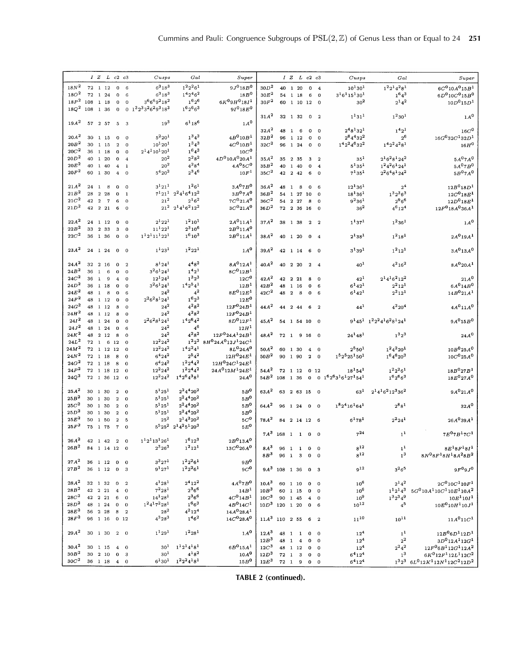|                  |      | $IZ$ $L$ $c2$ $c3$               |                |                                        | Cusps                   | Gal                                  | Super                           |                      |                     |                |                |                         | IZLc2c3                  | Cusps                         | Gal                             | Super                                                                                        |
|------------------|------|----------------------------------|----------------|----------------------------------------|-------------------------|--------------------------------------|---------------------------------|----------------------|---------------------|----------------|----------------|-------------------------|--------------------------|-------------------------------|---------------------------------|----------------------------------------------------------------------------------------------|
| $18N^2$          |      | 72 1 12                          |                | 6<br>$\bf{0}$                          | $6^318^3$               | $1^22^26^1$                          | $9J^0 18B^0$                    | 30D <sup>2</sup>     |                     |                | 40 1 20        | $\mathbf 0$             | $\overline{\mathbf{4}}$  | $10^{1}30^{1}$                | $1^22^14^28^1$                  | $6C^{0}10A^{0}15B^{1}$                                                                       |
| 18O <sup>2</sup> |      | 72 1 24                          |                | $\bf{0}$<br>$\,$ 6                     | $6^3 18^3$              | $142462$                             | 18B <sup>0</sup>                | $30E^2$              |                     |                | 54 1 18        | 6                       | $\bf{0}$                 | $3^16^115^130^1$              | $1^64^3$                        | $6D^010C^015B^0$                                                                             |
| $18P^2$          | 108  | 1 18                             |                | $\Omega$                               | $3^{6}6^{6}9^{2}18^{2}$ | $1^{6}2^{6}$                         | $6K^09H^018I^1$                 | $30F^2$              |                     |                |                |                         |                          |                               |                                 |                                                                                              |
|                  |      |                                  |                | $\bf{0}$                               |                         |                                      |                                 |                      | 60                  |                |                | 1 10 12                 | $\Omega$                 | 30 <sup>2</sup>               | $2^{1}4^{2}$                    | $10D^015D^1$                                                                                 |
| $18Q^2$          | 108  | 1 36                             |                | $\Omega$                               | 0 $1^32^33^26^29^318^3$ | $1^6 2^6 6^3$                        | $9I^018E^0$                     |                      |                     |                |                |                         |                          |                               |                                 |                                                                                              |
|                  |      |                                  |                |                                        |                         |                                      |                                 | $31A^2$              |                     |                | 32 1 32        | $\overline{\mathbf{0}}$ | $\overline{\phantom{a}}$ | $1^{1}31^{1}$                 | $1^230^1$                       | 1A <sup>0</sup>                                                                              |
| $19A^2$          |      | 57 2 57                          |                | 5<br>$_{3}$                            | $19^{3}$                | $6^{1}18^{6}$                        | $1A^0$                          |                      |                     |                |                |                         |                          |                               |                                 |                                                                                              |
|                  |      |                                  |                |                                        |                         |                                      |                                 | $32A^2$              | 48                  | $\mathbf{1}$   | 6              | 0                       | $\Omega$                 | $2^48^132^1$                  | $1^{4}2^{1}$                    | $16C^0$                                                                                      |
| $20A^2$          |      | $30$ 1 15                        |                | $\mathbf 0$<br>$\mathbf 0$             | $5^2 20^1$              | $1^34^3$                             | $4B^0 10B^1$                    | 32B <sup>2</sup>     | 96                  |                | 1 12           | $\mathbf 0$             | $\mathbf 0$              | $2^84^432^2$                  | $2^6$                           | $16G^032C^132D^1$                                                                            |
| 20B <sup>2</sup> |      | 30 1 15                          |                | $\overline{2}$<br>$\mathbf 0$          | $10^{1}20^{1}$          | $1^34^3$                             | $4C^010B^1$                     | 32C <sup>2</sup>     |                     |                | 96 1 24        | $\mathbf{0}$            | $\mathbf 0$              | $1^42^24^632^2$               | $1^4 2^2 4^2 8^1$               | $16H^0$                                                                                      |
| $20C^2$          |      | $36$ 1 18                        |                | 0<br>$\bf{0}$                          | $2^14^110^120^1$        | $1^64^3$                             | $10C^0$                         |                      |                     |                |                |                         |                          |                               |                                 |                                                                                              |
|                  |      |                                  |                |                                        | 20 <sup>2</sup>         | $2^28^2$                             |                                 |                      |                     |                |                |                         |                          |                               |                                 |                                                                                              |
| $20D^2$          |      | 40 1 20                          |                | $\mathbf 0$<br>$\overline{4}$          |                         |                                      | $4D^010A^020A^1$                | $35A^2$              |                     |                | 35 2 35        | 3                       | $\overline{2}$           | $35^{1}$                      | $2^16^28^124^2$                 | 5A <sup>0</sup> 7A <sup>0</sup>                                                              |
| $20E^2$          | 40   | 1 40                             |                | $\mathbf{1}$<br>4                      | 20 <sup>2</sup>         | $4^{2}8^{4}$                         | $4A^05C^0$                      | $35B^2$              |                     |                | 40 1 40        | $\mathbf 0$             | $\overline{4}$           | $5^{1}35^{1}$                 | $1^2 4^2 6^1 2 4^1$             | $5A^07B^0$                                                                                   |
| $20F^2$          |      | 60 1 30                          |                | $\mathbf 0$<br>$\boldsymbol{4}$        | $5^{4}20^{2}$           | $2^3 4^6$                            | 10F <sup>1</sup>                | 35C <sup>2</sup>     |                     |                | 42 2 42        | 6                       | $\mathbf 0$              | $7^{1}35^{1}$                 | $2^26^48^124^2$                 | $5B^07A^0$                                                                                   |
|                  |      |                                  |                |                                        |                         |                                      |                                 |                      |                     |                |                |                         |                          |                               |                                 |                                                                                              |
| $21A^2$          | 24 1 | 8                                |                | $\mathbf 0$<br>$\mathbf 0$             | $3^{1}21^{1}$           | $1^26^1$                             | $3A^07B^0$                      | $36A^2$              | 48                  | $\mathbf{1}$   | 8              | $\mathbf 0$             | 6                        | $12^{1}36^{1}$                | 2 <sup>4</sup>                  | $12B^{0}18D^{1}$                                                                             |
| 21B <sup>2</sup> | 28   | 2 28                             |                | 0<br>$\mathbf{1}$                      |                         | $7^1 21^1 2^2 4^1 6^4 12^2$          | $3B^07A^0$                      | 36B <sup>2</sup>     |                     |                |                | 54 1 27 10              | $\mathbf 0$              | $18^{1}36^{1}$                | $1^3 2^3 6^3$                   | $12C^{0}18E^{1}$                                                                             |
| $21C^2$          | 42   | $\overline{2}$<br>$\overline{7}$ |                | $\mathbf{o}$<br>6                      | $21^{2}$                | $2^{1}6^{2}$                         | $7C^{0}21A^{0}$                 | 36C <sup>2</sup>     |                     |                | 54 2 27        | 8                       | $\Omega$                 | $9^236^1$                     | $2^{9}6^{6}$                    | $12D^{0}18E^{1}$                                                                             |
| $21D^2$          |      | 42 2 21                          |                | 6<br>$\overline{0}$                    |                         | $21^2$ $2^14^16^212^2$               | $3C^{0}21A^{0}$                 | $36D^2$              |                     |                |                |                         |                          | $36^2$                        |                                 | $12F^{0}$ 18A <sup>0</sup> 36A <sup>1</sup>                                                  |
|                  |      |                                  |                |                                        |                         |                                      |                                 |                      |                     |                |                | 72 2 36 16              | $\mathbf 0$              |                               | $4^6$ 12 <sup>4</sup>           |                                                                                              |
|                  |      |                                  |                |                                        |                         |                                      |                                 |                      |                     |                |                |                         |                          |                               |                                 |                                                                                              |
| $22A^2$          |      | 24 1 12                          |                | $\mathbf 0$<br>$\mathbf 0$             | $2^{1}22^{1}$           | $1^2 10^1$                           | $2A^011A^1$                     | $37A^2$              |                     |                | 38 1 38        | $\overline{2}$          | $\overline{2}$           | $1^{1}37^{1}$                 | $1^236^1$                       | $1A^0$                                                                                       |
| 22B <sup>2</sup> | 33   | 2 3 3                            |                | $\bf{0}$<br>3                          | $11^{1}22^{1}$          | $2^3$ 10 <sup>6</sup>                | $2B^011A^0$                     |                      |                     |                |                |                         |                          |                               |                                 |                                                                                              |
| $22C^2$          |      | 36 1 36                          |                | $\Omega$<br>$\Omega$                   | $1121111221$            | $1^6 10^3$                           | $2B^011A^1$                     | $38A^2$              |                     |                | 40 1 20        | $\mathbf{0}$            | $\overline{4}$           | $2^{1}38^{1}$                 | $1^2 18^1$                      | $2A^{0}19A^{1}$                                                                              |
|                  |      |                                  |                |                                        |                         |                                      |                                 |                      |                     |                |                |                         |                          |                               |                                 |                                                                                              |
| $23A^2$          |      | $24$ 1 24 0 0                    |                |                                        | $1^{1}23^{1}$           | $1^2 22^1$                           | 1A <sup>0</sup>                 | $39A^2$              |                     |                | 42 1 14        |                         | 6 0                      | $3^{1}39^{1}$                 | $1^2 12^1$                      | 3A <sup>0</sup> 13A <sup>0</sup>                                                             |
|                  |      |                                  |                |                                        |                         |                                      |                                 |                      |                     |                |                |                         |                          |                               |                                 |                                                                                              |
| $24A^2$          |      | 32 2 16                          |                |                                        | $8^{1}24^{1}$           | $4^{4}8^{2}$                         | $8A^{0}12A^{1}$                 |                      |                     |                | 40 2 20        |                         |                          |                               | $4^{2}16^{2}$                   |                                                                                              |
|                  |      |                                  |                | $\overline{2}$<br>$\Omega$             |                         |                                      |                                 | $40A^2$              |                     |                |                |                         | 2 4                      | $40^{1}$                      |                                 | $8A^0$ 20 $A^1$                                                                              |
| 24B <sup>2</sup> | 36   | $\mathbf{1}$<br>6                |                | 0<br>$\mathbf 0$                       | $3^26^124^1$            | $1^{4}2^{1}$                         | $8C^{0}12B^{1}$                 |                      |                     |                |                |                         |                          |                               |                                 |                                                                                              |
| 24C <sup>2</sup> | 36   | $\mathbf{1}$<br>9                |                | $\overline{\mathbf{4}}$<br>$\mathbf 0$ | $12^{1}24^{1}$          | $1^3 2^3$                            | 12C <sup>0</sup>                | $42A^2$              |                     |                | 42 2 21        | 8                       | $\mathbf 0$              | $42^{1}$                      | $2^14^16^212^2$                 | $21A^0$                                                                                      |
| $24D^2$          |      | 36 1 18                          |                | $\Omega$<br>$\bf o$                    | $3^26^124^1$            | $142541$                             | 12B <sup>1</sup>                | $42B^2$              | 48                  | $\mathbf{1}$   | 16             | $\pmb{0}$               | 6                        | $6^{1}42^{1}$                 | $2^2 12^1$                      | $6A^014B^0$                                                                                  |
| $24E^2$          | 48 1 | - 8                              |                | $\Omega$<br>6                          | $24^{2}$                | $4^2$                                | $8E^{0}12E^{1}$                 | $42C^2$              | 48                  | $\overline{2}$ | 8              | $\mathbf{o}$            | 6                        | $6^{1}42^{1}$                 | $2^2 12^1$                      | 14B <sup>0</sup> 21A <sup>1</sup>                                                            |
| $24F^2$          |      | 48 1 12                          |                | $\mathbf{o}$<br>0                      | $2^26^28^124^1$         | $1^6 2^3$                            | $12E^0$                         |                      |                     |                |                |                         |                          |                               |                                 |                                                                                              |
| $24G^2$          |      | 48 1 12                          |                | 8<br>$\bf{0}$                          | $24^{2}$                | $4^{2}8^{2}$                         | $12F^{0}24B^{1}$                | $44A^2$              |                     |                | 44 2 44        | 6                       | $\overline{2}$           | $44^{1}$                      | $4^{2}20^{4}$                   | $4A^011A^0$                                                                                  |
| $24H^2$          | 48   | 1 12                             |                | 8<br>$\bf{0}$                          | $24^{2}$                | $4^{2}8^{2}$                         | $12F^0 24B^1$                   |                      |                     |                |                |                         |                          |                               |                                 |                                                                                              |
|                  |      |                                  |                |                                        | $2^26^28^124^1$         |                                      |                                 |                      |                     |                |                |                         |                          |                               |                                 |                                                                                              |
| 24I <sup>2</sup> | 48   | 1 24                             |                | 0<br>$\bf{0}$                          |                         | $142642$                             | $8D^012F^1$                     | $45A^2$              |                     |                |                | 54 1 54 10              | $\bf{0}$                 |                               | $9^145^1$ $1^22^24^16^28^124^1$ | $9A^015B^0$                                                                                  |
| $24J^2$          |      | 48 1 24                          |                | $\bf{0}$<br>6                          | $24^{2}$                | $\bold{4^6}$                         | 12H <sup>1</sup>                |                      |                     |                |                |                         |                          |                               |                                 |                                                                                              |
| $24K^2$          | 48   | 2 1 2                            |                | 8<br>$\Omega$                          | $\rm 24^2$              | $4^{2}8^{2}$                         | $12F^0 24A^1 24B^1$             | $48A^2$              |                     |                |                |                         | 72 1 9 16 0              | $24^148^1$                    | $1^32^3$                        | $24A^0$                                                                                      |
| $24L^2$          | 72 1 |                                  | 6<br>12        | $\Omega$                               | $12^2 24^2$             | $1^22^2$                             | $8H^0 24A^0 12J^1 24C^1$        |                      |                     |                |                |                         |                          |                               |                                 |                                                                                              |
| $24M^2$          |      | 72 1 12 12                       |                | $\bf{0}$                               | $12^2 24^2$             | $142241$                             | $8L^{0}24A^{0}$                 | $50A^2$              |                     |                | 60 1 30        | $\overline{4}$          | $\bf{0}$                 | $2^5 50^1$                    | $1^24^220^1$                    | $10B^0 25A^0$                                                                                |
| $24N^2$          |      | 72 1 18                          |                | $\bf8$<br>$\Omega$                     | $6^{4}$ 24 <sup>2</sup> | $2^54^2$                             | $12H^{0}24E^{1}$                | $50B^2$              |                     |                | 90 1 90        | $\overline{2}$          | $\mathbf{0}$             | $1525251501$                  | $1^6 4^6 20^3$                  | $10C^{0}$ 25A <sup>0</sup>                                                                   |
| 24O <sup>2</sup> |      | 72 1 18                          |                | 8<br>$\mathbf 0$                       | $6^{4}24^{2}$           | $1^2 2^4 4^2$                        | $12H^0 24C^1 24E^1$             |                      |                     |                |                |                         |                          |                               |                                 |                                                                                              |
| $24P^2$          |      | 72 1 18 12                       |                | $\mathbf 0$                            | $12^2 24^2$             | $1^2 2^4 4^2$                        | $24A^012M^124E^1$               | $54A^2$              |                     |                | 72 1 12        |                         |                          | $18^{1}54^{1}$                | $1^22^26^1$                     | $18B^{0}27B^{1}$                                                                             |
|                  |      |                                  |                |                                        |                         |                                      |                                 |                      |                     |                |                |                         | 0:12                     |                               |                                 |                                                                                              |
| $24Q^2$          |      | 72 1 36 12                       |                | $\overline{0}$                         | $12^2 24^2$             | $14264381$                           | $24A^0$                         | $54B^2$              | 108 1 36            |                |                | $\mathbf{O}$            |                          | $0.1^6 2^6 3^1 6^1 27^1 54^1$ | $1^6 2^6 6^3$                   | $18E^{0}27A^{0}$                                                                             |
|                  |      |                                  |                |                                        |                         |                                      |                                 |                      |                     |                |                |                         |                          |                               |                                 |                                                                                              |
| $25A^2$          |      | 30 1 30                          |                | $\mathbf 2$<br>$\theta$                | $5^{1}25^{1}$           | $2^2 4^4 20^2$                       | $5B^0$                          | $63A^2$              |                     |                |                | 63 2 63 15              | $\overline{\phantom{0}}$ | $63^{1}$                      | $2^14^16^212^336^2$             | $9A^{0}21A^{0}$                                                                              |
| 25B <sup>2</sup> |      | 30 1 30                          |                | $\overline{\mathbf{2}}$<br>$\Omega$    | $5^{1}25^{1}$           | $2^2 4^4 20^2$                       | $5B^0$                          |                      |                     |                |                |                         |                          |                               |                                 |                                                                                              |
| $25C^2$          |      | 30 1 30                          |                | $\bf 2$<br>$\mathbf 0$                 | $5^{1}25^{1}$           | $2^2 4^4 20^2$                       | $5B^0$                          | $64A^2$              |                     |                | 96 1 24        | $\mathbf{0}$            | $\overline{0}$           | $1824161641$                  | $2^{8}8^{1}$                    | 32A <sup>0</sup>                                                                             |
| 25D <sup>2</sup> |      | 30 1 30                          |                | $\bf{2}$<br>$\Omega$                   | $5^{1}25^{1}$           | $2^2 4^4 20^2$                       | $5B^0$                          |                      |                     |                |                |                         |                          |                               |                                 |                                                                                              |
| $25E^2$          |      | 50 1 50                          |                | $\overline{a}$<br>5                    | $25^{2}$                | $2^1$ 4 <sup>2</sup> 20 <sup>2</sup> | $5C^0$                          | $78A^2$              |                     |                |                |                         | 84 2 14 12 6             | $6^{1781}$                    | $2^2 24^1$                      | $26A^039A^1$                                                                                 |
| $25F^2$          |      | 75 1 75                          | $\overline{7}$ | $\Omega$                               |                         | $5^5 25^2$ $2^1 4^2 5^1 20^3$        | $5E^0$                          |                      |                     |                |                |                         |                          |                               |                                 |                                                                                              |
|                  |      |                                  |                |                                        |                         |                                      |                                 |                      |                     |                |                |                         |                          |                               |                                 |                                                                                              |
|                  |      |                                  |                |                                        |                         |                                      |                                 |                      | $7A^3$ 168 1 1 0 0  |                |                |                         |                          | $7^{24}$                      | 1 <sup>1</sup>                  | $7E^{0}7B^{1}7C^{1}$                                                                         |
| $26A^2$          |      | 42 1 42 2 0                      |                |                                        | $1^12^113^126^1$        | $1^6 12^3$                           | $2B^013A^0$                     |                      |                     |                |                |                         |                          |                               |                                 |                                                                                              |
| 26B <sup>2</sup> |      | 84 1 14 12 0                     |                |                                        | $2^3 26^3$              | $1^2 12^1$                           | $13C^{0}26A^{0}$                | $8\,A^3$             |                     |                |                | 96 1 1 0                | $\Omega$                 | $8^{12}$                      | 1 <sup>1</sup>                  | $8E^{1}8F^{1}8I^{1}$                                                                         |
|                  |      |                                  |                |                                        |                         |                                      |                                 | 8B <sup>3</sup>      |                     |                | 96 1 3         | $\mathbf{O}$            | $\Omega$                 | $8^{12}$                      | 1 <sup>3</sup>                  | $8N^08F^18H^18A^28B^2$                                                                       |
| $27A^2$          |      | 36 1 12 0 0                      |                |                                        | $3^{3}27^{1}$           | $1^2 2^2 6^1$                        | $9B^0$                          |                      |                     |                |                |                         |                          |                               |                                 |                                                                                              |
| 27B <sup>2</sup> |      | 36 1 12 0 3                      |                |                                        | $9^{1}27^{1}$           | $1^2 2^2 6^1$                        | $9C^0$                          |                      | $9A^3$ 108 1 36 0 3 |                |                |                         |                          | $9^{12}$                      | $3^{2}6^{5}$                    | $9F^{0}9J^{0}$                                                                               |
|                  |      |                                  |                |                                        |                         |                                      |                                 |                      |                     |                |                |                         |                          |                               |                                 |                                                                                              |
| $28A^2$          |      |                                  | $\Omega$       |                                        | $4^{1}28^{1}$           | $2^{4}12^{2}$                        | 4A <sup>0</sup> 7B <sup>0</sup> |                      |                     |                |                |                         |                          |                               |                                 |                                                                                              |
|                  |      | 32 1 32                          |                | $\overline{2}$                         |                         |                                      |                                 | 10A <sup>3</sup>     |                     |                | 60 1 10        | $\overline{\mathbf{0}}$ | $\mathbf 0$              | $10^{6}$                      | $2^{1}4^{2}$                    | $2C^{0}10C^{1}10F^{1}$                                                                       |
| 28B <sup>2</sup> |      | 42 2 21                          |                | $\overline{4}$<br>$\mathbf{o}$         | $7^2 28^1$              | $2^36^6$                             | 14B <sup>1</sup>                | 10B <sup>3</sup>     |                     |                | 60 1 15        | $\overline{0}$          | $\mathbf 0$              | $10^{6}$                      | $1^1 2^1 4^3$                   | $5G^010A^110C^110E^110A^2$                                                                   |
| $28C^2$          |      | 42 2 21                          | 6              | $\overline{0}$                         | $14^{1}28^{1}$          | $2^36^6$                             | $4C^0 14B^1$                    | $10C^3$              |                     |                | 90 1 45        | $\overline{4}$          | $\mathbf 0$              | 10 <sup>9</sup>               | $1^3 2^3 4^9$                   | $10E^{1}10I^{1}$                                                                             |
| $28D^2$          |      | 48 1 24                          |                | $\mathbf{O}$<br>$\overline{0}$         | $1^24^17^228^1$         | $1^{6}6^{3}$                         | $4B^014C^1$                     | $10D^3$ 120 1 20     |                     |                |                | $\overline{0}$          | 6                        | $10^{12}$                     | $4^5$                           | $10E^{0}$ $10H^{1}$ $10J^{1}$                                                                |
| $28E^2$          |      | 56 2 28                          | 8              | $\overline{\phantom{a}}$               | $28^{2}$                | $4^{2}12^{4}$                        | $14A^{0}28A^{1}$                |                      |                     |                |                |                         |                          |                               |                                 |                                                                                              |
|                  |      | 96 1 16 0 12                     |                |                                        | $4^3 28^3$              | $1^{4}6^{2}$                         | $14C^{0}$ 28A <sup>0</sup>      | $11A^3$ 110 2 55 6 2 |                     |                |                |                         |                          | $11^{10}$                     | $10^{11}$                       | $11A^{0}11C^{1}$                                                                             |
| $28F^2$          |      |                                  |                |                                        |                         |                                      |                                 |                      |                     |                |                |                         |                          |                               |                                 |                                                                                              |
|                  |      |                                  |                |                                        |                         |                                      |                                 |                      |                     |                |                |                         |                          |                               |                                 |                                                                                              |
|                  |      |                                  |                |                                        |                         |                                      |                                 |                      |                     |                |                |                         |                          |                               |                                 |                                                                                              |
| $29\,A^2$        |      | 30 1 30 2 0                      |                |                                        | $1^{1}29^{1}$           | $1^2 28^1$                           | $1A^0$                          | $12A^3$              |                     |                | 48 1 1         | $\mathbf{0}$            | $\bf{0}$                 | $12^{4}$                      | 1 <sup>1</sup>                  | $12B^06D^112D^1$                                                                             |
|                  |      |                                  |                |                                        |                         |                                      |                                 | 12B <sup>3</sup>     | 48 1                |                | $\overline{4}$ | $\mathbf 0$             | $\mathbf 0$              | $12^{4}$                      | $\rm{2}^2$                      | $3D^012A^112G^1$                                                                             |
| 30A <sup>2</sup> |      | 30 1 15                          |                | $4\quad 0$                             | 30 <sup>1</sup>         | $11214181$                           | $6B^015A^1$                     | 12C <sup>3</sup>     |                     |                | 48 1 12        | $\mathbf{0}$            | $\mathbf 0$              | $12^{4}$                      | $2^24^2$                        | $12F^06B^112G^112A^2$                                                                        |
| $30B^2$          |      | 30 2 10                          |                | 0 <sub>3</sub>                         | 30 <sup>1</sup>         | $4^{18^{2}}$                         | $10A^0$                         | 12D <sup>3</sup>     |                     |                | 72 1 3         | $\mathbf 0$             | $\mathbf{o}$             | $6^{4}12^{4}$                 | 1 <sup>3</sup>                  | $6K^012F^112L^112C^2$                                                                        |
| 30C <sup>2</sup> |      | 36 1 18                          |                | $4\quad 0$                             | $6^{1}30^{1}$           | $1^2 2^2 4^1 8^1$                    | 15B <sup>0</sup>                | $12E^3$              |                     |                | 72 1 9         | $\mathbf{0}$            | $\Omega$                 | $6^{4}12^{4}$                 |                                 | $1^32^3$ 6L <sup>0</sup> 12K <sup>1</sup> 12N <sup>1</sup> 12C <sup>2</sup> 12D <sup>2</sup> |

**TABLE 2 (continued).**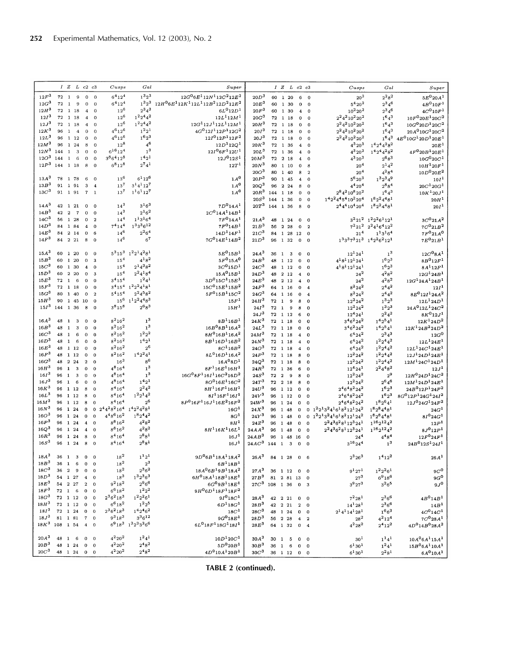|                                      | IZLc2c3                      |                |                                                |                            | Cusps                                               | Gal                                                                               | Super                                                          |                                      |            |                         |                         | IZLc2c3                              |                                                    | Cusps                                                               | Gal                             | Super                                        |
|--------------------------------------|------------------------------|----------------|------------------------------------------------|----------------------------|-----------------------------------------------------|-----------------------------------------------------------------------------------|----------------------------------------------------------------|--------------------------------------|------------|-------------------------|-------------------------|--------------------------------------|----------------------------------------------------|---------------------------------------------------------------------|---------------------------------|----------------------------------------------|
|                                      |                              |                |                                                |                            |                                                     |                                                                                   |                                                                |                                      |            |                         |                         |                                      |                                                    |                                                                     |                                 |                                              |
| $12F^3$                              | 72 1                         | 9              | $\mathbf 0$                                    | $\Omega$                   | $6^{4}12^{4}$                                       | $1^32^3$                                                                          | $12G^06E^112N^112C^212E^2$                                     | 20D <sup>3</sup>                     |            | 60 1 20                 |                         | 6                                    | $\Omega$                                           | 20 <sup>3</sup>                                                     | $2^28^2$                        | $5E^{0}20A^{1}$                              |
| 12G <sup>3</sup><br>72               | <sup>1</sup>                 | 9              | $\mathbf 0$                                    | $\bf{0}$                   | $6^{4}12^{4}$                                       | $1^3 2^3$<br>$2^34^3$                                                             | $12H^06E^112K^112L^112B^212D^212E^2$                           | $20E^3$                              | 60         | 1 30                    |                         | $\mathbf 0$                          | $\mathbf{o}$                                       | $5^4 20^2$                                                          | $2^3 4^6$                       | $4B^{0}10F^{1}$                              |
| $12H^3$<br>12I <sup>3</sup>          | 72 1 18<br>72 1 18           |                | $\overline{\mathbf{4}}$<br>$\overline{\bf{4}}$ | $\mathbf 0$<br>$\mathbf 0$ | $12^{6}$<br>$12^{6}$                                | $1^2 2^4 4^2$                                                                     | $6L^{0}12D^{1}$<br>$12L^{1}12M^{1}$                            | 20F <sup>3</sup><br>$20G^3$          | 60         |                         | 1 30                    | $\overline{\mathbf{4}}$<br>$\Omega$  | $\mathbf 0$                                        | $10^2 20^2$<br>$2^2$ 4 <sup>2</sup> 10 <sup>2</sup> 20 <sup>2</sup> | $2^3 4^6$<br>$1^64^3$           | $4C^{0}10F^{1}$<br>$10F^{0}20E^{1}20C^{2}$   |
| 12J <sup>3</sup>                     | $72\quad 1\quad 18$          |                | $\overline{\bf 4}$                             | $\bf{0}$                   | $12^{6}$                                            | $1^2 2^4 4^2$                                                                     | $12G^112J^112L^112M^1$                                         | $20H^3$                              | 72         | 72 1 18<br>1 18         |                         | 0                                    | $\Omega$<br>$\mathbf 0$                            | $2^2$ 4 <sup>2</sup> 10 <sup>2</sup> 20 <sup>2</sup>                | $1^64^3$                        | $10G^0 20D^1 20C^2$                          |
| $12K^3$<br>96                        | $\mathbf{1}$                 | $\overline{4}$ | $\theta$                                       | $\theta$                   | $4^6 12^6$                                          | $1^2 2^1$                                                                         | $4G^012I^112P^112G^2$                                          | 20I <sup>3</sup>                     |            | 72 1 18                 |                         | $\mathbf 0$                          | $\overline{0}$                                     | $2^2$ 4 <sup>2</sup> 10 <sup>2</sup> 20 <sup>2</sup>                | $1^64^3$                        | $20A^010G^120C^2$                            |
| $12L^3$<br>96                        |                              | 1 12           | $\bf{0}$                                       | $\mathbf{0}$               | $4^{6}12^{6}$                                       | $1^62^3$                                                                          | $12I^012P^112F^2$                                              | 20J <sup>3</sup>                     | 72         | 1 18                    |                         | 0                                    | $\mathbf 0$                                        | $2^2$ 4 <sup>2</sup> 10 <sup>2</sup> 20 <sup>2</sup>                | $1^64^3$                        | $4E^{0}$ 10 $G^{1}$ 20 $D^{1}$ 20 $E^{1}$    |
| 12M <sup>3</sup><br>96               |                              | 1 24           | 8                                              | $\Omega$                   | $12^{8}$                                            | 4 <sup>6</sup>                                                                    | $12D^{1}12Q^{1}$                                               | $20K^3$                              |            | 72 1 36                 |                         | $\overline{4}$                       | $\Omega$                                           | $4^3 20^3$                                                          | $14244282$                      | 20E <sup>1</sup>                             |
| 12N <sup>3</sup><br>144              | $\mathbf{1}$                 | 3              | $\bf{0}$                                       | $\mathbf{0}$               | $6^{16}12^4$                                        | $1^3$                                                                             | $12I^06F^112U^1$                                               | $20L^3$                              | 72         | 1 36                    |                         | $\overline{\mathbf{4}}$              | $\Omega$                                           | $4^{3}20^{3}$                                                       | $14244282$                      | $4F^0 20B^1 20E^1$                           |
| 12O <sup>3</sup><br>144              | $\mathbf{1}$                 | $\,$ 6         | $\mathbf{O}$                                   | $\theta$                   | $3^86^412^8$                                        | $1^{4}2^{1}$                                                                      | $12J^0 12S^1$                                                  | 20M <sup>3</sup>                     | 72         | 2 18                    |                         | 4                                    | $\mathbf 0$                                        | $4^3 20^3$                                                          | $2^{6}8^{3}$                    | $10G^{0}20C^{1}$                             |
| 12P <sup>3</sup>                     | 144 1 18                     |                | 8                                              | $\overline{0}$             | $6^{8}12^{8}$                                       | $2^{7}4^{1}$                                                                      | 12T <sup>1</sup>                                               | 20N <sup>3</sup>                     | 80         | 1 10                    |                         | $\mathbf 0$                          | 8                                                  | 20 <sup>4</sup>                                                     | $2^{1}4^{2}$                    | $10H^{1}20F^{1}$                             |
|                                      |                              |                |                                                |                            |                                                     |                                                                                   |                                                                | 20O <sup>3</sup>                     | 80         | 1 40                    |                         | 8                                    | $\overline{2}$                                     | $20^{4}$                                                            | $4^{2}8^{4}$                    | $10D^{0}20E^{2}$                             |
| $13A^3$<br>78                        |                              | 1 78           | 6                                              | $\mathbf 0$                | $13^{6}$                                            | $6^{1}12^{6}$                                                                     | $1\text{\AA}^0$                                                | 20P <sup>3</sup>                     | 90         |                         | 1 45                    | 4                                    | $\mathbf 0$                                        | $5^{6}$ $20^{3}$                                                    | $1^3 2^3 4^9$                   | 10I <sup>1</sup>                             |
| 13B <sup>3</sup>                     | 91 1 91                      |                | 3                                              | $\overline{4}$             | 13 <sup>7</sup>                                     | $3^{1}4^{1}12^{7}$                                                                | $1A^0$                                                         | $20Q^3$                              | 96         |                         | 2 2 4                   | 8                                    | $\Omega$                                           | $4^{4}$ 20 <sup>4</sup>                                             | $2^88^4$                        | $20C^{1}20G^{1}$                             |
| 13C <sup>3</sup>                     | 91 1 91                      |                | 7 1                                            |                            | 13 <sup>7</sup>                                     | $1^16^112^7$                                                                      | 1A <sup>0</sup>                                                | $20R^3$                              | 144        | 1 18                    |                         | $\Omega$                             | $\Omega$                                           | $2^8$ 4 <sup>2</sup> 10 <sup>8</sup> 20 <sup>2</sup>                | $1^64^3$                        | $10K^{1}20J^{1}$                             |
|                                      |                              |                |                                                |                            |                                                     |                                                                                   |                                                                | 20S <sup>3</sup>                     | 144        | 1 36                    |                         | $\mathbf 0$                          | $\overline{0}$                                     | $14224454102204$                                                    | $1^82^24^48^1$                  | 20H <sup>1</sup>                             |
| $14A^3$                              | 42 1 21                      |                | 0                                              | $\mathbf 0$                | $14^{3}$                                            | $3^{1}6^{3}$                                                                      | $7D^014A^1$                                                    | 20T <sup>3</sup>                     | 144        | 1 36                    |                         | 8                                    | $\overline{0}$                                     | $2^4$ 4 <sup>4</sup> 10 <sup>4</sup> 20 <sup>4</sup>                | $1^82^24^48^1$                  | 20I <sup>1</sup>                             |
| 14B <sup>3</sup><br>42               | $\mathbf{2}$                 | $\overline{7}$ | 0                                              | $\bf{0}$                   | $14^{3}$                                            | $2^{1}6^{2}$                                                                      | $2C014A114B1$                                                  |                                      |            |                         |                         |                                      |                                                    |                                                                     |                                 |                                              |
| 14C <sup>3</sup>                     | 56 1 28                      |                | $\Omega$                                       | $\overline{2}$             | $14^{4}$                                            | $1^{1}3^{1}6^{4}$                                                                 | $7F^014A^1$                                                    | 21A <sup>3</sup>                     | 48         | 1 24                    |                         | 0                                    | $^{\circ}$                                         |                                                                     | $3^2 21^2$ $1^2 2^2 6^1 12^1$   | $3C^{0}21A^{2}$                              |
| 14D <sup>3</sup>                     | 84 1 84                      |                | $\bf{4}$                                       | $\mathbf 0$                | $7^{4}14^{4}$                                       | $1^33^36^{12}$                                                                    | $7F^014B^1$                                                    | $21B^3$                              | 56         | 2 28                    |                         | $\mathbf 0$                          | $\overline{2}$                                     | $7^2 21^2$                                                          | $2^24^16^412^2$                 | $7C^{0}21B^{2}$                              |
| $14E^3$<br>84<br>$14F^3$             |                              | 2 14           | $\pmb{0}$                                      | 6                          | $14^6$                                              | $2^2 6^4$<br>6 <sup>7</sup>                                                       | $14D^{1}14F^{1}$                                               | $21C^3$                              | 84         |                         | 1 28                    | 12                                   | $\Omega$                                           | 21 <sup>4</sup>                                                     | $1^13^16^4$                     | $7F^{0}21A^{0}$                              |
| 84                                   | 2 2 1                        |                | 8                                              | $\overline{0}$             | $14^{\rm 6}$                                        |                                                                                   | $7G^014E^114B^2$                                               | $21D^3$                              | 96         | 1 32                    |                         | $\mathbf 0$                          | $\overline{0}$                                     |                                                                     | $1^33^37^321^3$ $1^42^26^212^1$ | $7E^{0}21B^{1}$                              |
| $15A^3$<br>60                        | 1 20                         |                | 0                                              | $\mathbf 0$                | $\rm 5^315^3$                                       | $1^22^14^28^1$                                                                    | $5E^{0}15B^{1}$                                                | $24A^3$                              | 36         | $\mathbf{1}$            | 3                       | $\bf{0}$                             | $^{\circ}$                                         | $12^{1}24^{1}$                                                      | 1 <sup>3</sup>                  | $12C^{0}8A^{1}$                              |
| 15B <sup>3</sup><br>60               | $\mathbf{1}$                 | 20             | 0                                              | 3                          | $15^{4}$                                            | $4^{1}8^{2}$                                                                      | $5F^015A^0$                                                    | 24B <sup>3</sup>                     | 48         | 1 12                    |                         | $\Omega$                             | $\Omega$                                           | $4^18^112^124^1$                                                    | $1^{6}2^{3}$                    | $8B^{0}12F^{1}$                              |
| 15C <sup>3</sup><br>60               |                              | 1 30           | $\overline{\bf{4}}$                            | $\mathbf 0$                | 15 <sup>4</sup>                                     | $2^{1}4^{3}8^{2}$                                                                 | $3C^{0}15D^{1}$                                                | 24C <sup>3</sup>                     | 48         | 1 1 2                   |                         | $\mathbf{o}$                         | $\mathbf 0$                                        | $4^18^112^124^1$                                                    | $1^6 2^3$                       | $8A^112F^1$                                  |
| 15D <sup>3</sup><br>60               |                              | 2 20           | $\mathbf{o}$                                   | 3                          | 15 <sup>4</sup>                                     | $2^2 4^1 8^4$                                                                     | $15A^{0}15B^{1}$                                               | $24D^3$                              | 48         | 2 1 2                   |                         | $\overline{\bf{4}}$                  | $\Omega$                                           | $\mathbf{24}^{\mathbf{2}}$                                          | $4^{2}8^{2}$                    | $12G^{1}24B^{1}$                             |
| 15E <sup>3</sup><br>72               | $\mathbf{1}$                 | $\overline{6}$ | $\mathbf 0$                                    | $\Omega$                   | $3^{4}15^{4}$                                       | $1^24^1$                                                                          | $3D^{0}15C^{1}15E^{1}$                                         | $24E^3$                              | 48         | 2 1 2                   |                         | $\boldsymbol{4}$                     | $\mathbf 0$                                        | $24^2$                                                              | $4^{2}8^{2}$                    | $12G^124A^124B^1$                            |
| 15F <sup>3</sup><br>72               | 1 18                         |                | $\mathbf 0$                                    | $\mathbf 0$                | $3^{4}15^{4}$                                       | $1^22^24^18^1$                                                                    | $15C^015E^115B^2$                                              | $24F^3$                              | 64         | 1 16                    |                         | $\mathbf 0$                          | $\overline{4}$                                     | $8^2 24^2$                                                          | $2^{4}4^{2}$                    | 12I <sup>1</sup>                             |
| $15G^3$<br>80                        |                              | 1 40           | $\mathbf 0$                                    | $\overline{2}$             | $5^4 15^4$                                          | $2^2 4^5 8^2$                                                                     | $5F^015B^115C^2$                                               | $24G^3$                              |            | 64 1 16                 |                         | $\mathbf 0$                          | $\overline{4}$                                     | $8^2 24^2$                                                          | $2^44^2$                        | $8E^0 12I^1 24A^2$                           |
| $15H^3$<br>90                        |                              | 1 45 10        |                                                | $\mathbf 0$                | $15^6$                                              | $1^{1}2^{2}4^{4}8^{3}$                                                            | 15F <sup>1</sup>                                               | $24H^3$                              | 72         | $\mathbf{1}$            | 9                       | 8                                    | $\Omega$                                           | $12^2 24^2$                                                         | $1^3 2^3$                       | $12L^{1}24D^{1}$                             |
| 15I <sup>3</sup><br>144              |                              | 1 36           | 8                                              | $\mathbf 0$                | $3^8 15^8$                                          | $2^{6}8^{3}$                                                                      | 15H <sup>1</sup>                                               | 24I <sup>3</sup>                     | 72         | $\mathbf{1}$            | 9                       | 8                                    | $\Omega$                                           | $12^2 24^2$                                                         | $1^32^3$                        | $24A^012L^124C^2$                            |
|                                      |                              |                |                                                |                            |                                                     |                                                                                   |                                                                | $24J^3$                              |            | 72 1 12                 |                         | 6                                    | $\Omega$                                           | $12^4 24^1$                                                         | $2^24^2$                        | $8K^{0}12J^{1}$                              |
| $16A^3$                              | 48 1                         | 3              | $\mathbf{0}$                                   | $\mathbf 0$                | $8^2 16^2$                                          | 1 <sup>3</sup>                                                                    | $8B^{1}16B^{1}$                                                | $24K^3$                              | 72         | 1 18                    |                         | $\Omega$                             | $\Omega$                                           | $3^{4}6^{2}24^{2}$                                                  | $142541$                        | $12K^{1}24D^{2}$                             |
| 16B <sup>3</sup><br>48               | <sup>1</sup>                 | 3              | $\bf{0}$                                       | $\Omega$                   | $8^2$ 16 <sup>2</sup>                               | 1 <sup>3</sup>                                                                    | $16B^08B^116A^2$                                               | $24L^3$                              |            | 72 1 18                 |                         | $\mathbf 0$                          | $\Omega$                                           | $3^{4}6^{2}24^{2}$                                                  | $1^4 2^5 4^1$                   | $12K^124B^224D^2$                            |
| 16C <sup>3</sup><br>48               | $\mathbf{1}$                 | 6              | $\bf{0}$                                       | $\bf{0}$                   | $8^2$ 16 <sup>2</sup>                               | $1^2 2^2$                                                                         | $8H^0 16B^1 16A^2$                                             | 24M <sup>3</sup>                     | 72         | 1 18                    |                         | $\bf{4}$                             | $\Omega$                                           | $6^{4}24^{2}$                                                       | $2^34^3$                        | $12G^0$                                      |
| 16D <sup>3</sup><br>48               | $\mathbf{1}$                 | 6              | $\bf{0}$                                       | $\mathbf 0$                | $8^2$ 16 <sup>2</sup>                               | $1^{4}2^{1}$                                                                      | $8B^{1}16D^{1}16B^{2}$                                         | $24N^3$                              | 72         | 1 18                    |                         | $\overline{\bf{4}}$                  | $\Omega$                                           | $6^{4}$ 24 <sup>2</sup>                                             | $1^2 2^4 4^2$                   | $12L^{1}24E^{1}$                             |
| $16E^3$<br>48                        |                              | 1 12           | $\mathbf 0$                                    | $\mathbf 0$                | $8^2 16^2$                                          | 2 <sup>6</sup>                                                                    | $8C^{1}16B^{2}$                                                | 24O <sup>3</sup>                     |            | 72 1 18                 |                         | $\overline{\bf{4}}$                  | $\mathbf{o}$                                       | $6^{4}24^{2}$                                                       | $1^2 2^4 4^2$                   | $12L^1 24C^1 24E^1$                          |
| $16F^3$<br>48                        | 1 1 2                        |                | $\mathbf 0$                                    | $\mathbf 0$                | $8^2 16^2$                                          | $1^42^24^1$                                                                       | $8L^{0}16D^{1}16A^{2}$                                         | 24P <sup>3</sup>                     | 72         | 1 18                    |                         | 8                                    | $\overline{0}$                                     | $12^2 24^2$                                                         | $1^2 2^4 4^2$                   | $12J^124D^124E^1$                            |
| $16G^3$<br>48                        |                              | 2 2 4          | $\mathbf{2}$                                   | $\Omega$                   | $16^{3}$                                            | 8 <sup>6</sup>                                                                    | $16A^{0}8D^{1}$                                                | $24Q^3$                              | 72         | 1 18                    |                         | 8                                    | $\mathbf 0$                                        | $12^2 24^2$                                                         | $1^2 2^4 4^2$                   | $12M^1 24C^1 24D^1$                          |
| $16H^3$<br>96<br>16I <sup>3</sup>    | $\mathbf{1}$                 | $_{3}$         | $\mathbf{0}$                                   | $\Omega$                   | $4^{8}16^{4}$                                       | 1 <sup>3</sup><br>$\boldsymbol{1^3}$                                              | $8F^{1}16E^{1}16H^{1}$                                         | $24R^3$                              | 72         | $\mathbf{1}$            | 36                      | 6                                    | $\mathbf 0$                                        | $12^4 24^1$                                                         | $2^2 4^4 8^2$                   | 12J <sup>1</sup>                             |
| 96<br>16J <sup>3</sup><br>96         | $\mathbf{1}$<br>$\mathbf{1}$ | 3<br>6         | $\mathbf 0$                                    | $\mathbf{0}$               | $4^{8}$ 16 <sup>4</sup><br>$4^{8}16^{4}$            | $1^{4}2^{1}$                                                                      | $16G^{0}8F^{1}16I^{1}16C^{2}16D^{2}$<br>$8O^{0}16E^{1}16C^{2}$ | 24S <sup>3</sup><br>$24T^3$          | 72         | $\overline{\mathbf{2}}$ | 9                       | 8                                    | $\Omega$                                           | $12^2 24^2$<br>$12^2 24^2$                                          | $2^9$<br>$2^{6}4^{6}$           | $12H^0 24D^1 24C^2$                          |
| $16K^3$<br>96                        | 1 12                         |                | $\mathbf 0$<br>8                               | $\bf{0}$<br>$\Omega$       | $8^{4}16^{4}$                                       | $2^24^2$                                                                          | $8H^{1}16F^{1}16H^{1}$                                         | 24U <sup>3</sup>                     | 72         | 2 18<br>96 1 12         |                         | 8<br>$\Omega$                        | $\Omega$<br>$\Omega$                               | $2^46^48^224^2$                                                     | $1^62^3$                        | $12M^{1}24D^{1}24E^{1}$<br>$24B^012P^124F^2$ |
| $16L^3$                              | 96 1 12                      |                | 8                                              | $\mathbf 0$                | $8^{4}16^{4}$                                       | $1^2 2^1 4^2$                                                                     | $8I^116F^116I^1$                                               | 24V <sup>3</sup>                     | 96         | 1 12                    |                         | $\Omega$                             | $\Omega$                                           | $2^46^48^224^2$                                                     | $1^6 2^3$                       | $8G^012P^124G^124I^2$                        |
| 16M <sup>3</sup><br>96               | 1 12                         |                | 8                                              | $\Omega$                   | $8^{4}16^{4}$                                       | 2 <sup>6</sup>                                                                    | $8P^016F^116J^116E^216F^2$                                     | 24W <sup>3</sup>                     | 96         | 1 24                    |                         | $\mathbf 0$                          | $\Omega$                                           | $2^46^48^224^2$                                                     | $1^8 2^6 4^1$                   | $12J^0 24G^1 24F^2$                          |
| 16N <sup>3</sup><br>96               | 1 24                         |                | $\bf{0}$                                       | $\bf{0}$                   | $2^4$ 4 <sup>2</sup> 8 <sup>2</sup> 16 <sup>4</sup> | $1^42^24^28^1$                                                                    | 16G <sup>1</sup>                                               | $24X^3$                              | 96         | 1 48                    |                         | $\Omega$                             | 0                                                  | $1^22^13^24^16^18^212^124^2$                                        | 1828481                         | 24G <sup>1</sup>                             |
| 16O <sup>3</sup><br>96               | 1 24                         |                | $\bf{0}$                                       | $\mathbf{0}$               | $4^48^616^2$                                        | $18244^2$                                                                         | $8G^1$                                                         | $24Y^3$                              | 96         | 1 48                    |                         | $\Omega$                             | $\mathbf{0}$                                       | $122132416182121242$                                                | $18284481$                      | $8I^0 24G^1$                                 |
| 16P <sup>3</sup><br>96               | 1 24                         |                | $\overline{4}$                                 | $\mathbf{0}$               | $8^8 16^2$                                          | $4^{2}8^{2}$                                                                      | $8H^1$                                                         | $24Z^3$                              | 96         | 1 48                    |                         | $\mathbf 0$                          | $\Omega$                                           | ${\bf 2^2 4^3 6^2 8^1 1 2^3 2 4^1}$                                 | 11621242                        | 12P <sup>1</sup>                             |
| $16Q^3$<br>96                        | 1 24                         |                | 4                                              | $\bf{0}$                   | $8^{8}16^{2}$                                       | $4^{2}8^{2}$                                                                      | $8H^{1}16K^{1}16L^{1}$                                         | $24AA^3$                             | 96         | 1 48                    |                         | $\Omega$                             | $\Omega$                                           | $2^2 4^3 6^2 8^1 1 2^3 2 4^1$                                       | $1^{16}2^{12}4^2$               | $8J^012P^1$                                  |
| $16R^3$<br>96                        | 1 24                         |                | 8                                              | $\Omega$                   | $8^{4}$ 16 <sup>4</sup>                             | $2^{8}8^{1}$                                                                      | 16J <sup>1</sup>                                               | $24AB^3$                             | 96         | $\mathbf{1}$            | 48                      | 16                                   | $\mathbf 0$                                        | $24^{4}$                                                            | $4^{4}8^{4}$                    | $12F^{0}24F^{1}$                             |
| 16S <sup>3</sup>                     | 96 1 24                      |                | 8                                              | $\Omega$                   | $8^{4}16^{4}$                                       | $2^{8}8^{1}$                                                                      | 16J <sup>1</sup>                                               | 24AC <sup>3</sup>                    | 144 1      |                         | $\overline{\mathbf{3}}$ | $\overline{0}$                       | $\bf{0}$                                           | $3^{16}24^4$                                                        | 1 <sup>3</sup>                  | $24B^012S^124I^1$                            |
|                                      |                              |                |                                                |                            |                                                     |                                                                                   |                                                                |                                      |            |                         |                         |                                      |                                                    |                                                                     |                                 |                                              |
| $18A^3$                              | 36 <sub>1</sub>              | $\mathbf{3}$   | $\mathbf{0}$                                   | $\mathbf{0}$               | $18^{2}$                                            | $1^{1}2^{1}$                                                                      | $9D06B118A118A2$                                               | $26A^3$                              |            |                         |                         | 84 1 28 0 6                          |                                                    | $2^3 26^3$                                                          | 1 <sup>4</sup> 12 <sup>2</sup>  | 26A <sup>1</sup>                             |
| 18B <sup>3</sup><br>36               | $\mathbf{1}$                 | 6              | $\bf{0}$                                       | $\mathbf{0}$               | $18^2\,$                                            | $2^3$                                                                             | $6B^{1}18B^{1}$                                                |                                      |            |                         |                         |                                      |                                                    |                                                                     |                                 |                                              |
| 18C <sup>3</sup>                     | 36 2                         | 9              | $\mathbf{0}$                                   | $\mathbf 0$                | $18^{2}$                                            | $2^3 6^2$                                                                         | $18A^{0}6B^{1}9B^{1}18A^{2}$                                   | 27A <sup>3</sup>                     |            |                         | 36 1 12                 | $\overline{0}$                       | $\Omega$                                           | $9^{1}27^{1}$                                                       | $1^2 2^2 6^1$                   | $_{9C}$ $^{\rm o}$                           |
| 18D <sup>3</sup>                     | 54 1 27                      |                | $\bf{4}$                                       | $\mathbf 0$                | $18^3$                                              | $1^3 2^3 6^3$                                                                     | $6H^018A^118B^118E^1$                                          | 27B <sup>3</sup>                     |            |                         | 81 2 81 13              |                                      | $\overline{0}$                                     | $27^{3}$                                                            | $6^{9}18^{6}$                   | $9G^0$                                       |
| $18E^3$                              | 54 2 27                      |                | $\overline{2}$                                 | $\mathbf 0$                | $9^218^2$                                           | $2^{9}6^{6}$                                                                      | $6G^{0}9B^{1}18E^{1}$                                          | $27C^3$                              | 108 1 36   |                         |                         | $\bf{0}$                             | $\overline{\mathbf{3}}$                            | $3^{9}27^{3}$                                                       | $3^26^5$                        | $9J^0$                                       |
| 18F <sup>3</sup>                     | 72 1                         | 6              | $\bf{0}$                                       | $\Omega$                   | $6^{6}18^{2}$                                       | $1^22^2$                                                                          | $9H^06D^118F^118F^2$                                           |                                      |            |                         |                         |                                      |                                                    |                                                                     |                                 |                                              |
| $18G^3$                              | 72 1 12                      |                | $\bf{0}$                                       | $\mathbf 0$                | $2^36^218^3$                                        | $1^2 2^2 6^1$                                                                     | $9I^{0}18C^{1}$                                                | $28A^3$                              |            | 42 2 21                 |                         | $\mathbf 0$                          | $^{\circ}$                                         | $7^2 28^1$                                                          | $2^36^6$                        | $4B^014B^1$                                  |
| 18H <sup>3</sup><br>18I <sup>3</sup> | 72 1 12<br>72 1 24           |                | $\mathbf{0}$<br>$\mathbf 0$                    | $\mathbf 0$<br>$\mathbf 0$ | $6^{6}18^{2}$<br>$2^36^218^3$                       | $1^{2}2^{5}$<br>$1^42^46^2$                                                       | $6D^118G^1$                                                    | 28B <sup>3</sup>                     |            | 42 2 21                 |                         | $\mathbf 2$                          | $\mathbf{o}$                                       | $14^{1}28^{1}$                                                      | $2^36^6$                        | 14B <sup>1</sup>                             |
| $18\,J^3$                            | 81 1 81                      |                | $\overline{7}$                                 | $\mathbf{0}$               | $9^318^3$                                           | $3^36^{12}$                                                                       | 18C <sup>1</sup><br>$9G^{0}18E^{1}$                            | 28C <sup>3</sup><br>28D <sup>3</sup> | 48         | 1 24                    |                         | $\mathbf 0$                          | $\mathbf 0$                                        | $2^1 4^1 1 4^1 28^1$                                                | $1^66^3$                        | $4C^{0}14C^{1}$<br>$7C^{0}$ 28 $A^{1}$       |
| $18K^3$                              | 108 1 54                     |                | $4\quad 0$                                     |                            |                                                     | $6^9$ 18 <sup>3</sup> 1 <sup>3</sup> 2 <sup>3</sup> 3 <sup>3</sup> 6 <sup>6</sup> | $6L^{0}18F^{1}18G^{1}18I^{1}$                                  | $28E^3$                              | 56         | 2 2 8<br>64 1 32        |                         | $\overline{\bf 4}$<br>$\overline{0}$ | $\overline{\mathbf{2}}$<br>$\overline{\mathbf{4}}$ | $28^{2}$<br>$4^{2}28^{2}$                                           | $4^{2}12^{4}$<br>$2^{4}12^{2}$  | $4D^014B^028A^2$                             |
|                                      |                              |                |                                                |                            |                                                     |                                                                                   |                                                                |                                      |            |                         |                         |                                      |                                                    |                                                                     |                                 |                                              |
| $20A^3$                              | 48 1                         | - 6            | $0\quad 0$                                     |                            | $4^{2}20^{2}$                                       | $1^24^1$                                                                          | $10D^{1}20C^{1}$                                               | 30A <sup>3</sup>                     | $30\quad1$ |                         | $5\phantom{.0}$         | $\mathbf 0$                          | $\overline{\mathbf{0}}$                            | $30^{1}$                                                            | $1^{1}4^{1}$                    | $10A^06A^115A^1$                             |
| 20B <sup>3</sup>                     | 48 1 24                      |                | $\mathbf{O}$                                   | $\bf{0}$                   | $4^{2}20^{2}$                                       | $2^{4}8^{2}$                                                                      | $5D^0 20B^1$                                                   | $30B^3$                              |            | 36 <sub>1</sub>         | $\,6\,$                 | $\mathbf 0$                          | $\mathbf 0$                                        | $6^{1}30^{1}$                                                       | $1^24^1$                        | $15B^06A^110A^1$                             |
| 20C <sup>3</sup>                     | 48 1 24                      |                | $0\quad 0$                                     |                            | $4^{2}20^{2}$                                       | $2^{4}8^{2}$                                                                      | $4D^010A^120B^1$                                               | 30C <sup>3</sup>                     |            | 36 1 12                 |                         | $\mathbf{0}$                         | $\mathbf 0$                                        | $6^{1}30^{1}$                                                       | $2^2 8^1$                       | $6A^010A^1$                                  |
|                                      |                              |                |                                                |                            |                                                     |                                                                                   |                                                                |                                      |            |                         |                         |                                      |                                                    |                                                                     |                                 |                                              |

**TABLE 2 (continued).**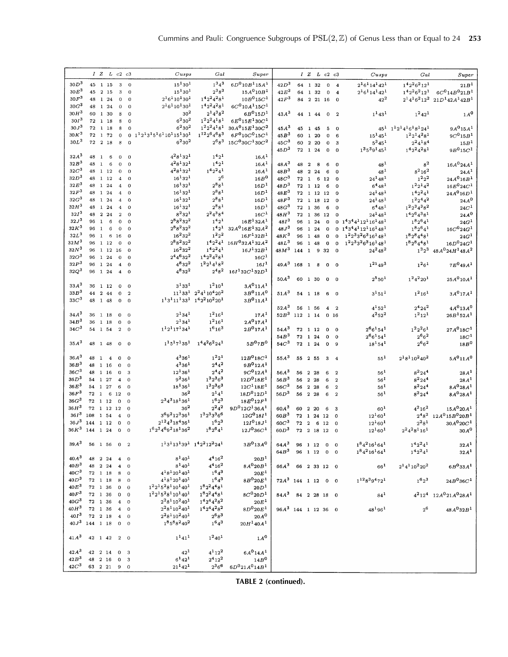|                  |          |              | IZLc2c3                                           |    |                         |                  | $C$ usps                 | Gal                           | Super                                                       |                       |              |                         |                 |                  | IZLc2c3                                | Cusps                           | Gal                          | Super                                 |
|------------------|----------|--------------|---------------------------------------------------|----|-------------------------|------------------|--------------------------|-------------------------------|-------------------------------------------------------------|-----------------------|--------------|-------------------------|-----------------|------------------|----------------------------------------|---------------------------------|------------------------------|---------------------------------------|
| 30D <sup>3</sup> |          |              | 45 1 15                                           |    | 3                       | $\overline{0}$   | $15^{1}30^{1}$           | $1^34^3$                      | $6D^010B^115A^1$                                            | 42D <sup>3</sup>      |              |                         | 64 1 32         |                  | $\bf{0}$<br>$\overline{\bf{4}}$        | $2^16^114^142^1$                | $142262121$                  | 21B <sup>1</sup>                      |
| 30E <sup>3</sup> |          |              | 45 2 15                                           |    | 3                       | $\overline{0}$   | $15^{1}30^{1}$           | $2^38^3$                      | $15A^{0}10B^{1}$                                            | $42E^3$               |              |                         | 64 1 32         |                  | $\mathbf 0$<br>$\overline{\mathbf{4}}$ | $2^16^114^142^1$                | $1^42^26^212^1$              | $6C^{0}14B^{0}21B^{1}$                |
| 30F <sup>3</sup> | 48       |              | 1 24                                              |    | 0                       | $\mathbf 0$      | $2^16^110^130^1$         | $1^42^24^28^1$                | $10B^015C^1$                                                | $42F^3$               | 84           |                         | 2 21 16         |                  |                                        | $42^{2}$                        |                              | $2^14^16^212^2\ \ _{21}D^142A^142B^1$ |
| 30G <sup>3</sup> | 48       |              | 1 24                                              |    | $\mathbf 0$             | $\overline{0}$   | $2^16^110^130^1$         | $1^42^24^28^1$                | $6C^{0}10A^{1}15C^{1}$                                      |                       |              |                         |                 |                  | $\Omega$                               |                                 |                              |                                       |
| $30H^3$          | 60       |              | 1 30                                              |    | 8                       | $\overline{O}$   | 30 <sup>2</sup>          | $2^14^38^2$                   | $6B^015D^1$                                                 | $43A^3$               |              |                         |                 |                  |                                        |                                 | $1^2 42^1$                   | 1A <sup>0</sup>                       |
| 30I <sup>3</sup> |          |              | 72 1 18                                           |    | 8                       | $\mathbf 0$      | $6^2 30^2$               | $1^22^24^18^1$                | $6E^{0}15E^{1}30C^{1}$                                      |                       |              |                         | 44 1 44         | $\overline{0}$   | $\overline{2}$                         | $1^1 43^1$                      |                              |                                       |
| 30J <sup>3</sup> | 72       |              | 1 18                                              |    | 8                       | $\Omega$         | $6^{2}30^{2}$            | $1^2 2^2 4^1 8^1$             | $30A^015E^130C^2$                                           | $45A^3$               | 45           |                         |                 |                  |                                        |                                 | $45^1$ $1^12^14^16^18^124^1$ | $9A^{0}15A^{1}$                       |
| $30K^3$          |          |              | 72 1 72                                           |    | $\mathbf 0$             | $\bf{0}$         | $1121315161101151301$    | $1^{12}2^64^68^3$             | $6F^{0}10C^{0}15C^{1}$                                      | $45B^3$               |              |                         | 1 45<br>60 1 20 | 5<br>0           | $\mathbf 0$<br>6                       | $15^1 45^1$                     | $1^22^14^28^1$               | 9C <sup>0</sup> 15B <sup>1</sup>      |
| $30L^3$          | 72       |              | 2 18                                              |    | 8                       | $\mathbf 0$      | $6^{2}30^{2}$            | $2^{6}8^{3}$                  | $15C^{0}30C^{1}30C^{2}$                                     | 45C <sup>3</sup>      | 60           |                         | 2 20            | $\mathbf 0$      | 3                                      | $5^3 45^1$                      | $2^2 4^1 8^4$                |                                       |
|                  |          |              |                                                   |    |                         |                  |                          |                               |                                                             | $45D^3$               |              |                         | 72 1 24         | $\mathbf 0$      | 0                                      | $1^35^39^145^1$                 | $14224281$                   | 15B <sup>1</sup><br>$9B^015C^1$       |
| $32A^3$          | 48       | $\mathbf{1}$ | 6                                                 |    | 0                       | $\mathbf 0$      | $4^28^132^1$             | $1^{4}2^{1}$                  | 16A <sup>1</sup>                                            |                       |              |                         |                 |                  |                                        |                                 |                              |                                       |
| 32B <sup>3</sup> | 48       | $\mathbf{1}$ | 6                                                 |    | $\sigma$                | $\overline{0}$   | $4^28^132^1$             | 1 <sup>4</sup> 2 <sup>1</sup> | 16A <sup>1</sup>                                            | $48A^3$               |              |                         |                 |                  |                                        |                                 |                              |                                       |
| 32C <sup>3</sup> | 48       |              | 1 12                                              |    | $\mathbf 0$             | $\overline{0}$   | $4^28^132^1$             | $142241$                      | 16A <sup>1</sup>                                            | 48B <sup>3</sup>      | 48           | $\overline{\mathbf{2}}$ | 8               | 6                | $\mathbf 0$                            | $48^{1}$                        | $8^2$<br>$8^2 16^2$          | $16A^024A^1$                          |
| 32D <sup>3</sup> | 48       |              | 1 1 2                                             |    | $\overline{4}$          | $\mathbf 0$      | $16^{1}32^{1}$           | $2^6$                         | 16B <sup>0</sup>                                            | 48C <sup>3</sup>      | 48<br>72     |                         | 2 2 4           | 6                | $\Omega$                               | $48^{1}$                        | $1^22^2$                     | 24A <sup>1</sup><br>$24A^016B^1$      |
| $32E^3$          |          |              | 48 1 24                                           |    | $\overline{\mathbf{4}}$ | $\mathbf 0$      | $16^{1}32^{1}$           | $2^{8}8^{1}$                  | 16D <sup>1</sup>                                            | 48D <sup>3</sup>      |              | $\mathbf{1}$            | 6<br>72 1 12    | 12<br>6          | $\Omega$                               | $24^{1}48^{1}$<br>$6^{4}48^{1}$ | $1^22^14^2$                  | $16E^{0}$ 24 $C^{1}$                  |
| $32F^3$          | 48       |              | 1 24                                              |    | $\boldsymbol{4}$        | $\bf{0}$         | $16^{1}32^{1}$           | $2^88^1$                      | 16D <sup>1</sup>                                            | $48E^3$               |              |                         | 72 1 12 12      |                  | $\Omega$<br>$\Omega$                   | $24^{1}48^{1}$                  | $1^42^24^1$                  | $24A^{0}16D^{1}$                      |
| $32G^3$          | 48       |              | 1 24                                              |    | $\boldsymbol{4}$        | $\theta$         | $16^{1}32^{1}$           | $2^88^1$                      | 16D <sup>1</sup>                                            | $48F^3$               |              |                         | 72 1 18 12      |                  | $\Omega$                               | $24^{1}48^{1}$                  | $1^22^44^2$                  | $24A^0$                               |
| $32H^3$          | 48       |              | 1 24                                              |    | $\overline{4}$          | $\mathbf 0$      | $16^{1}32^{1}$           | $2^88^1$                      | 16D <sup>1</sup>                                            | 48G <sup>3</sup>      |              |                         | 72 1 36         | 6                | $\bf{0}$                               | $6^{4}48^{1}$                   | $1^2 2^3 4^3 8^2$            | $24C^1$                               |
| $32I^3$          | 48       |              | 2 2 4                                             |    | $\,2$                   | $\mathbf 0$      | $8^2 32^1$               | $2^2 4^3 8^4$                 | 16C <sup>1</sup>                                            | $48H^3$               |              |                         | 72 1 36 12      |                  |                                        | $24^148^1$                      | $14264381$                   | $24A^0$                               |
| 32J <sup>3</sup> | 96       | <sup>1</sup> | 6                                                 |    | $\mathbf{o}$            | $\mathbf 0$      | $2^88^232^2$             | $1^42^1$                      | $16E^{1}32A^{1}$                                            | 48I <sup>3</sup>      |              |                         | 96 1 24         | $\mathbf{0}$     |                                        | 0 $1^43^44^112^116^148^1$       | $1^8 2^6 4^1$                | 24G <sup>1</sup>                      |
| $32K^3$          | 96       | $\mathbf{1}$ | $6\phantom{1}6$                                   |    | 0                       | $\mathbf{0}$     | $2^88^232^2$             | $1^{4}2^{1}$                  | $32A^016E^132A^2$                                           | $48J^3$               | 96           |                         | 1 24            | $\mathbf 0$      | 0                                      | $143441121161481$               | $1^8 2^6 4^1$                | $16C^{0}24G^{1}$                      |
| $32L^3$          | 96       | $\mathbf{1}$ | $\,6\,$                                           | 16 |                         | $\mathbf 0$      | $16^232^2$               | $1^2 2^2$                     | $16F^{1}32B^{1}$                                            | $48K^3$               | 96           |                         | 1 48            | $\Omega$         | $\bf{0}$                               | $1^22^33^26^316^148^1$          | $1^8 2^8 4^4 8^1$            | 24G <sup>1</sup>                      |
| 32M <sup>3</sup> |          |              | 96 1 12                                           |    | 0                       | $\mathbf 0$      | $2^88^232^2$             |                               | $142241$ 16H <sup>0</sup> 32A <sup>1</sup> 32A <sup>2</sup> | 48L <sup>3</sup>      | 96           | $\mathbf{1}$            | 48              | $\mathbf 0$      | $\mathbf{o}$                           | $1^2 2^3 3^2 6^3 16^1 48^1$     | $1^8 2^8 4^4 8^1$            | $16D^0 24G^1$                         |
| 32N <sup>3</sup> |          |              | 96 1 12 16                                        |    |                         | $\bf{0}$         | $16^232^2$               | $1^42^24^1$                   | $16J^132B^1$                                                | 48M <sup>3</sup>      | 144          | $\mathbf{1}$            | 9               | 32               | $\Omega$                               | $24^2 48^2$                     | $1^32^3$                     | $48A^0 24H^1 48A^2$                   |
| 32O <sup>3</sup> | 96       |              | 1 24                                              |    | $\mathbf 0$             | $\bf{0}$         | $2^4 4^6 32^2$           | $1^42^24^28^1$                | $16G^1$                                                     |                       |              |                         |                 |                  |                                        |                                 |                              |                                       |
| 32P <sup>3</sup> | 96       |              | 1 24                                              |    | 4                       | $\bf{0}$         | $4^{8}32^{2}$            | $1^22^14^18^2$                | 16I <sup>1</sup>                                            | $49A^3$               | 168 1        |                         | 8               | $\mathbf 0$      | $\Omega$                               | $1^{21}49^3$                    | $1^26^1$                     | $7E^{0}49A^{1}$                       |
| $32Q^3$          | 96       |              | 1 24                                              |    | $\overline{\bf 4}$      | $\bf{0}$         | $4^{8}32^{2}$            | $2^{4}8^{2}$                  | $16I^132C^132D^1$                                           |                       |              |                         |                 |                  |                                        |                                 |                              |                                       |
|                  |          |              |                                                   |    |                         |                  |                          |                               |                                                             | $50A^3$               |              |                         | 60 1 30         | $\mathbf{o}$     | 0                                      | $2^5 50^1$                      | $1^2 4^2 20^1$               | $25A^010A^1$                          |
| 33A <sup>3</sup> |          |              | 36 1 12                                           |    | $\bf{0}$                | $\boldsymbol{0}$ | $3^{1}33^{1}$            | $1^210^1$                     | $3A^011A^1$                                                 |                       |              |                         |                 |                  |                                        |                                 |                              |                                       |
| 33B <sup>3</sup> | 44       |              | 2 44                                              |    | 0                       | $\overline{2}$   |                          | $1113312241104202$            | $3B^{0}11A^{0}$                                             | $51A^3$               |              |                         | 54 1 18         | 6                | $\Omega$                               | $3^151^1$                       | $1^2 16^1$                   | 3A <sup>0</sup> 17A <sup>1</sup>      |
| 33C <sup>3</sup> | 48       |              | 1 48                                              |    | 0                       | $\bf{0}$         | $1^13^111^133^1$         | $1^42^210^220^1$              | $3B^011A^1$                                                 |                       |              |                         |                 |                  |                                        |                                 |                              |                                       |
|                  |          |              |                                                   |    |                         |                  |                          |                               |                                                             | $52A^3$               |              |                         | 56 1 56         | $\boldsymbol{4}$ | $\overline{\mathbf{2}}$                | $4^{1}52^{1}$                   | $2^4 24^2$                   | $4A^013A^0$                           |
| $34A^3$          |          |              | 36 1 18                                           |    | $\mathbf{0}$            | $\overline{0}$   | $2^134^1$                | $1^2 16^1$                    | 17A <sup>1</sup>                                            | 52B <sup>3</sup>      | 112 1 14     |                         |                 |                  | 0 <sub>16</sub>                        | $4^{2}52^{2}$                   | $1^2 12^1$                   | $26B^152A^1$                          |
| 34B <sup>3</sup> | 36       |              | 1 18                                              |    | 0                       | $\bf{0}$         | $2^134^1$                | $1^2 16^1$                    | $2A^017A^1$                                                 |                       |              |                         |                 |                  |                                        |                                 |                              |                                       |
| 34C <sup>3</sup> |          |              | 54 1 54                                           |    | $\overline{a}$          | $\Omega$         | $1^12^117^134^1$         | $1^6 16^3$                    | $2B^{0}17A^{1}$                                             | $54A^3$               |              |                         | 72 1 12         | $\mathbf 0$      | $\Omega$                               | $2^66^154^1$                    | $1^22^26^1$                  | $27A^{0}18C^{1}$                      |
|                  |          |              |                                                   |    |                         |                  |                          |                               |                                                             | 54B <sup>3</sup>      | 72           | $\mathbf{1}$            | 24              | $\mathbf 0$      | $\mathbf 0$                            | $2^{6}6^{1}54^{1}$              | $2^{6}6^{2}$                 | 18C <sup>1</sup>                      |
| $35A^3$          |          |              | 48 1 48                                           |    | $\mathbf 0$             | $\overline{0}$   | $1^15^17^135^1$          | $1^44^26^224^1$               | $5B^{0}7B^{0}$                                              | $54C^3$               | $72 \quad 1$ |                         | 24              | $\mathbf 0$      | 9                                      | $18^{1}54^{1}$                  | $2^{6}6^{2}$                 | 18B <sup>0</sup>                      |
|                  |          |              |                                                   |    |                         |                  |                          |                               |                                                             |                       |              |                         |                 |                  |                                        |                                 |                              |                                       |
| $36A^3$          | 48       | <sup>1</sup> | $\overline{\bf{4}}$                               |    | 0                       | $\bf{0}$         | $4^3 36^1$               | $1^{2}2^{1}$                  | $12B^{0}18C^{1}$                                            | $55A^3$               |              |                         | 55 2 55         | 3                | $\overline{\bf 4}$                     | $\rm 55^1$                      | $2^18^110^240^2$             | 5A <sup>0</sup> 11A <sup>0</sup>      |
| 36B <sup>3</sup> |          |              | 48 1 16                                           |    | $\mathbf 0$             | $\mathbf{0}$     | $4^336^1$                | $2^{4}4^{2}$                  | $9B^012A^1$                                                 |                       |              |                         |                 |                  |                                        |                                 |                              |                                       |
| 36C <sup>3</sup> |          |              | 48 1 16                                           |    | $\mathbf 0$             | 3                | $12^{1}36^{1}$           | $2^{4}4^{2}$                  | $9C^{0}12A^{1}$                                             | $56A^3$               | 56           |                         | 2 2 8           | 6                | $\overline{\mathbf{2}}$                | $56^{1}$                        | $8^2 24^4$                   | 28A <sup>1</sup>                      |
| 36D <sup>3</sup> |          |              | 54 1 27                                           |    | 4                       | $\mathbf 0$      | $9^{2}36^{1}$            | $1^3 2^3 6^3$                 | $12D^018E^1$                                                | 56B <sup>3</sup>      | 56           |                         | 2 28            | 6                | $\overline{2}$                         | 56 <sup>1</sup>                 | $8^2 24^4$                   | 28A <sup>1</sup>                      |
| 36E <sup>3</sup> |          |              | 54 1 27                                           |    | 6                       | $\mathbf 0$      | $18^{1}36^{1}$           | $1^3 2^3 6^3$                 | $12C^{1}18E^{1}$                                            | 56C <sup>3</sup>      | 56           |                         | 2 2 8           | 6                | $\overline{2}$                         | $56^1$                          | $8^2 24^4$                   | $8A^0 28A^1$                          |
| 36F <sup>3</sup> |          | 72 1         | 6                                                 | 12 |                         | $\mathbf 0$      | $36^{2}$                 | $2^{1}4^{1}$                  | $18D^012D^1$                                                | $56D^3$               | 56           | $\overline{2}$          | 28              | 6                | $\overline{2}$                         | $56^{1}$                        | $8^{2}24^{4}$                | $8A^0 28A^1$                          |
| $36G^3$          |          |              | $\begin{array}{ccc} 72 & 1 & 12 \end{array}$      |    | $\Omega$                | $\mathbf 0$      | $2^3 4^3 18^1 36^1$      | $1^6 2^3$                     | $18E^{0}12F^{1}$                                            |                       |              |                         |                 |                  |                                        |                                 |                              |                                       |
| $36H^3$          |          |              | $\begin{array}{ccc} 72 & 1 & 12 & 12 \end{array}$ |    |                         | $\mathbf 0$      | $36^{2}$                 | $2^2 4^2$                     | $9D^0 12G^1 36A^1$                                          | $60A^3$               |              |                         | 60 2 20         | 6                | 3                                      | $60^{1}$                        | $4^{2}16^{2}$                | $15A^{0}20A^{1}$                      |
| 36I <sup>3</sup> | 108      |              | 1 54                                              |    | $\overline{\bf{4}}$     | $\mathbf 0$      | $3692123361$             | $1^32^33^36^6$                | $12G^{0}18I^{1}$                                            | 60B <sup>3</sup>      | 72 1         |                         |                 | 24 12            | $\Omega$                               | $12^{1}60^{1}$                  | $2^{4}8^{2}$                 | $12A^015B^020B^1$                     |
| 36J <sup>3</sup> | 144      |              | 1 12                                              |    | $\Omega$                | $\mathbf 0$      | $2^{12}4^318^436^1$      | $1^6 2^3$                     | $12I^0 18J^1$                                               | 60C <sup>3</sup>      | 72           | $\overline{2}$          |                 | 6 12             | 0                                      | $12^{1}60^{1}$                  | $2^{2}8^{1}$                 | $30A^{0}20C^{1}$                      |
| $36K^3$          | 144 1 24 |              |                                                   |    | $\mathbf 0$             | $\mathbf 0$      | $16234692181362$         | $1^8 2^6 4^1$                 | $12J^036C^1$                                                | 60D <sup>3</sup>      |              |                         | 72 2 18 12      |                  | $\mathbf 0$                            | $12^{1}60^{1}$                  | $2^2 4^2 8^1 16^1$           | 30A <sup>0</sup>                      |
|                  |          |              |                                                   |    |                         |                  |                          |                               |                                                             |                       |              |                         |                 |                  |                                        |                                 |                              |                                       |
| 39A <sup>3</sup> |          |              | 56 1 56 0 2                                       |    |                         |                  |                          | $1131131391$ $1422122241$     | 3B <sup>0</sup> 13A <sup>0</sup>                            | $64A^3$               |              |                         | 96 1 12 0       |                  | $\bf{0}$                               | $1^84^216^164^1$                | $142241$                     | 32A <sup>1</sup>                      |
|                  |          |              |                                                   |    |                         |                  |                          |                               |                                                             | 64B <sup>3</sup>      |              |                         | 96 1 12 0       |                  | $\Omega$                               | $1^84^216^164^1$                | $1^42^24^1$                  | 32A <sup>1</sup>                      |
| $40A^3$          |          |              | 48 2 24                                           |    | $4\quad 0$              |                  | $8^{1}40^{1}$            | $4^{4}$ 16 <sup>2</sup>       | 20B <sup>1</sup>                                            |                       |              |                         |                 |                  |                                        |                                 |                              |                                       |
| 40B <sup>3</sup> |          |              | 48 2 24                                           |    | 4                       | $\theta$         | $8^{1}40^{1}$            | $4^{4}16^{2}$                 | $8A^{0}20B^{1}$                                             | 66A <sup>3</sup>      |              |                         |                 |                  | 66 2 33 12 0                           | $66^{1}$                        | $2^14^110^220^2$             | $6B^033A^1$                           |
| 40C <sup>3</sup> |          |              | $72\quad 1\quad 18$                               |    | 8                       | $\mathbf 0$      | $4^{1}8^{1}20^{1}40^{1}$ | $1^64^3$                      | 20E <sup>1</sup>                                            |                       |              |                         |                 |                  |                                        |                                 |                              |                                       |
| 40D <sup>3</sup> |          |              | 72 1 18                                           |    | $\bf8$                  | $\mathbf 0$      | $4^{1}8^{1}20^{1}40^{1}$ | $1^64^3$                      | $8B^{\mathbf{0}}20E^{\mathbf{1}}$                           | $72A^3$ 144 1 12 0 0  |              |                         |                 |                  |                                        | $1^{12}8^39^472^1$              | $1^{6}2^{3}$                 | $24B^{0}36C^{1}$                      |
| 40E <sup>3</sup> |          |              | 72 1 36                                           |    | $\mathbf{0}$            | $\bf{0}$         | $1^22^15^28^110^140^1$   | $18224481$                    | 20D <sup>1</sup>                                            |                       |              |                         |                 |                  |                                        |                                 |                              |                                       |
| 40F <sup>3</sup> |          |              | 72 1 36                                           |    | $\mathbf{0}$            | $\bf{0}$         | $1^22^15^28^110^140^1$   | $1^82^24^48^1$                | $8C^0 20D^1$                                                | $84A^3$ 84 2 28 18 0  |              |                         |                 |                  |                                        | $84^{1}$                        |                              | $4^212^4$ $12A^021A^028A^1$           |
| $40G^3$          |          |              | 72 1 36                                           |    | $\overline{\bf{4}}$     | $\mathbf 0$      | $2^28^110^240^1$         | $1^42^44^28^2$                | 20E <sup>1</sup>                                            |                       |              |                         |                 |                  |                                        |                                 |                              |                                       |
| 40H <sup>3</sup> |          |              | 72 1 36                                           |    | $\overline{\mathbf{4}}$ | $\mathbf 0$      | $2^28^110^240^1$         | $1^42^44^28^2$                | $8D^0 20E^1$                                                | $96A^3$ 144 1 12 36 0 |              |                         |                 |                  |                                        | $48^{1}96^{1}$                  | 2 <sup>6</sup>               | $48A^032B^1$                          |
| 40I <sup>3</sup> |          |              | $72\quad 2\quad 18$                               |    | $\overline{4}$          | $\mathbf 0$      | $2^28^110^240^1$         | $2^{6}8^{3}$                  | $20A^0$                                                     |                       |              |                         |                 |                  |                                        |                                 |                              |                                       |
| $40J^3$ 144 1 18 |          |              |                                                   |    | $0 \quad 0$             |                  | $185882402$              | $1^64^3$                      | $20H^140A^1$                                                |                       |              |                         |                 |                  |                                        |                                 |                              |                                       |
|                  |          |              |                                                   |    |                         |                  |                          |                               |                                                             |                       |              |                         |                 |                  |                                        |                                 |                              |                                       |
| 41A <sup>3</sup> |          |              | 42 1 42 2 0                                       |    |                         |                  | $1^{1}41^{1}$            | $1^2 40^1$                    | 1A <sup>0</sup>                                             |                       |              |                         |                 |                  |                                        |                                 |                              |                                       |
|                  |          |              |                                                   |    |                         |                  |                          |                               |                                                             |                       |              |                         |                 |                  |                                        |                                 |                              |                                       |
| $42A^3$          |          |              | 42 2 14                                           |    | $\mathbf{0}$            | 3                | $42^{1}$                 | $4^{1}$ 12 <sup>2</sup>       | $6A^014A^1$                                                 |                       |              |                         |                 |                  |                                        |                                 |                              |                                       |
| 42B <sup>3</sup> |          |              | 48 2 16                                           |    | $\bf{0}$                | 3                | $6^{1}42^{1}$            | $2^4 12^2$                    | 14B <sup>0</sup>                                            |                       |              |                         |                 |                  |                                        |                                 |                              |                                       |
| 42C <sup>3</sup> |          |              | 63 2 21 9 0                                       |    |                         |                  | $21^{1}42^{1}$           | $2^36^6$                      | $6D^021A^014B^1$                                            |                       |              |                         |                 |                  |                                        |                                 |                              |                                       |
|                  |          |              |                                                   |    |                         |                  |                          |                               |                                                             |                       |              |                         |                 |                  |                                        |                                 |                              |                                       |

**TABLE 2 (continued).**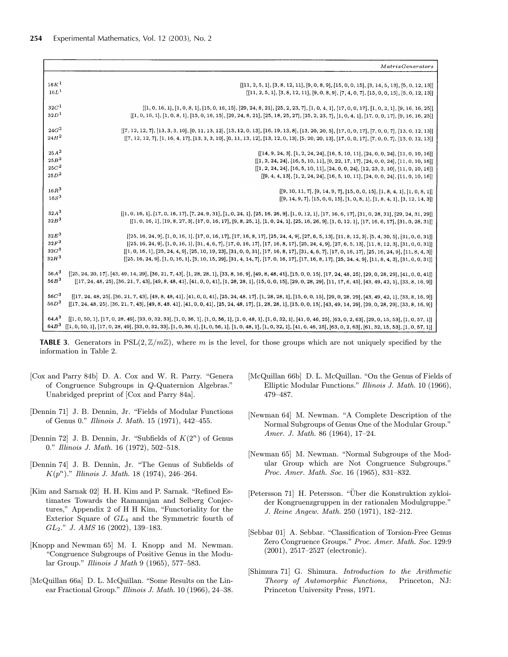|                  | MatrixGenerators                                                                                                                                                                                                                                                                                                |
|------------------|-----------------------------------------------------------------------------------------------------------------------------------------------------------------------------------------------------------------------------------------------------------------------------------------------------------------|
|                  |                                                                                                                                                                                                                                                                                                                 |
| 16K <sup>1</sup> | $[ [11, 2, 5, 1], [3, 8, 12, 11], [9, 0, 8, 9], [15, 0, 0, 15], [3, 14, 5, 13], [5, 0, 12, 13] ]$                                                                                                                                                                                                               |
| 16L <sup>1</sup> | $[11, 2, 5, 1], [3, 8, 12, 11], [9, 0, 8, 9], [7, 4, 0, 7], [15, 0, 0, 15], [5, 0, 12, 13]]$                                                                                                                                                                                                                    |
| 32C <sup>1</sup> | $[1, 0, 16, 1], [1, 0, 8, 1], [15, 0, 16, 15], [29, 24, 8, 21], [25, 2, 23, 7], [1, 0, 4, 1], [17, 0, 0, 17], [1, 0, 2, 1], [9, 16, 16, 25]$                                                                                                                                                                    |
| 32D <sup>1</sup> | $[1, 0, 16, 1], [1, 0, 8, 1], [15, 0, 16, 15], [29, 24, 8, 21], [25, 18, 25, 27], [25, 2, 23, 7], [1, 0, 4, 1], [17, 0, 0, 17], [9, 16, 16, 25]$                                                                                                                                                                |
| $24G^2$          |                                                                                                                                                                                                                                                                                                                 |
| $24H^2$          | $[7, 12, 12, 7], [13, 3, 3, 10], [0, 11, 13, 12], [13, 12, 0, 13], [16, 19, 13, 8], [13, 20, 20, 5], [17, 0, 0, 17], [7, 0, 0, 7], [13, 0, 12, 13]]$                                                                                                                                                            |
|                  | $[7, 12, 12, 7], [1, 16, 4, 17], [13, 3, 3, 10], [0, 11, 13, 12], [13, 12, 0, 13], [5, 20, 20, 13], [17, 0, 0, 17], [7, 0, 0, 7], [13, 0, 12, 13]]$                                                                                                                                                             |
| $25A^2$          | $[ [ 14, 9, 24, 3], [ 1, 2, 24, 24], [ 16, 5, 10, 11], [ 24, 0, 0, 24], [ 11, 0, 10, 16] ]$                                                                                                                                                                                                                     |
| 25B <sup>2</sup> | $[ [1, 2, 24, 24], [16, 5, 10, 11], [0, 22, 17, 17], [24, 0, 0, 24], [11, 0, 10, 16] ]$                                                                                                                                                                                                                         |
| $25C^2$          | $[1, 2, 24, 24], [16, 5, 10, 11], [24, 0, 0, 24], [12, 23, 3, 10], [11, 0, 10, 16]]$                                                                                                                                                                                                                            |
| $25D^2$          | $[ [9, 4, 4, 13], [1, 2, 24, 24], [16, 5, 10, 11], [24, 0, 0, 24], [11, 0, 10, 16] ]$                                                                                                                                                                                                                           |
| $16R^3$          | $[ [9, 10, 11, 7], [9, 14, 9, 7], [15, 0, 0, 15], [1, 8, 4, 1], [1, 0, 8, 1] ]$                                                                                                                                                                                                                                 |
| 16S <sup>3</sup> | $[[9, 14, 9, 7], [15, 0, 0, 15], [1, 0, 8, 1], [1, 8, 4, 1], [3, 12, 14, 3]]$                                                                                                                                                                                                                                   |
| $32A^3$          |                                                                                                                                                                                                                                                                                                                 |
| 32B <sup>3</sup> | $\lbrack\lbrack1,0,16,1\rbrack,\lbrack17,0,16,17\rbrack,\lbrack7,24,9,31\rbrack,\lbrack1,0,24,1\rbrack,\lbrack25,16,26,9\rbrack,\lbrack1,0,12,1\rbrack,\lbrack17,16,6,17\rbrack,\lbrack31,0,28,31\rbrack,\lbrack29,24,31,29\rbrack\rbrack$                                                                      |
|                  | $[1, 0, 16, 1], [19, 8, 27, 3], [17, 0, 16, 17], [9, 8, 25, 1], [1, 0, 24, 1], [25, 16, 26, 9], [1, 0, 12, 1], [17, 16, 6, 17], [31, 0, 28, 31]]$                                                                                                                                                               |
| $32E^3$          | $\lbrack\lbrack25,16,24,9\rbrack,\lbrack1,0,16,1\rbrack,\lbrack17,0,16,17\rbrack,\lbrack17,16,8,17\rbrack,\lbrack25,24,4,9\rbrack,\lbrack27,6,5,13\rbrack,\lbrack11,8,12,3\rbrack,\lbrack5,4,30,5\rbrack,\lbrack31,0,0,31\rbrack\rbrack$                                                                        |
| $32F^3$          | $[25, 16, 24, 9], [1, 0, 16, 1], [31, 4, 6, 7], [17, 0, 16, 17], [17, 16, 8, 17], [25, 24, 4, 9], [27, 6, 5, 13], [11, 8, 12, 3], [31, 0, 0, 31]$                                                                                                                                                               |
| $32G^3$          | $[1, 0, 16, 1], [25, 24, 4, 9], [25, 10, 19, 23], [31, 0, 0, 31], [17, 16, 8, 17], [31, 4, 6, 7], [17, 0, 16, 17], [25, 16, 24, 9], [11, 8, 4, 3]$                                                                                                                                                              |
| 32H <sup>3</sup> | $[25, 16, 24, 9], [1, 0, 16, 1], [3, 10, 15, 29], [31, 4, 14, 7], [17, 0, 16, 17], [17, 16, 8, 17], [25, 24, 4, 9], [11, 8, 4, 3], [31, 0, 0, 31]]$                                                                                                                                                             |
| $56A^3$          | $\lbrack\lbrack25, 24, 20, 17\rbrack, \lbrack43, 49, 14, 29\rbrack, \lbrack36, 21, 7, 43\rbrack, \lbrack1, 28, 28, 1\rbrack, \lbrack33, 8, 16, 9\rbrack, \lbrack49, 8, 48, 41\rbrack, \lbrack15, 0, 0, 15\rbrack, \lbrack17, 24, 48, 25\rbrack, \lbrack29, 0, 28, 29\rbrack, \lbrack41, 0, 0, 41\rbrack\rbrack$ |
| 56B <sup>3</sup> | $[17, 24, 48, 25], [36, 21, 7, 43], [49, 8, 48, 41], [41, 0, 0, 41], [1, 28, 28, 1], [15, 0, 0, 15], [29, 0, 28, 29], [11, 17, 6, 45], [43, 49, 42, 1], [33, 8, 16, 9]$                                                                                                                                         |
| 56C <sup>3</sup> | $[[17, 24, 48, 25], [36, 21, 7, 43], [49, 8, 48, 41], [41, 0, 0, 41], [25, 24, 48, 17], [1, 28, 28, 1], [15, 0, 0, 15], [29, 0, 28, 29], [43, 49, 42, 1], [33, 8, 16, 9]]$                                                                                                                                      |
| 56D <sup>3</sup> | $[17, 24, 48, 25], [36, 21, 7, 43], [49, 8, 48, 41], [41, 0, 0, 41], [25, 24, 48, 17], [1, 28, 28, 1], [15, 0, 0, 15], [43, 49, 14, 29], [29, 0, 28, 29], [33, 8, 16, 9]$                                                                                                                                       |
|                  |                                                                                                                                                                                                                                                                                                                 |
| $64A^3$          | $[[1, 0, 50, 1], [17, 0, 28, 49], [33, 0, 32, 33], [1, 0, 36, 1], [1, 0, 56, 1], [1, 0, 48, 1], [1, 0, 32, 1], [41, 0, 46, 25], [63, 0, 2, 63], [29, 0, 15, 53], [1, 0, 57, 1]]$                                                                                                                                |
| $64B^3$          | $\lbrack\lbrack1,0,50,1\rbrack,\lbrack17,0,28,49\rbrack,\lbrack33,0,32,33\rbrack,\lbrack1,0,36,1\rbrack,\lbrack1,0,56,1\rbrack,\lbrack1,0,48,1\rbrack,\lbrack1,0,32,1\rbrack,\lbrack41,0,46,25\rbrack,\lbrack63,0,2,63\rbrack,\lbrack61,32,15,53\rbrack,\lbrack1,0,57,1\rbrack\rbrack$                          |

**TABLE 3.** Generators in  $PSL(2, \mathbb{Z}/m\mathbb{Z})$ , where m is the level, for those groups which are not uniquely specified by the information in Table 2.

- [Cox and Parry 84b] D. A. Cox and W. R. Parry. "Genera of Congruence Subgroups in Q-Quaternion Algebras." Unabridged preprint of [Cox and Parry 84a].
- [Dennin 71] J. B. Dennin, Jr. "Fields of Modular Functions of Genus 0." Illinois J. Math. 15 (1971), 442—455.
- [Dennin 72] J. B. Dennin, Jr. "Subfields of  $K(2<sup>n</sup>)$  of Genus 0." Illinois J. Math. 16 (1972), 502—518.
- [Dennin 74] J. B. Dennin, Jr. "The Genus of Subfields of  $K(p^n)$ ." Illinois J. Math. 18 (1974), 246-264.
- [Kim and Sarnak 02] H. H. Kim and P. Sarnak. "Refined Estimates Towards the Ramanujan and Selberg Conjectures," Appendix 2 of H H Kim, "Functoriality for the Exterior Square of  $GL_4$  and the Symmetric fourth of  $GL_2$ ." J. AMS 16 (2002), 139–183.
- [Knopp and Newman 65] M. I. Knopp and M. Newman. "Congruence Subgroups of Positive Genus in the Modular Group." Illinois J Math 9 (1965), 577—583.
- [McQuillan 66a] D. L. McQuillan. "Some Results on the Linear Fractional Group." Illinois J. Math. 10 (1966), 24—38.
- [McQuillan 66b] D. L. McQuillan. "On the Genus of Fields of Elliptic Modular Functions." Illinois J. Math. 10 (1966), 479—487.
- [Newman 64] M. Newman. "A Complete Description of the Normal Subgroups of Genus One of the Modular Group." Amer. J. Math. 86 (1964), 17—24.
- [Newman 65] M. Newman. "Normal Subgroups of the Modular Group which are Not Congruence Subgroups." Proc. Amer. Math. Soc. 16 (1965), 831—832.
- [Petersson 71] H. Petersson. "Über die Konstruktion zykloider Kongruenzgruppen in der rationalen Modulgruppe." J. Reine Angew. Math. 250 (1971), 182—212.
- [Sebbar 01] A. Sebbar. "Classification of Torsion-Free Genus Zero Congruence Groups." Proc. Amer. Math. Soc. 129:9 (2001), 2517—2527 (electronic).
- [Shimura 71] G. Shimura. Introduction to the Arithmetic Theory of Automorphic Functions, Princeton, NJ: Princeton University Press, 1971.